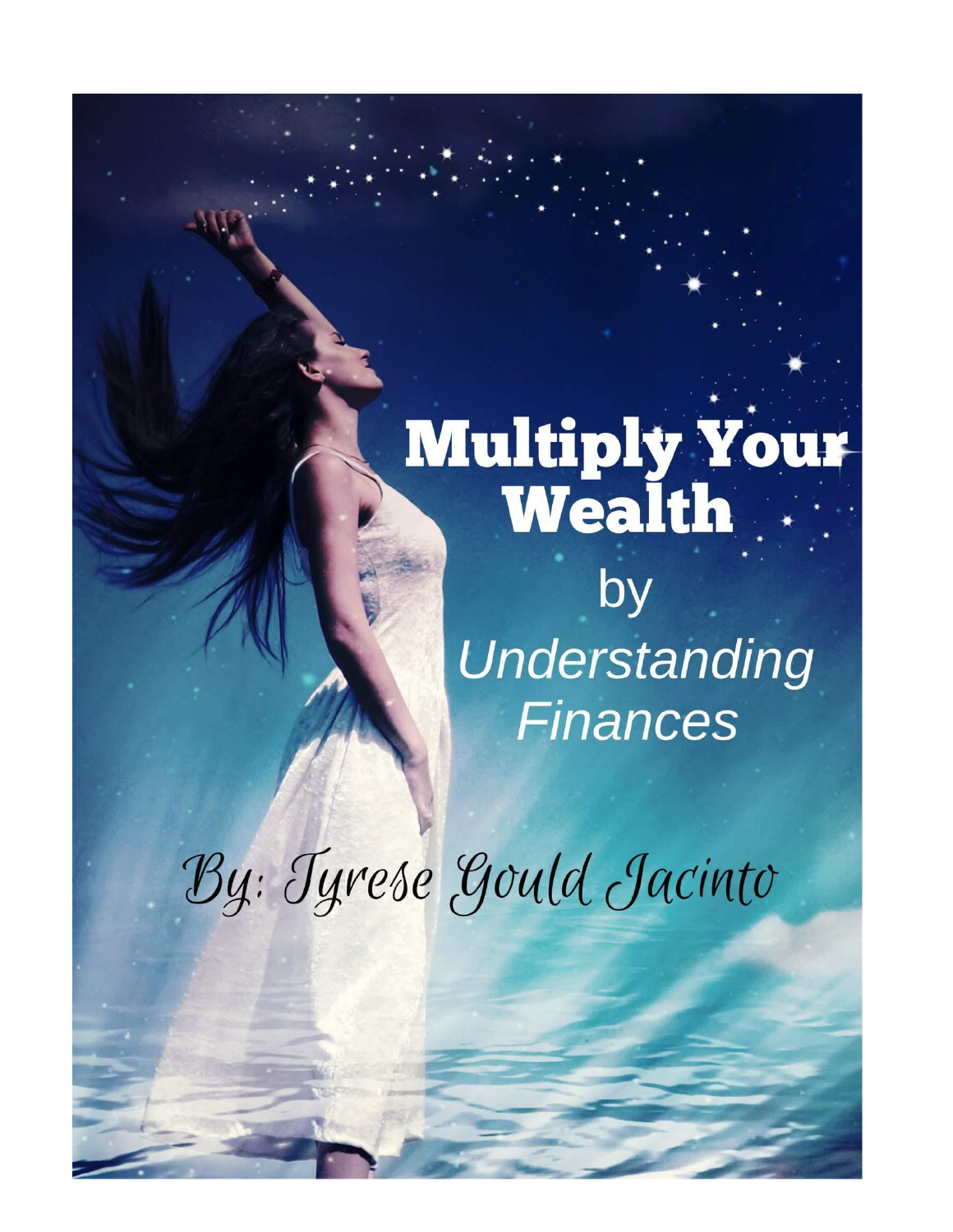# **Multiply Your**

by Understanding **Finances** 

By: Tyrese Gould Jacinto

Tyrese Gould Jackson Company and the Company of the Company of the Company of the Company of the Company of the Company of the Company of the Company of the Company of the Company of the Company of the Company of the Compa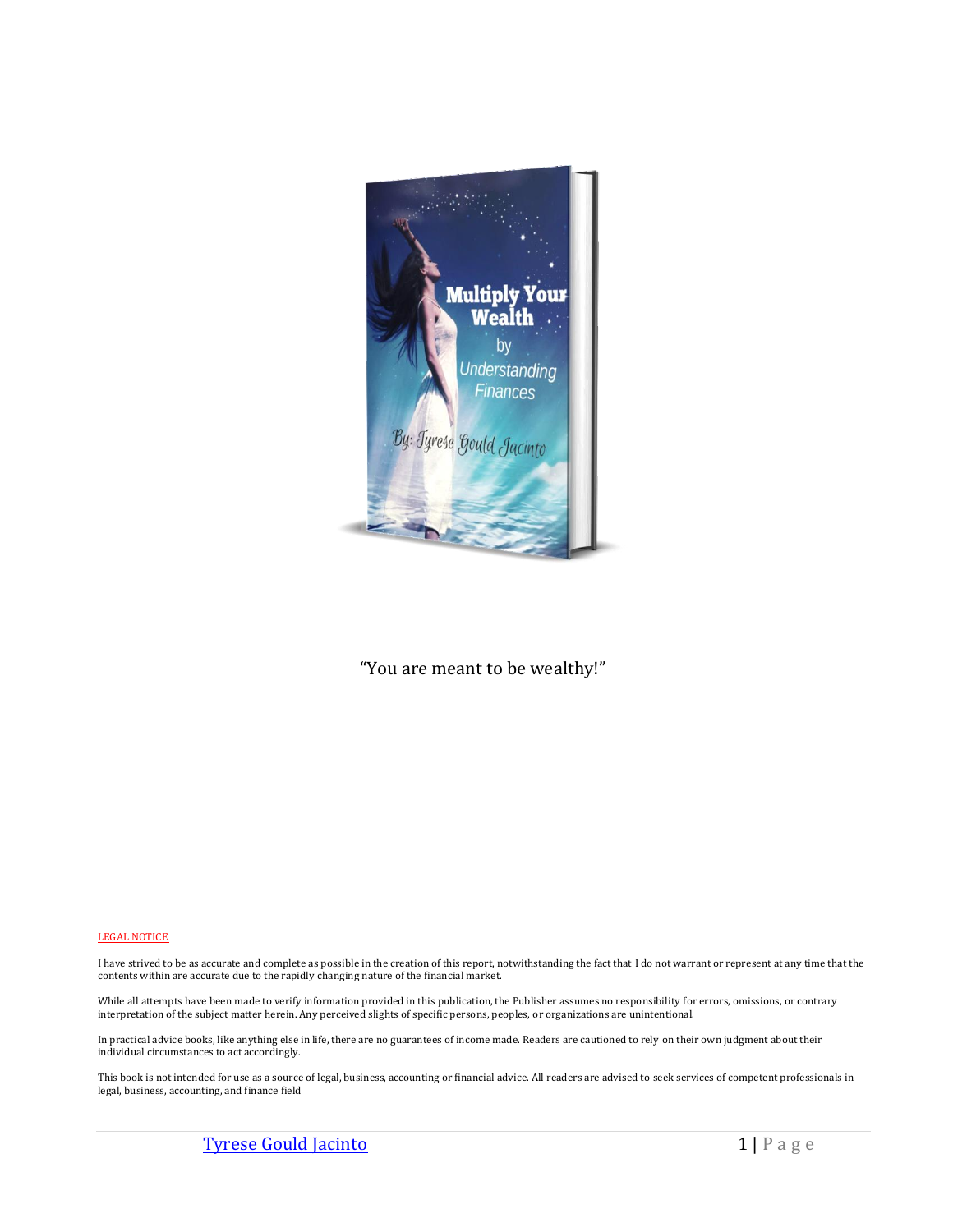

"You are meant to be wealthy!"

#### LEGAL NOTICE

I have strived to be as accurate and complete as possible in the creation of this report, notwithstanding the fact that I do not warrant or represent at any time that the contents within are accurate due to the rapidly changing nature of the financial market.

While all attempts have been made to verify information provided in this publication, the Publisher assumes no responsibility for errors, omissions, or contrary interpretation of the subject matter herein. Any perceived slights of specific persons, peoples, or organizations are unintentional.

In practical advice books, like anything else in life, there are no guarantees of income made. Readers are cautioned to rely on their own judgment about their individual circumstances to act accordingly.

This book is not intended for use as a source of legal, business, accounting or financial advice. All readers are advised to seek services of competent professionals in legal, business, accounting, and finance field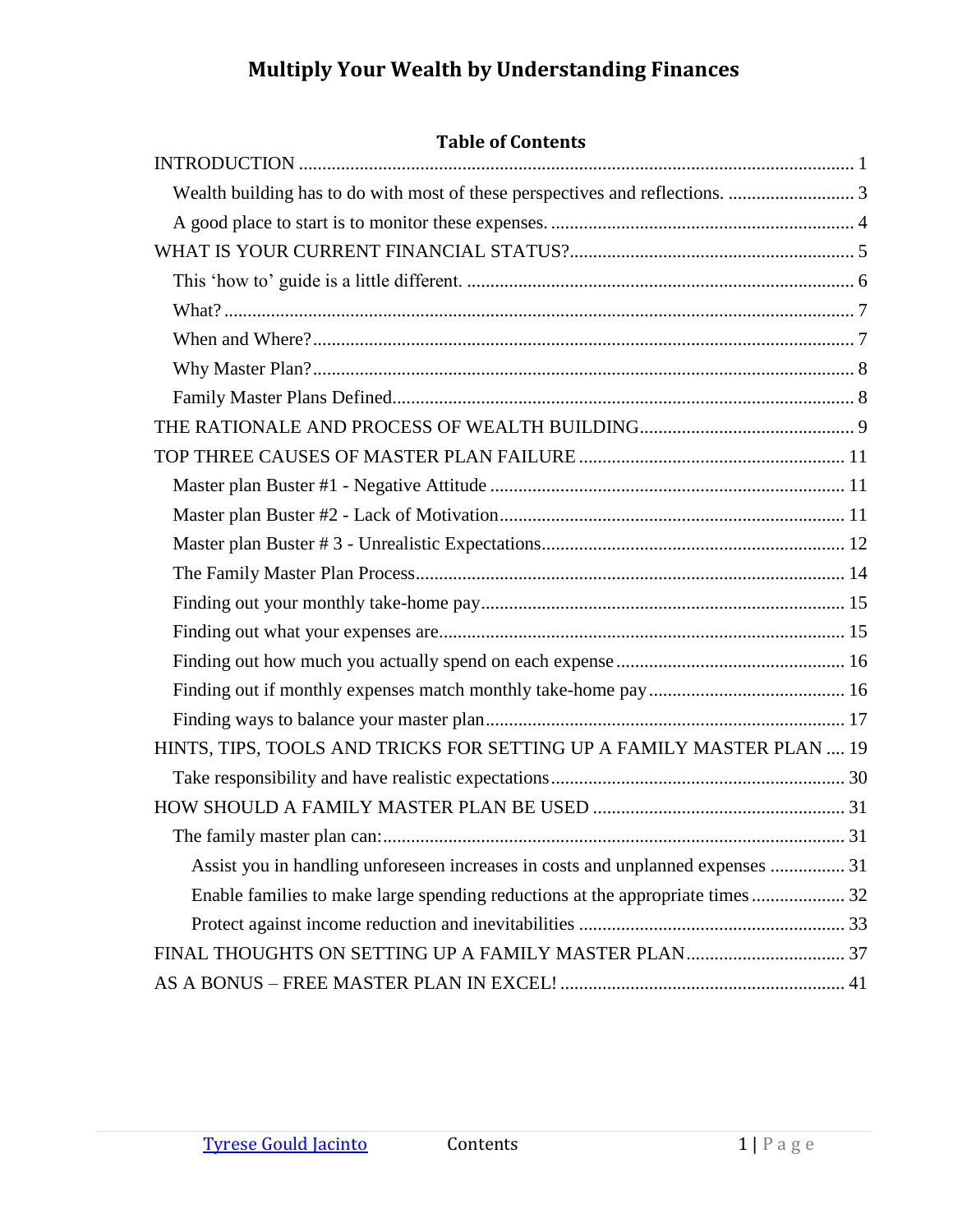# **Table of Contents**

| HINTS, TIPS, TOOLS AND TRICKS FOR SETTING UP A FAMILY MASTER PLAN  19           |
|---------------------------------------------------------------------------------|
|                                                                                 |
|                                                                                 |
|                                                                                 |
| Assist you in handling unforeseen increases in costs and unplanned expenses  31 |
| Enable families to make large spending reductions at the appropriate times 32   |
|                                                                                 |
|                                                                                 |
|                                                                                 |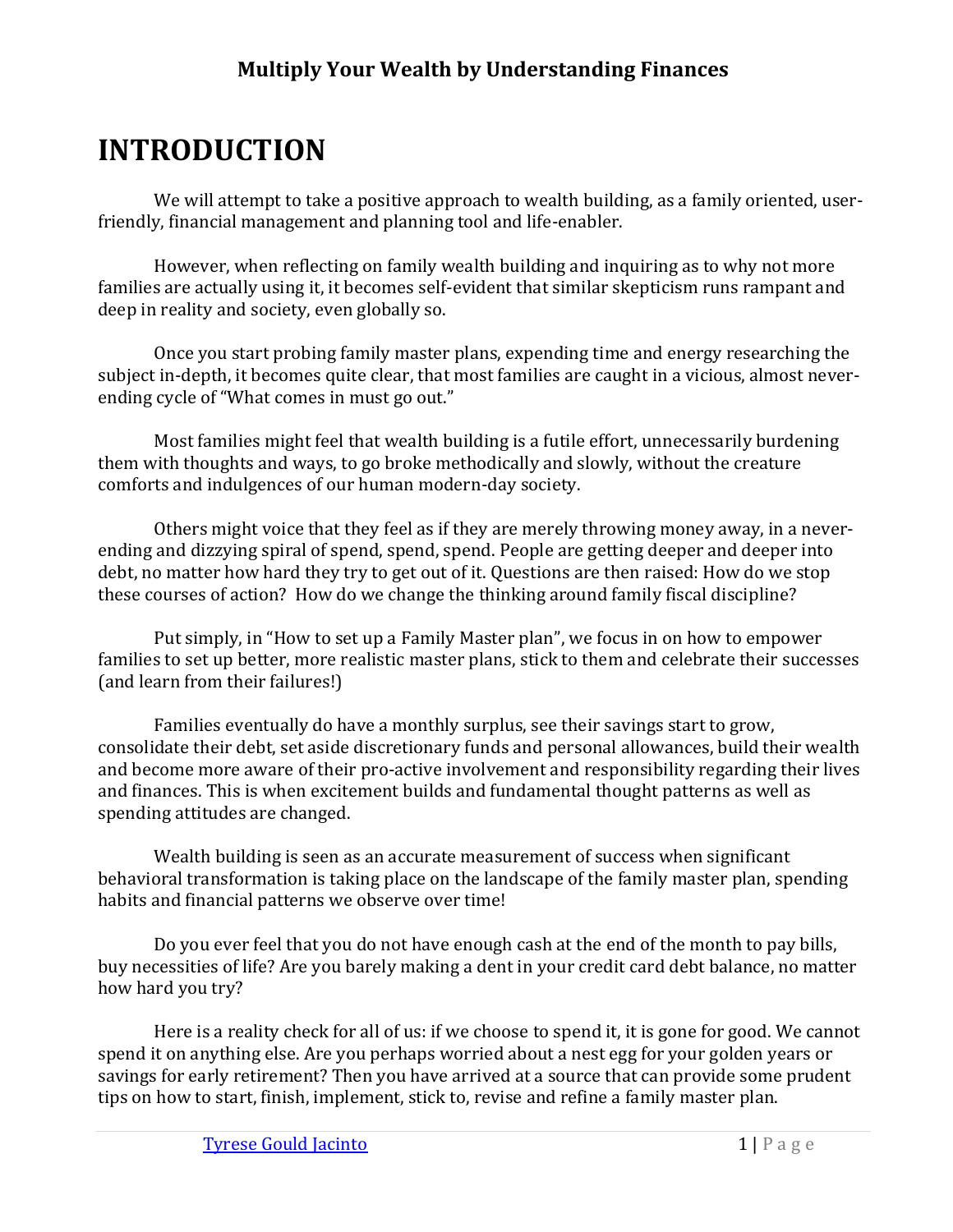# <span id="page-3-0"></span>**INTRODUCTION**

We will attempt to take a positive approach to wealth building, as a family oriented, userfriendly, financial management and planning tool and life-enabler.

However, when reflecting on family wealth building and inquiring as to why not more families are actually using it, it becomes self-evident that similar skepticism runs rampant and deep in reality and society, even globally so.

Once you start probing family master plans, expending time and energy researching the subject in-depth, it becomes quite clear, that most families are caught in a vicious, almost neverending cycle of "What comes in must go out."

Most families might feel that wealth building is a futile effort, unnecessarily burdening them with thoughts and ways, to go broke methodically and slowly, without the creature comforts and indulgences of our human modern-day society.

Others might voice that they feel as if they are merely throwing money away, in a neverending and dizzying spiral of spend, spend, spend. People are getting deeper and deeper into debt, no matter how hard they try to get out of it. Questions are then raised: How do we stop these courses of action? How do we change the thinking around family fiscal discipline?

Put simply, in "How to set up a Family Master plan", we focus in on how to empower families to set up better, more realistic master plans, stick to them and celebrate their successes (and learn from their failures!)

Families eventually do have a monthly surplus, see their savings start to grow, consolidate their debt, set aside discretionary funds and personal allowances, build their wealth and become more aware of their pro-active involvement and responsibility regarding their lives and finances. This is when excitement builds and fundamental thought patterns as well as spending attitudes are changed.

Wealth building is seen as an accurate measurement of success when significant behavioral transformation is taking place on the landscape of the family master plan, spending habits and financial patterns we observe over time!

Do you ever feel that you do not have enough cash at the end of the month to pay bills, buy necessities of life? Are you barely making a dent in your credit card debt balance, no matter how hard you try?

Here is a reality check for all of us: if we choose to spend it, it is gone for good. We cannot spend it on anything else. Are you perhaps worried about a nest egg for your golden years or savings for early retirement? Then you have arrived at a source that can provide some prudent tips on how to start, finish, implement, stick to, revise and refine a family master plan.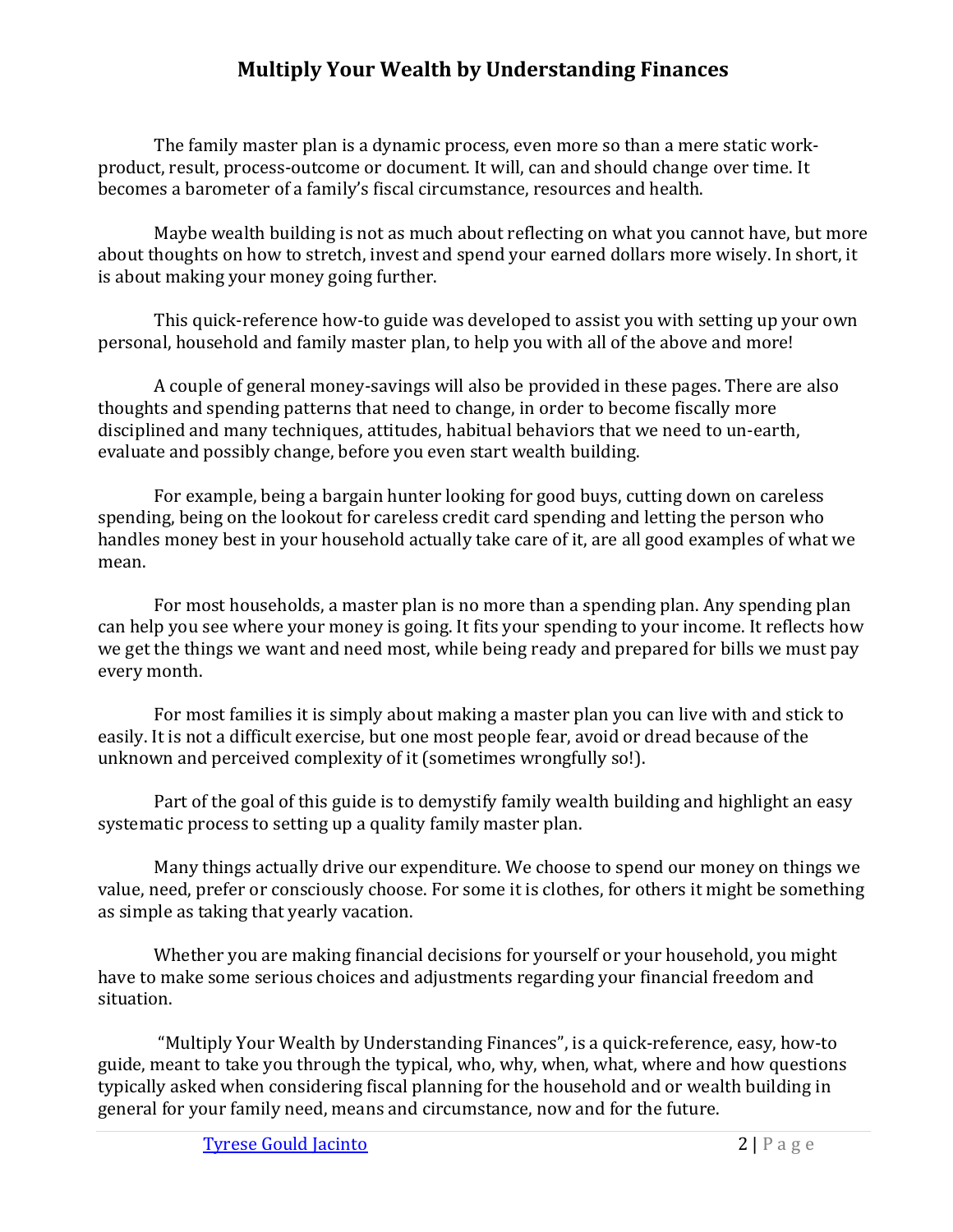The family master plan is a dynamic process, even more so than a mere static workproduct, result, process-outcome or document. It will, can and should change over time. It becomes a barometer of a family's fiscal circumstance, resources and health.

Maybe wealth building is not as much about reflecting on what you cannot have, but more about thoughts on how to stretch, invest and spend your earned dollars more wisely. In short, it is about making your money going further.

This quick-reference how-to guide was developed to assist you with setting up your own personal, household and family master plan, to help you with all of the above and more!

A couple of general money-savings will also be provided in these pages. There are also thoughts and spending patterns that need to change, in order to become fiscally more disciplined and many techniques, attitudes, habitual behaviors that we need to un-earth, evaluate and possibly change, before you even start wealth building.

For example, being a bargain hunter looking for good buys, cutting down on careless spending, being on the lookout for careless credit card spending and letting the person who handles money best in your household actually take care of it, are all good examples of what we mean.

For most households, a master plan is no more than a spending plan. Any spending plan can help you see where your money is going. It fits your spending to your income. It reflects how we get the things we want and need most, while being ready and prepared for bills we must pay every month.

For most families it is simply about making a master plan you can live with and stick to easily. It is not a difficult exercise, but one most people fear, avoid or dread because of the unknown and perceived complexity of it (sometimes wrongfully so!).

Part of the goal of this guide is to demystify family wealth building and highlight an easy systematic process to setting up a quality family master plan.

Many things actually drive our expenditure. We choose to spend our money on things we value, need, prefer or consciously choose. For some it is clothes, for others it might be something as simple as taking that yearly vacation.

Whether you are making financial decisions for yourself or your household, you might have to make some serious choices and adjustments regarding your financial freedom and situation.

"Multiply Your Wealth by Understanding Finances", is a quick-reference, easy, how-to guide, meant to take you through the typical, who, why, when, what, where and how questions typically asked when considering fiscal planning for the household and or wealth building in general for your family need, means and circumstance, now and for the future.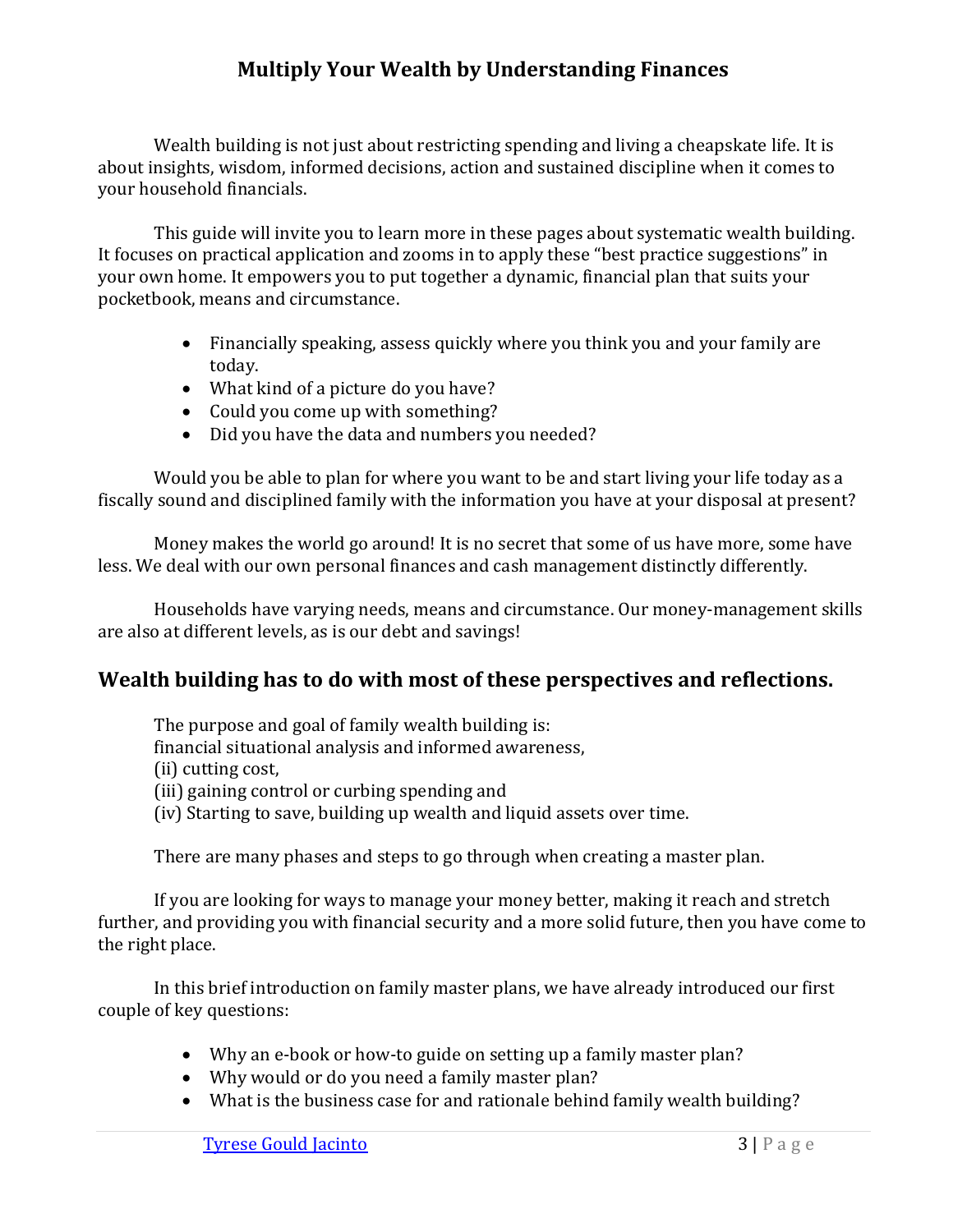Wealth building is not just about restricting spending and living a cheapskate life. It is about insights, wisdom, informed decisions, action and sustained discipline when it comes to your household financials.

This guide will invite you to learn more in these pages about systematic wealth building. It focuses on practical application and zooms in to apply these "best practice suggestions" in your own home. It empowers you to put together a dynamic, financial plan that suits your pocketbook, means and circumstance.

- Financially speaking, assess quickly where you think you and your family are today.
- What kind of a picture do you have?
- Could you come up with something?
- Did you have the data and numbers you needed?

Would you be able to plan for where you want to be and start living your life today as a fiscally sound and disciplined family with the information you have at your disposal at present?

Money makes the world go around! It is no secret that some of us have more, some have less. We deal with our own personal finances and cash management distinctly differently.

Households have varying needs, means and circumstance. Our money-management skills are also at different levels, as is our debt and savings!

# <span id="page-5-0"></span>**Wealth building has to do with most of these perspectives and reflections.**

The purpose and goal of family wealth building is: financial situational analysis and informed awareness, (ii) cutting cost, (iii) gaining control or curbing spending and (iv) Starting to save, building up wealth and liquid assets over time.

There are many phases and steps to go through when creating a master plan.

If you are looking for ways to manage your money better, making it reach and stretch further, and providing you with financial security and a more solid future, then you have come to the right place.

In this brief introduction on family master plans, we have already introduced our first couple of key questions:

- Why an e-book or how-to guide on setting up a family master plan?
- Why would or do you need a family master plan?
- What is the business case for and rationale behind family wealth building?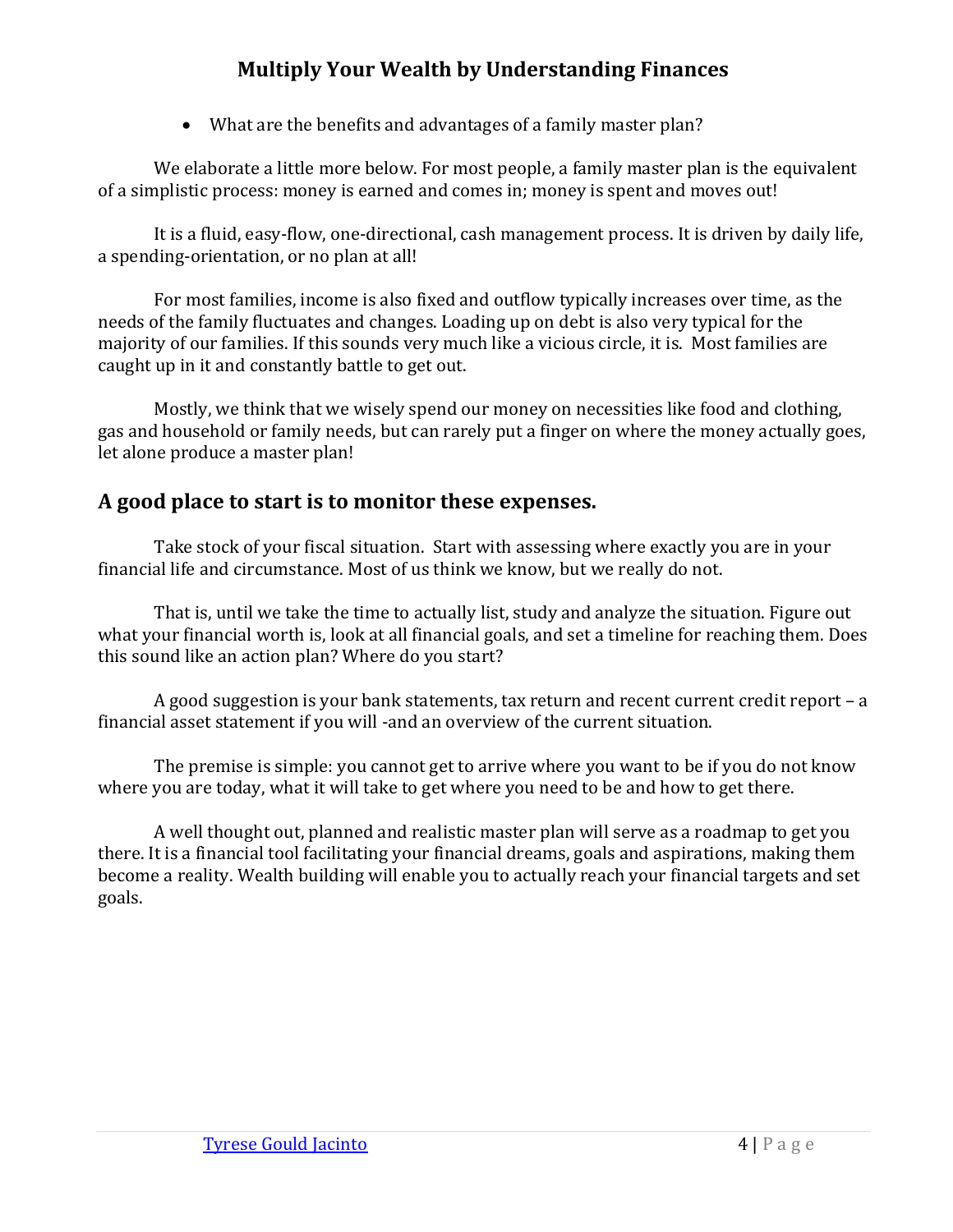• What are the benefits and advantages of a family master plan?

We elaborate a little more below. For most people, a family master plan is the equivalent of a simplistic process: money is earned and comes in; money is spent and moves out!

It is a fluid, easy-flow, one-directional, cash management process. It is driven by daily life, a spending-orientation, or no plan at all!

For most families, income is also fixed and outflow typically increases over time, as the needs of the family fluctuates and changes. Loading up on debt is also very typical for the majority of our families. If this sounds very much like a vicious circle, it is. Most families are caught up in it and constantly battle to get out.

Mostly, we think that we wisely spend our money on necessities like food and clothing, gas and household or family needs, but can rarely put a finger on where the money actually goes, let alone produce a master plan!

# <span id="page-6-0"></span>**A good place to start is to monitor these expenses.**

Take stock of your fiscal situation. Start with assessing where exactly you are in your financial life and circumstance. Most of us think we know, but we really do not.

That is, until we take the time to actually list, study and analyze the situation. Figure out what your financial worth is, look at all financial goals, and set a timeline for reaching them. Does this sound like an action plan? Where do you start?

A good suggestion is your bank statements, tax return and recent current credit report – a financial asset statement if you will -and an overview of the current situation.

The premise is simple: you cannot get to arrive where you want to be if you do not know where you are today, what it will take to get where you need to be and how to get there.

A well thought out, planned and realistic master plan will serve as a roadmap to get you there. It is a financial tool facilitating your financial dreams, goals and aspirations, making them become a reality. Wealth building will enable you to actually reach your financial targets and set goals.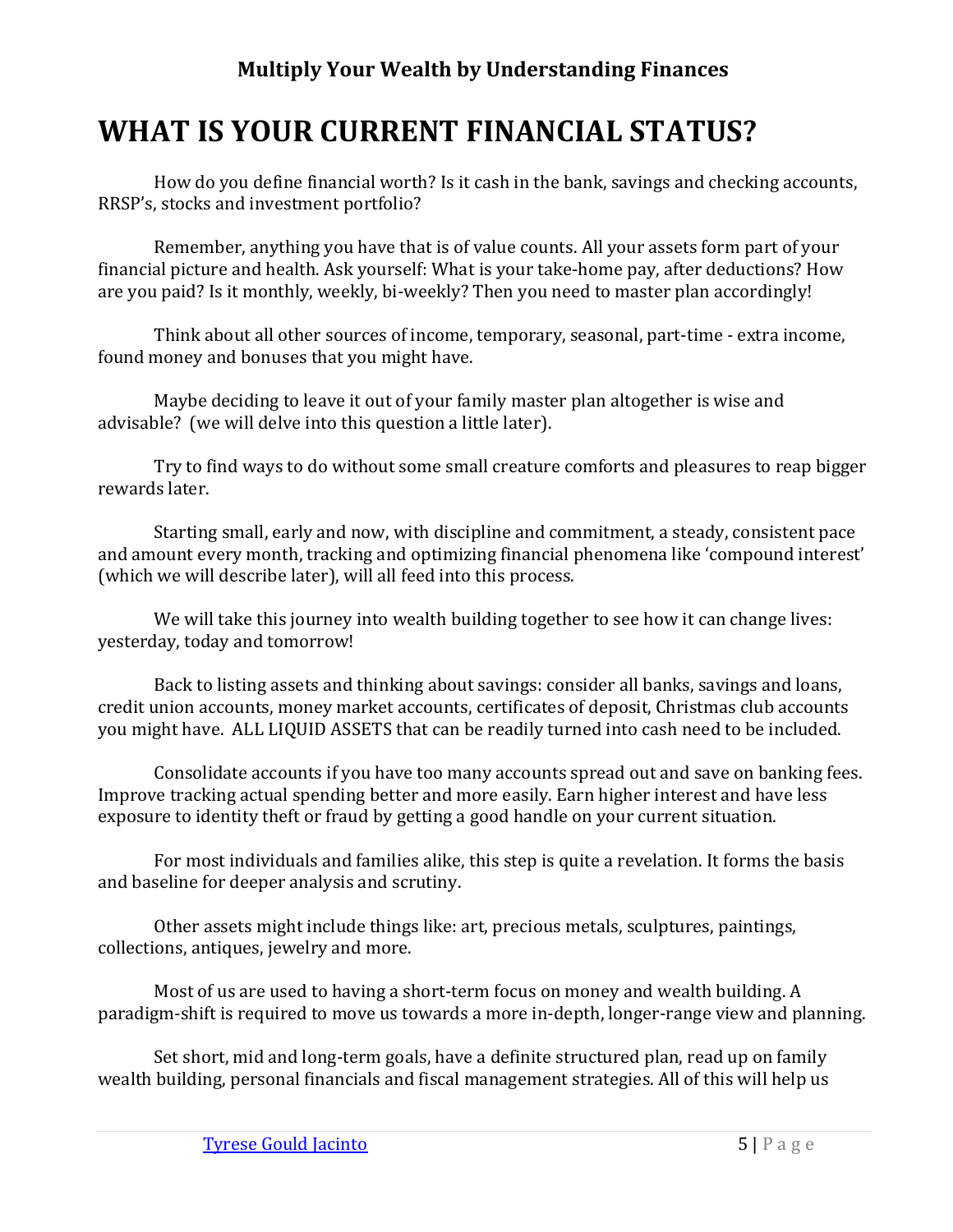# <span id="page-7-0"></span>**WHAT IS YOUR CURRENT FINANCIAL STATUS?**

How do you define financial worth? Is it cash in the bank, savings and checking accounts, RRSP's, stocks and investment portfolio?

Remember, anything you have that is of value counts. All your assets form part of your financial picture and health. Ask yourself: What is your take-home pay, after deductions? How are you paid? Is it monthly, weekly, bi-weekly? Then you need to master plan accordingly!

Think about all other sources of income, temporary, seasonal, part-time - extra income, found money and bonuses that you might have.

Maybe deciding to leave it out of your family master plan altogether is wise and advisable? (we will delve into this question a little later).

Try to find ways to do without some small creature comforts and pleasures to reap bigger rewards later.

Starting small, early and now, with discipline and commitment, a steady, consistent pace and amount every month, tracking and optimizing financial phenomena like 'compound interest' (which we will describe later), will all feed into this process.

We will take this journey into wealth building together to see how it can change lives: yesterday, today and tomorrow!

Back to listing assets and thinking about savings: consider all banks, savings and loans, credit union accounts, money market accounts, certificates of deposit, Christmas club accounts you might have. ALL LIQUID ASSETS that can be readily turned into cash need to be included.

Consolidate accounts if you have too many accounts spread out and save on banking fees. Improve tracking actual spending better and more easily. Earn higher interest and have less exposure to identity theft or fraud by getting a good handle on your current situation.

For most individuals and families alike, this step is quite a revelation. It forms the basis and baseline for deeper analysis and scrutiny.

Other assets might include things like: art, precious metals, sculptures, paintings, collections, antiques, jewelry and more.

Most of us are used to having a short-term focus on money and wealth building. A paradigm-shift is required to move us towards a more in-depth, longer-range view and planning.

Set short, mid and long-term goals, have a definite structured plan, read up on family wealth building, personal financials and fiscal management strategies. All of this will help us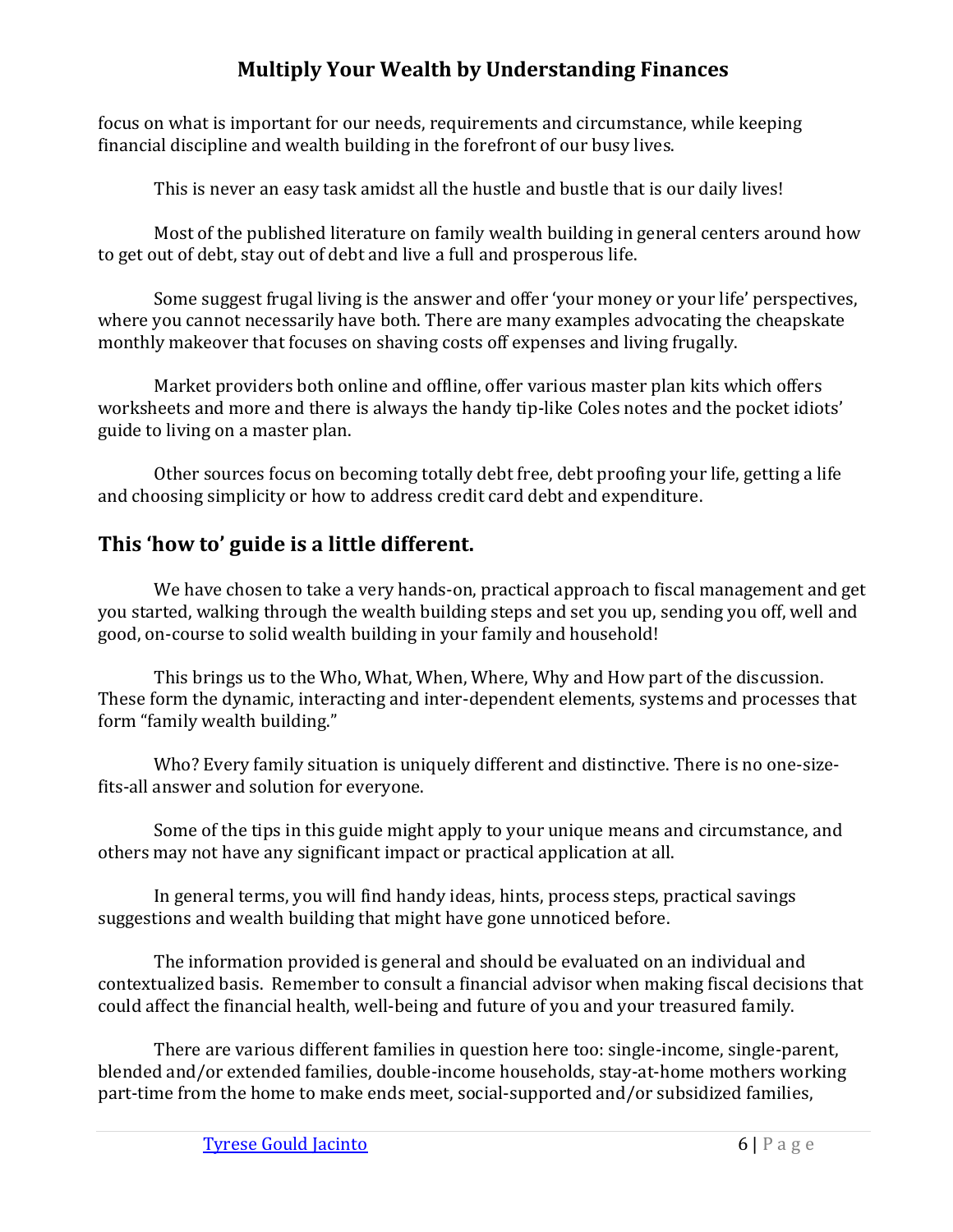focus on what is important for our needs, requirements and circumstance, while keeping financial discipline and wealth building in the forefront of our busy lives.

This is never an easy task amidst all the hustle and bustle that is our daily lives!

Most of the published literature on family wealth building in general centers around how to get out of debt, stay out of debt and live a full and prosperous life.

Some suggest frugal living is the answer and offer 'your money or your life' perspectives, where you cannot necessarily have both. There are many examples advocating the cheapskate monthly makeover that focuses on shaving costs off expenses and living frugally.

Market providers both online and offline, offer various master plan kits which offers worksheets and more and there is always the handy tip-like Coles notes and the pocket idiots' guide to living on a master plan.

Other sources focus on becoming totally debt free, debt proofing your life, getting a life and choosing simplicity or how to address credit card debt and expenditure.

# <span id="page-8-0"></span>**This 'how to' guide is a little different.**

We have chosen to take a very hands-on, practical approach to fiscal management and get you started, walking through the wealth building steps and set you up, sending you off, well and good, on-course to solid wealth building in your family and household!

This brings us to the Who, What, When, Where, Why and How part of the discussion. These form the dynamic, interacting and inter-dependent elements, systems and processes that form "family wealth building."

Who? Every family situation is uniquely different and distinctive. There is no one-sizefits-all answer and solution for everyone.

Some of the tips in this guide might apply to your unique means and circumstance, and others may not have any significant impact or practical application at all.

In general terms, you will find handy ideas, hints, process steps, practical savings suggestions and wealth building that might have gone unnoticed before.

The information provided is general and should be evaluated on an individual and contextualized basis. Remember to consult a financial advisor when making fiscal decisions that could affect the financial health, well-being and future of you and your treasured family.

There are various different families in question here too: single-income, single-parent, blended and/or extended families, double-income households, stay-at-home mothers working part-time from the home to make ends meet, social-supported and/or subsidized families,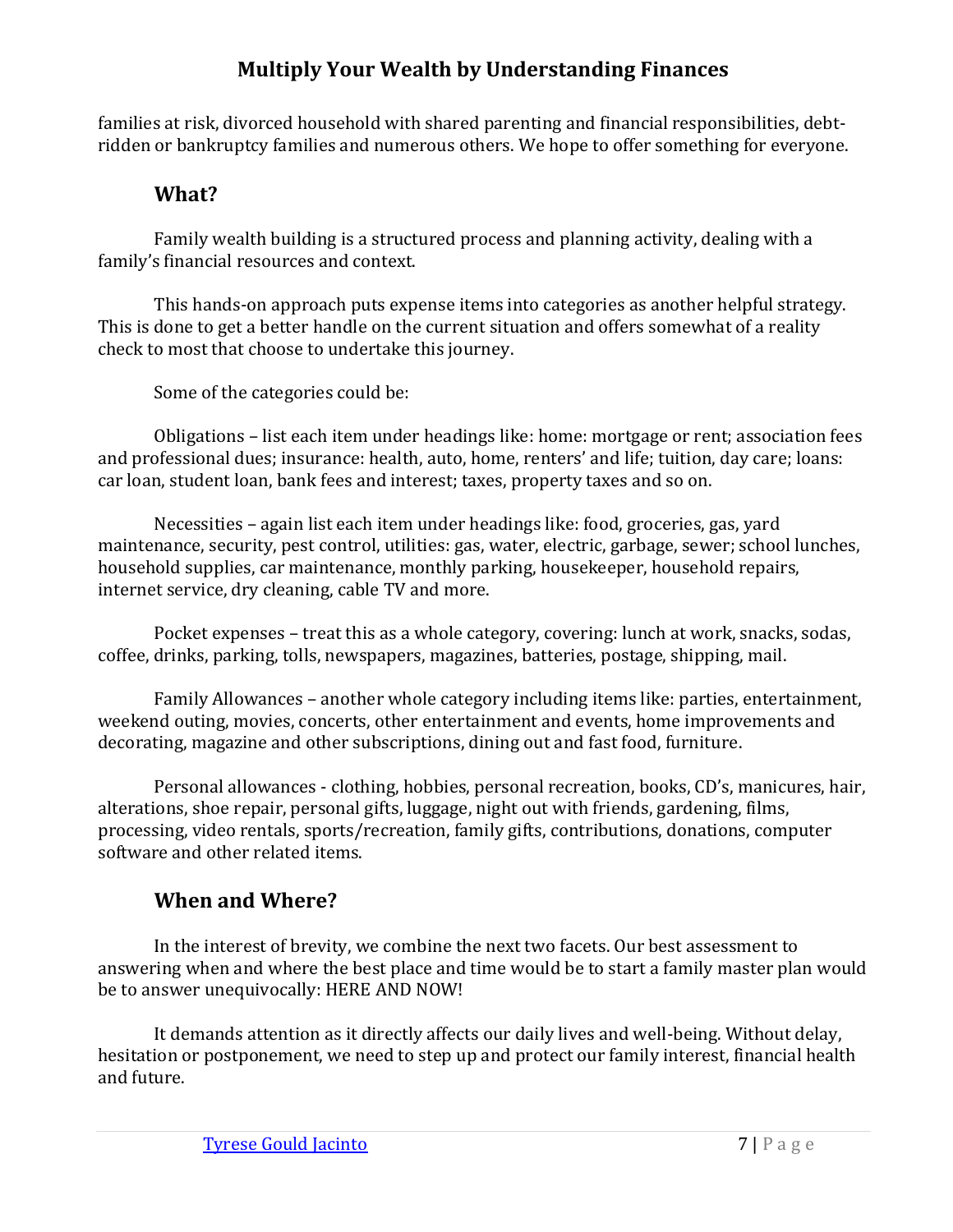families at risk, divorced household with shared parenting and financial responsibilities, debtridden or bankruptcy families and numerous others. We hope to offer something for everyone.

## **What?**

<span id="page-9-0"></span>Family wealth building is a structured process and planning activity, dealing with a family's financial resources and context.

This hands-on approach puts expense items into categories as another helpful strategy. This is done to get a better handle on the current situation and offers somewhat of a reality check to most that choose to undertake this journey.

Some of the categories could be:

Obligations – list each item under headings like: home: mortgage or rent; association fees and professional dues; insurance: health, auto, home, renters' and life; tuition, day care; loans: car loan, student loan, bank fees and interest; taxes, property taxes and so on.

Necessities – again list each item under headings like: food, groceries, gas, yard maintenance, security, pest control, utilities: gas, water, electric, garbage, sewer; school lunches, household supplies, car maintenance, monthly parking, housekeeper, household repairs, internet service, dry cleaning, cable TV and more.

Pocket expenses – treat this as a whole category, covering: lunch at work, snacks, sodas, coffee, drinks, parking, tolls, newspapers, magazines, batteries, postage, shipping, mail.

Family Allowances – another whole category including items like: parties, entertainment, weekend outing, movies, concerts, other entertainment and events, home improvements and decorating, magazine and other subscriptions, dining out and fast food, furniture.

Personal allowances - clothing, hobbies, personal recreation, books, CD's, manicures, hair, alterations, shoe repair, personal gifts, luggage, night out with friends, gardening, films, processing, video rentals, sports/recreation, family gifts, contributions, donations, computer software and other related items.

# **When and Where?**

<span id="page-9-1"></span>In the interest of brevity, we combine the next two facets. Our best assessment to answering when and where the best place and time would be to start a family master plan would be to answer unequivocally: HERE AND NOW!

It demands attention as it directly affects our daily lives and well-being. Without delay, hesitation or postponement, we need to step up and protect our family interest, financial health and future.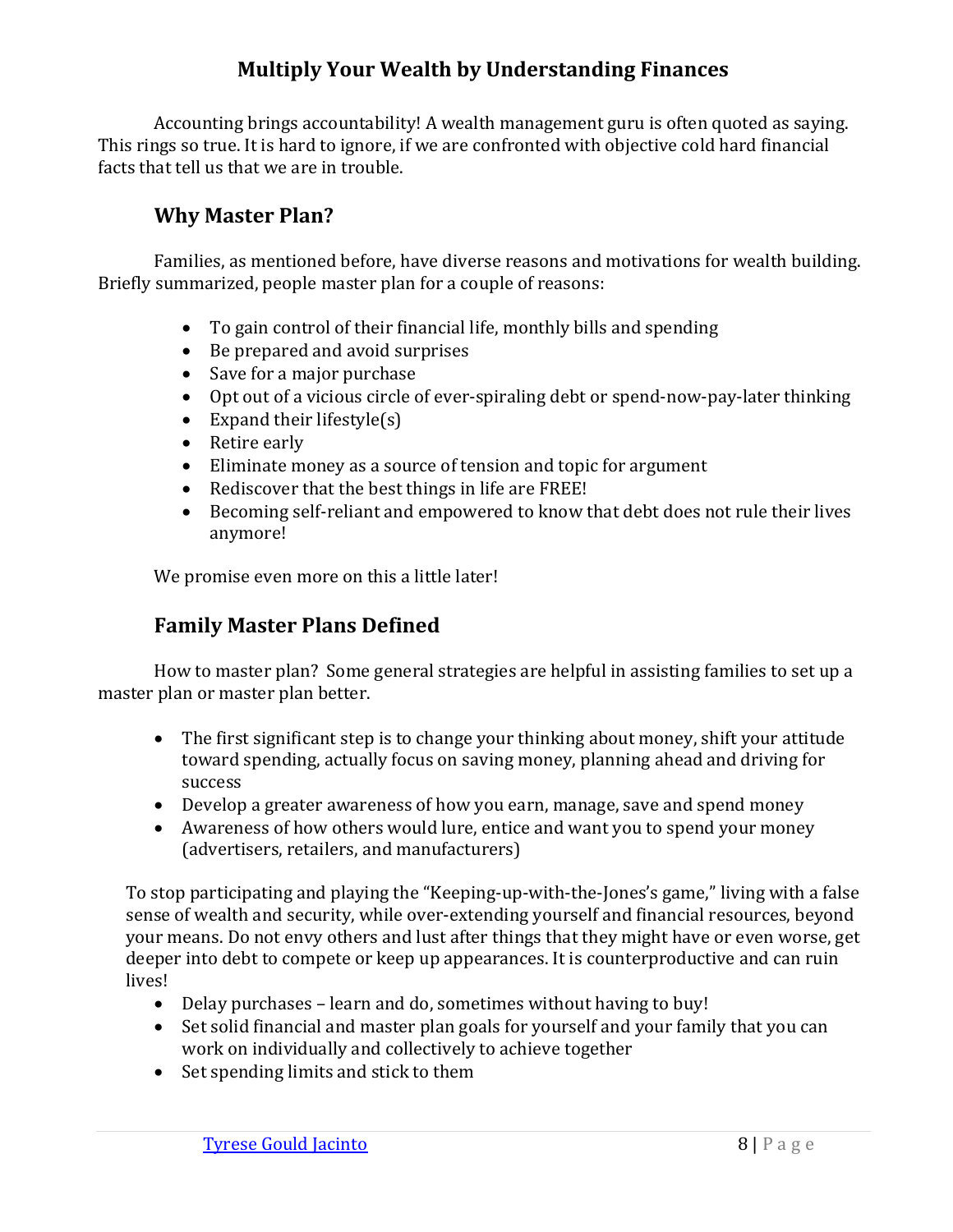Accounting brings accountability! A wealth management guru is often quoted as saying. This rings so true. It is hard to ignore, if we are confronted with objective cold hard financial facts that tell us that we are in trouble.

## **Why Master Plan?**

<span id="page-10-0"></span>Families, as mentioned before, have diverse reasons and motivations for wealth building. Briefly summarized, people master plan for a couple of reasons:

- To gain control of their financial life, monthly bills and spending
- Be prepared and avoid surprises
- Save for a major purchase
- Opt out of a vicious circle of ever-spiraling debt or spend-now-pay-later thinking
- Expand their lifestyle $(s)$
- Retire early
- Eliminate money as a source of tension and topic for argument
- Rediscover that the best things in life are FREE!
- Becoming self-reliant and empowered to know that debt does not rule their lives anymore!

We promise even more on this a little later!

# **Family Master Plans Defined**

<span id="page-10-1"></span>How to master plan? Some general strategies are helpful in assisting families to set up a master plan or master plan better.

- The first significant step is to change your thinking about money, shift your attitude toward spending, actually focus on saving money, planning ahead and driving for success
- Develop a greater awareness of how you earn, manage, save and spend money
- Awareness of how others would lure, entice and want you to spend your money (advertisers, retailers, and manufacturers)

To stop participating and playing the "Keeping-up-with-the-Jones's game," living with a false sense of wealth and security, while over-extending yourself and financial resources, beyond your means. Do not envy others and lust after things that they might have or even worse, get deeper into debt to compete or keep up appearances. It is counterproductive and can ruin lives!

- Delay purchases learn and do, sometimes without having to buy!
- Set solid financial and master plan goals for yourself and your family that you can work on individually and collectively to achieve together
- Set spending limits and stick to them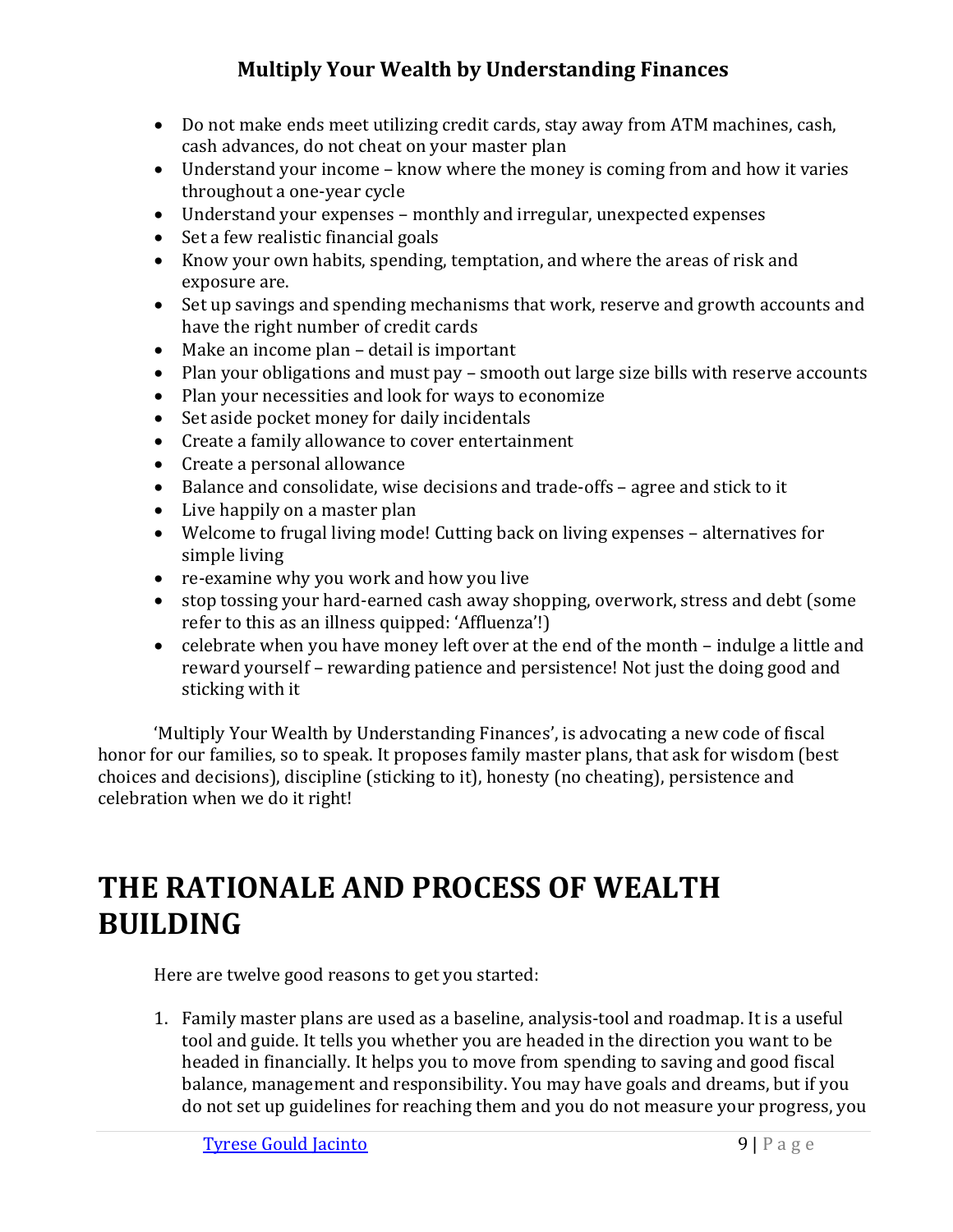- Do not make ends meet utilizing credit cards, stay away from ATM machines, cash, cash advances, do not cheat on your master plan
- Understand your income know where the money is coming from and how it varies throughout a one-year cycle
- Understand your expenses monthly and irregular, unexpected expenses
- Set a few realistic financial goals
- Know your own habits, spending, temptation, and where the areas of risk and exposure are.
- Set up savings and spending mechanisms that work, reserve and growth accounts and have the right number of credit cards
- Make an income plan detail is important
- Plan your obligations and must pay smooth out large size bills with reserve accounts
- Plan your necessities and look for ways to economize
- Set aside pocket money for daily incidentals
- Create a family allowance to cover entertainment
- Create a personal allowance
- Balance and consolidate, wise decisions and trade-offs agree and stick to it
- Live happily on a master plan
- Welcome to frugal living mode! Cutting back on living expenses alternatives for simple living
- re-examine why you work and how you live
- stop tossing your hard-earned cash away shopping, overwork, stress and debt (some refer to this as an illness quipped: 'Affluenza'!)
- celebrate when you have money left over at the end of the month indulge a little and reward yourself – rewarding patience and persistence! Not just the doing good and sticking with it

'Multiply Your Wealth by Understanding Finances', is advocating a new code of fiscal honor for our families, so to speak. It proposes family master plans, that ask for wisdom (best choices and decisions), discipline (sticking to it), honesty (no cheating), persistence and celebration when we do it right!

# <span id="page-11-0"></span>**THE RATIONALE AND PROCESS OF WEALTH BUILDING**

Here are twelve good reasons to get you started:

1. Family master plans are used as a baseline, analysis-tool and roadmap. It is a useful tool and guide. It tells you whether you are headed in the direction you want to be headed in financially. It helps you to move from spending to saving and good fiscal balance, management and responsibility. You may have goals and dreams, but if you do not set up guidelines for reaching them and you do not measure your progress, you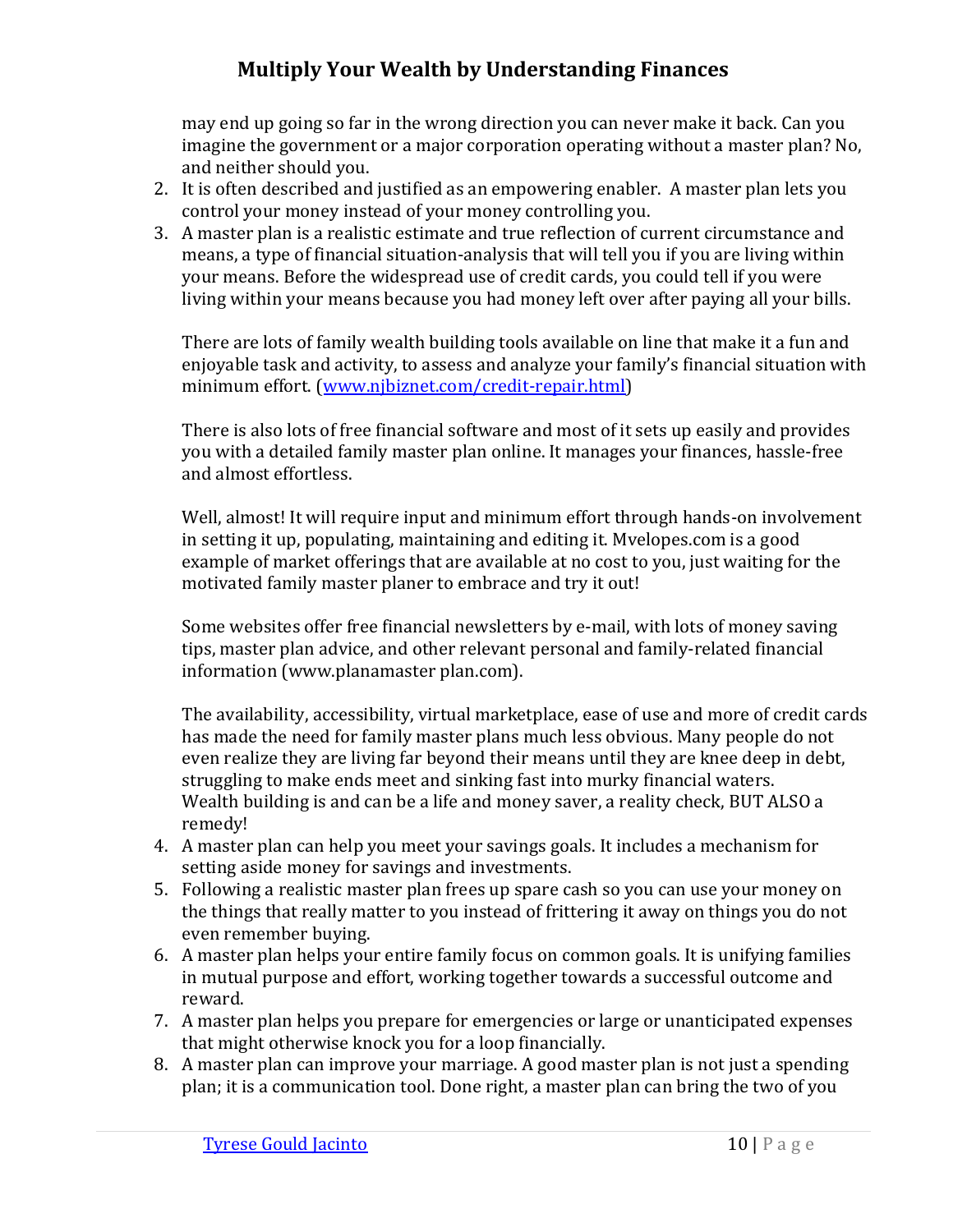may end up going so far in the wrong direction you can never make it back. Can you imagine the government or a major corporation operating without a master plan? No, and neither should you.

- 2. It is often described and justified as an empowering enabler. A master plan lets you control your money instead of your money controlling you.
- 3. A master plan is a realistic estimate and true reflection of current circumstance and means, a type of financial situation-analysis that will tell you if you are living within your means. Before the widespread use of credit cards, you could tell if you were living within your means because you had money left over after paying all your bills.

There are lots of family wealth building tools available on line that make it a fun and enjoyable task and activity, to assess and analyze your family's financial situation with minimum effort. (www.njbiznet.com/credit-repair.html)

There is also lots of free financial software and most of it sets up easily and provides you with a detailed family master plan online. It manages your finances, hassle-free and almost effortless.

Well, almost! It will require input and minimum effort through hands-on involvement in setting it up, populating, maintaining and editing it. Mvelopes.com is a good example of market offerings that are available at no cost to you, just waiting for the motivated family master planer to embrace and try it out!

Some websites offer free financial newsletters by e-mail, with lots of money saving tips, master plan advice, and other relevant personal and family-related financial information (www.planamaster plan.com).

The availability, accessibility, virtual marketplace, ease of use and more of credit cards has made the need for family master plans much less obvious. Many people do not even realize they are living far beyond their means until they are knee deep in debt, struggling to make ends meet and sinking fast into murky financial waters. Wealth building is and can be a life and money saver, a reality check, BUT ALSO a remedy!

- 4. A master plan can help you meet your savings goals. It includes a mechanism for setting aside money for savings and investments.
- 5. Following a realistic master plan frees up spare cash so you can use your money on the things that really matter to you instead of frittering it away on things you do not even remember buying.
- 6. A master plan helps your entire family focus on common goals. It is unifying families in mutual purpose and effort, working together towards a successful outcome and reward.
- 7. A master plan helps you prepare for emergencies or large or unanticipated expenses that might otherwise knock you for a loop financially.
- 8. A master plan can improve your marriage. A good master plan is not just a spending plan; it is a communication tool. Done right, a master plan can bring the two of you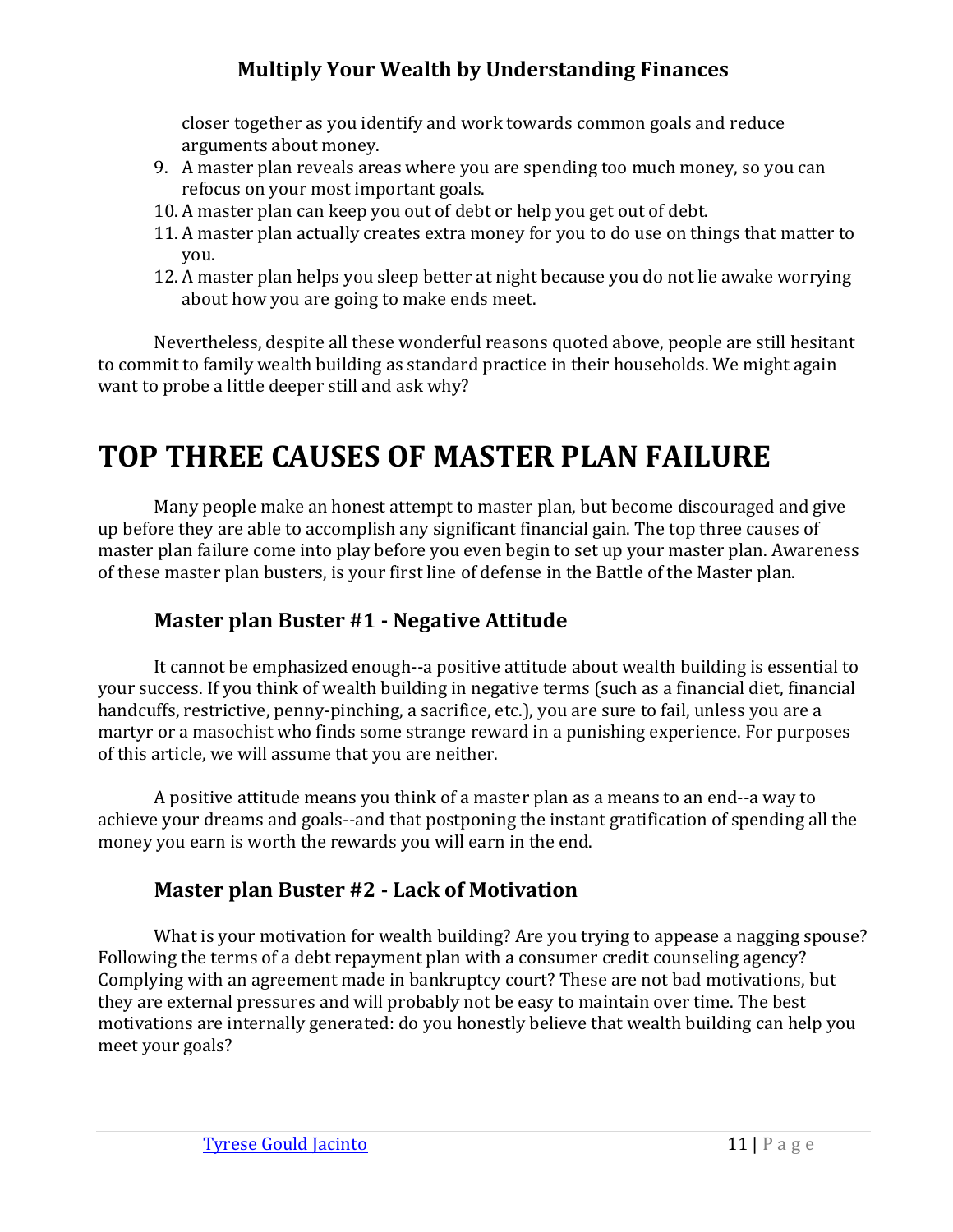closer together as you identify and work towards common goals and reduce arguments about money.

- 9. A master plan reveals areas where you are spending too much money, so you can refocus on your most important goals.
- 10. A master plan can keep you out of debt or help you get out of debt.
- 11. A master plan actually creates extra money for you to do use on things that matter to you.
- 12. A master plan helps you sleep better at night because you do not lie awake worrying about how you are going to make ends meet.

Nevertheless, despite all these wonderful reasons quoted above, people are still hesitant to commit to family wealth building as standard practice in their households. We might again want to probe a little deeper still and ask why?

# <span id="page-13-0"></span>**TOP THREE CAUSES OF MASTER PLAN FAILURE**

Many people make an honest attempt to master plan, but become discouraged and give up before they are able to accomplish any significant financial gain. The top three causes of master plan failure come into play before you even begin to set up your master plan. Awareness of these master plan busters, is your first line of defense in the Battle of the Master plan.

# **Master plan Buster #1 - Negative Attitude**

<span id="page-13-1"></span>It cannot be emphasized enough--a positive attitude about wealth building is essential to your success. If you think of wealth building in negative terms (such as a financial diet, financial handcuffs, restrictive, penny-pinching, a sacrifice, etc.), you are sure to fail, unless you are a martyr or a masochist who finds some strange reward in a punishing experience. For purposes of this article, we will assume that you are neither.

A positive attitude means you think of a master plan as a means to an end--a way to achieve your dreams and goals--and that postponing the instant gratification of spending all the money you earn is worth the rewards you will earn in the end.

# **Master plan Buster #2 - Lack of Motivation**

<span id="page-13-2"></span>What is your motivation for wealth building? Are you trying to appease a nagging spouse? Following the terms of a debt repayment plan with a consumer credit counseling agency? Complying with an agreement made in bankruptcy court? These are not bad motivations, but they are external pressures and will probably not be easy to maintain over time. The best motivations are internally generated: do you honestly believe that wealth building can help you meet your goals?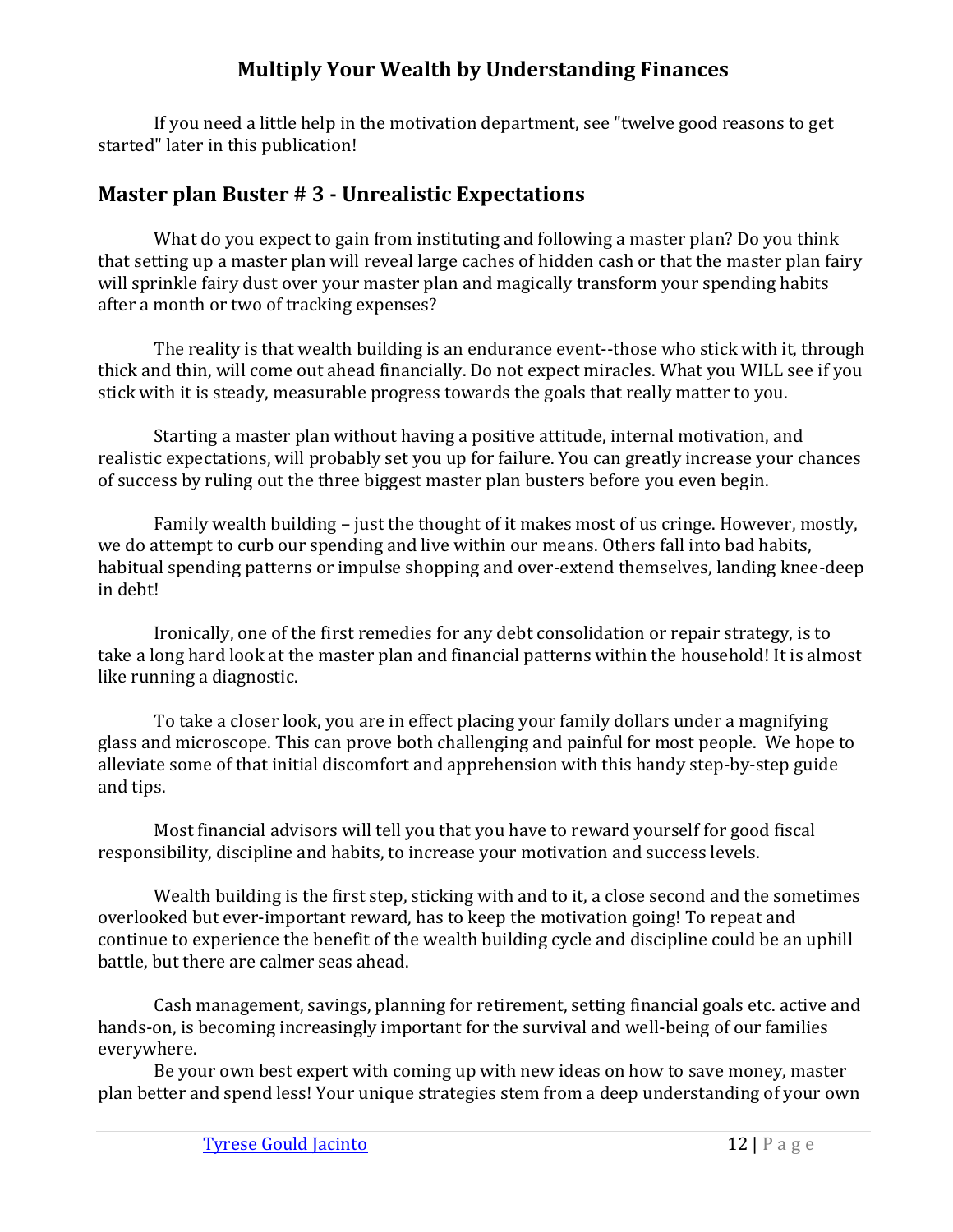If you need a little help in the motivation department, see "twelve good reasons to get started" later in this publication!

# <span id="page-14-0"></span>**Master plan Buster # 3 - Unrealistic Expectations**

What do you expect to gain from instituting and following a master plan? Do you think that setting up a master plan will reveal large caches of hidden cash or that the master plan fairy will sprinkle fairy dust over your master plan and magically transform your spending habits after a month or two of tracking expenses?

The reality is that wealth building is an endurance event--those who stick with it, through thick and thin, will come out ahead financially. Do not expect miracles. What you WILL see if you stick with it is steady, measurable progress towards the goals that really matter to you.

Starting a master plan without having a positive attitude, internal motivation, and realistic expectations, will probably set you up for failure. You can greatly increase your chances of success by ruling out the three biggest master plan busters before you even begin.

Family wealth building – just the thought of it makes most of us cringe. However, mostly, we do attempt to curb our spending and live within our means. Others fall into bad habits, habitual spending patterns or impulse shopping and over-extend themselves, landing knee-deep in debt!

Ironically, one of the first remedies for any debt consolidation or repair strategy, is to take a long hard look at the master plan and financial patterns within the household! It is almost like running a diagnostic.

To take a closer look, you are in effect placing your family dollars under a magnifying glass and microscope. This can prove both challenging and painful for most people. We hope to alleviate some of that initial discomfort and apprehension with this handy step-by-step guide and tips.

Most financial advisors will tell you that you have to reward yourself for good fiscal responsibility, discipline and habits, to increase your motivation and success levels.

Wealth building is the first step, sticking with and to it, a close second and the sometimes overlooked but ever-important reward, has to keep the motivation going! To repeat and continue to experience the benefit of the wealth building cycle and discipline could be an uphill battle, but there are calmer seas ahead.

Cash management, savings, planning for retirement, setting financial goals etc. active and hands-on, is becoming increasingly important for the survival and well-being of our families everywhere.

Be your own best expert with coming up with new ideas on how to save money, master plan better and spend less! Your unique strategies stem from a deep understanding of your own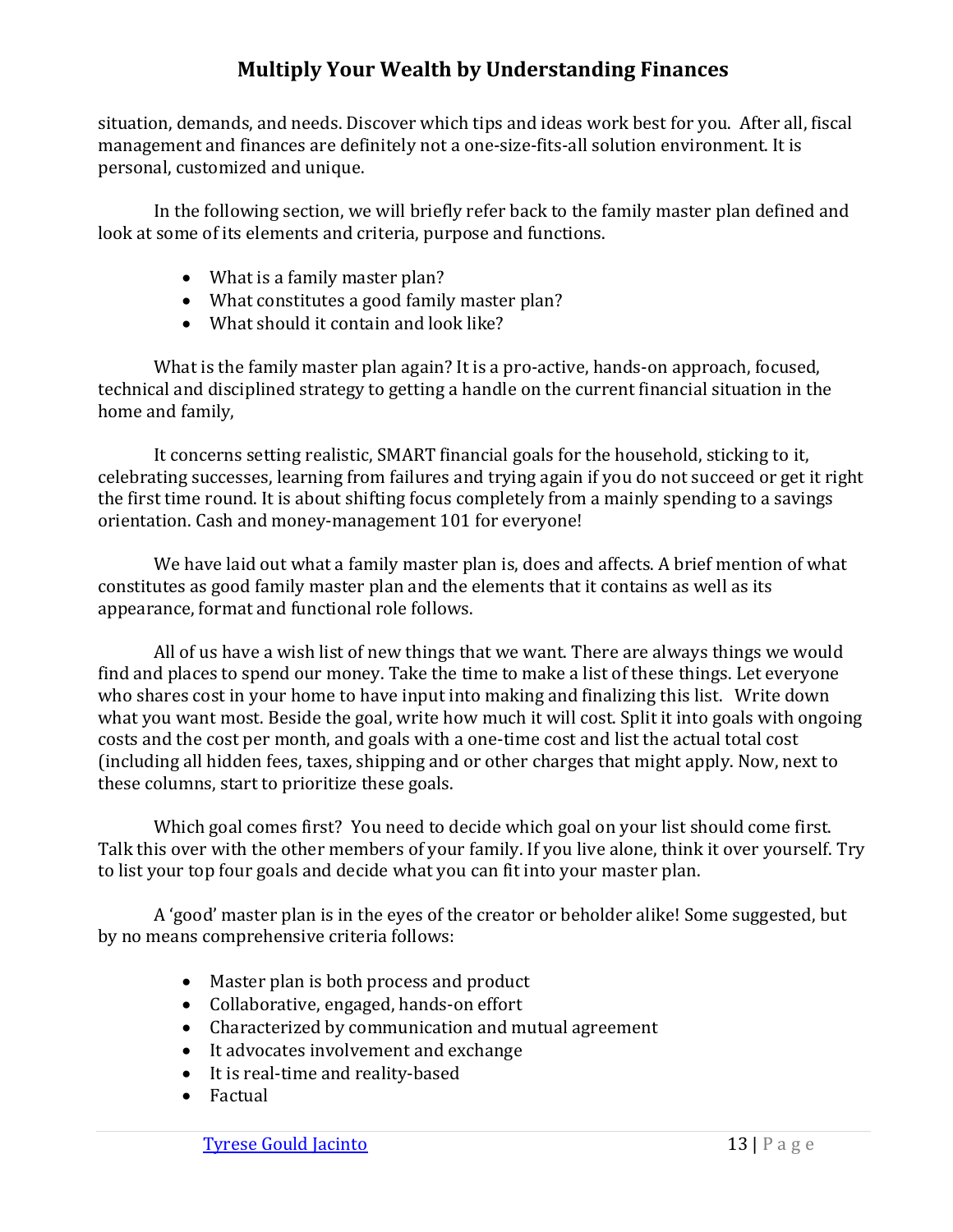situation, demands, and needs. Discover which tips and ideas work best for you. After all, fiscal management and finances are definitely not a one-size-fits-all solution environment. It is personal, customized and unique.

In the following section, we will briefly refer back to the family master plan defined and look at some of its elements and criteria, purpose and functions.

- What is a family master plan?
- What constitutes a good family master plan?
- What should it contain and look like?

What is the family master plan again? It is a pro-active, hands-on approach, focused, technical and disciplined strategy to getting a handle on the current financial situation in the home and family,

It concerns setting realistic, SMART financial goals for the household, sticking to it, celebrating successes, learning from failures and trying again if you do not succeed or get it right the first time round. It is about shifting focus completely from a mainly spending to a savings orientation. Cash and money-management 101 for everyone!

We have laid out what a family master plan is, does and affects. A brief mention of what constitutes as good family master plan and the elements that it contains as well as its appearance, format and functional role follows.

All of us have a wish list of new things that we want. There are always things we would find and places to spend our money. Take the time to make a list of these things. Let everyone who shares cost in your home to have input into making and finalizing this list. Write down what you want most. Beside the goal, write how much it will cost. Split it into goals with ongoing costs and the cost per month, and goals with a one-time cost and list the actual total cost (including all hidden fees, taxes, shipping and or other charges that might apply. Now, next to these columns, start to prioritize these goals.

Which goal comes first? You need to decide which goal on your list should come first. Talk this over with the other members of your family. If you live alone, think it over yourself. Try to list your top four goals and decide what you can fit into your master plan.

A 'good' master plan is in the eyes of the creator or beholder alike! Some suggested, but by no means comprehensive criteria follows:

- Master plan is both process and product
- Collaborative, engaged, hands-on effort
- Characterized by communication and mutual agreement
- It advocates involvement and exchange
- It is real-time and reality-based
- Factual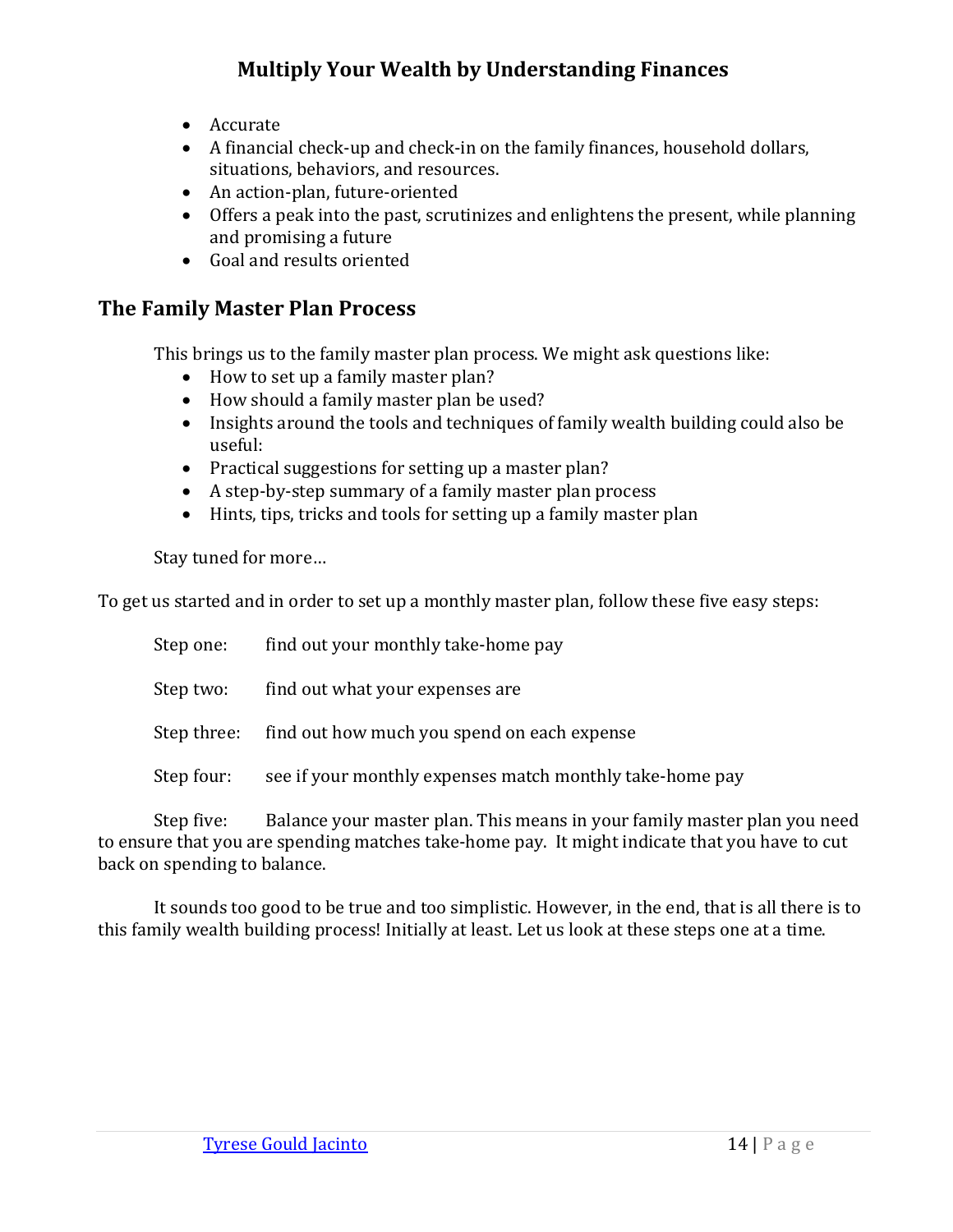- Accurate
- A financial check-up and check-in on the family finances, household dollars, situations, behaviors, and resources.
- An action-plan, future-oriented
- Offers a peak into the past, scrutinizes and enlightens the present, while planning and promising a future
- Goal and results oriented

## <span id="page-16-0"></span>**The Family Master Plan Process**

This brings us to the family master plan process. We might ask questions like:

- How to set up a family master plan?
- How should a family master plan be used?
- Insights around the tools and techniques of family wealth building could also be useful:
- Practical suggestions for setting up a master plan?
- A step-by-step summary of a family master plan process
- Hints, tips, tricks and tools for setting up a family master plan

Stay tuned for more…

To get us started and in order to set up a monthly master plan, follow these five easy steps:

| Step one:  | find out your monthly take-home pay                      |
|------------|----------------------------------------------------------|
| Step two:  | find out what your expenses are                          |
|            | Step three: find out how much you spend on each expense  |
| Step four: | see if your monthly expenses match monthly take-home pay |
|            |                                                          |

Step five: Balance your master plan. This means in your family master plan you need to ensure that you are spending matches take-home pay. It might indicate that you have to cut back on spending to balance.

It sounds too good to be true and too simplistic. However, in the end, that is all there is to this family wealth building process! Initially at least. Let us look at these steps one at a time.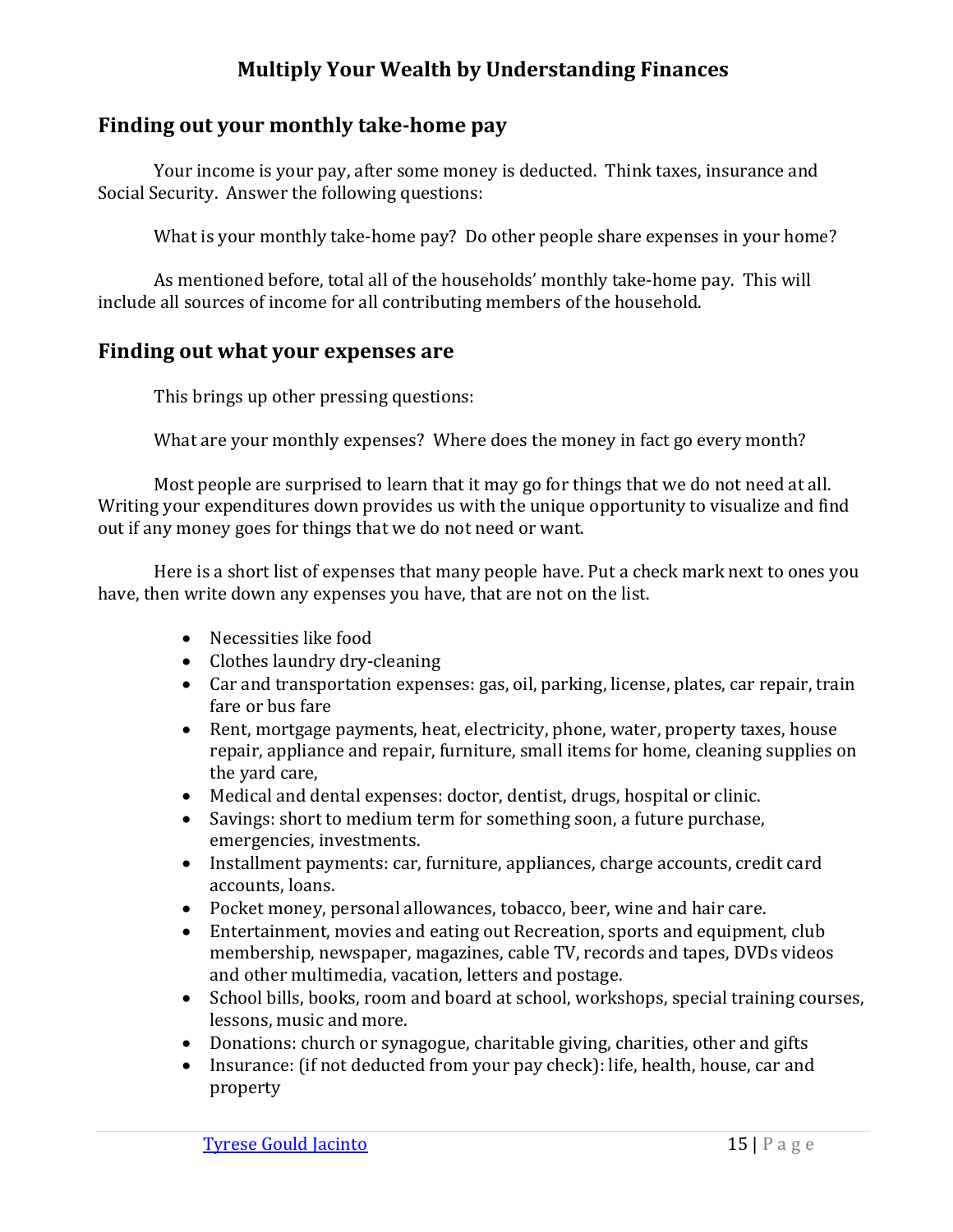### <span id="page-17-0"></span>**Finding out your monthly take-home pay**

Your income is your pay, after some money is deducted. Think taxes, insurance and Social Security. Answer the following questions:

What is your monthly take-home pay? Do other people share expenses in your home?

As mentioned before, total all of the households' monthly take-home pay. This will include all sources of income for all contributing members of the household.

#### <span id="page-17-1"></span>**Finding out what your expenses are**

This brings up other pressing questions:

What are your monthly expenses? Where does the money in fact go every month?

Most people are surprised to learn that it may go for things that we do not need at all. Writing your expenditures down provides us with the unique opportunity to visualize and find out if any money goes for things that we do not need or want.

Here is a short list of expenses that many people have. Put a check mark next to ones you have, then write down any expenses you have, that are not on the list.

- Necessities like food
- Clothes laundry dry-cleaning
- Car and transportation expenses: gas, oil, parking, license, plates, car repair, train fare or bus fare
- Rent, mortgage payments, heat, electricity, phone, water, property taxes, house repair, appliance and repair, furniture, small items for home, cleaning supplies on the yard care,
- Medical and dental expenses: doctor, dentist, drugs, hospital or clinic.
- Savings: short to medium term for something soon, a future purchase, emergencies, investments.
- Installment payments: car, furniture, appliances, charge accounts, credit card accounts, loans.
- Pocket money, personal allowances, tobacco, beer, wine and hair care.
- Entertainment, movies and eating out Recreation, sports and equipment, club membership, newspaper, magazines, cable TV, records and tapes, DVDs videos and other multimedia, vacation, letters and postage.
- School bills, books, room and board at school, workshops, special training courses, lessons, music and more.
- Donations: church or synagogue, charitable giving, charities, other and gifts
- Insurance: (if not deducted from your pay check): life, health, house, car and property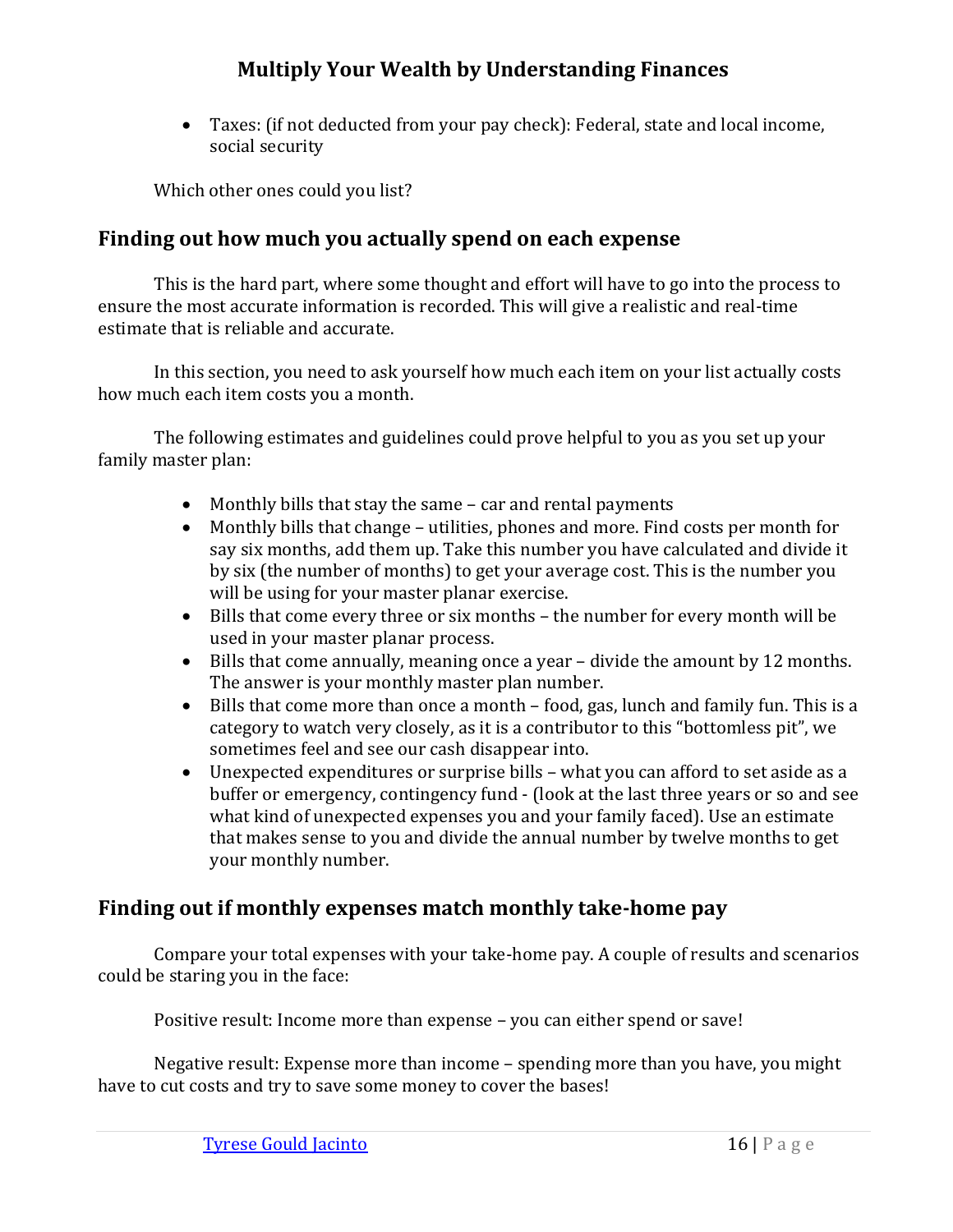• Taxes: (if not deducted from your pay check): Federal, state and local income, social security

Which other ones could you list?

## <span id="page-18-0"></span>**Finding out how much you actually spend on each expense**

This is the hard part, where some thought and effort will have to go into the process to ensure the most accurate information is recorded. This will give a realistic and real-time estimate that is reliable and accurate.

In this section, you need to ask yourself how much each item on your list actually costs how much each item costs you a month.

The following estimates and guidelines could prove helpful to you as you set up your family master plan:

- Monthly bills that stay the same car and rental payments
- Monthly bills that change utilities, phones and more. Find costs per month for say six months, add them up. Take this number you have calculated and divide it by six (the number of months) to get your average cost. This is the number you will be using for your master planar exercise.
- Bills that come every three or six months the number for every month will be used in your master planar process.
- Bills that come annually, meaning once a year divide the amount by 12 months. The answer is your monthly master plan number.
- Bills that come more than once a month food, gas, lunch and family fun. This is a category to watch very closely, as it is a contributor to this "bottomless pit", we sometimes feel and see our cash disappear into.
- Unexpected expenditures or surprise bills what you can afford to set aside as a buffer or emergency, contingency fund - (look at the last three years or so and see what kind of unexpected expenses you and your family faced). Use an estimate that makes sense to you and divide the annual number by twelve months to get your monthly number.

# <span id="page-18-1"></span>**Finding out if monthly expenses match monthly take-home pay**

Compare your total expenses with your take-home pay. A couple of results and scenarios could be staring you in the face:

Positive result: Income more than expense – you can either spend or save!

Negative result: Expense more than income – spending more than you have, you might have to cut costs and try to save some money to cover the bases!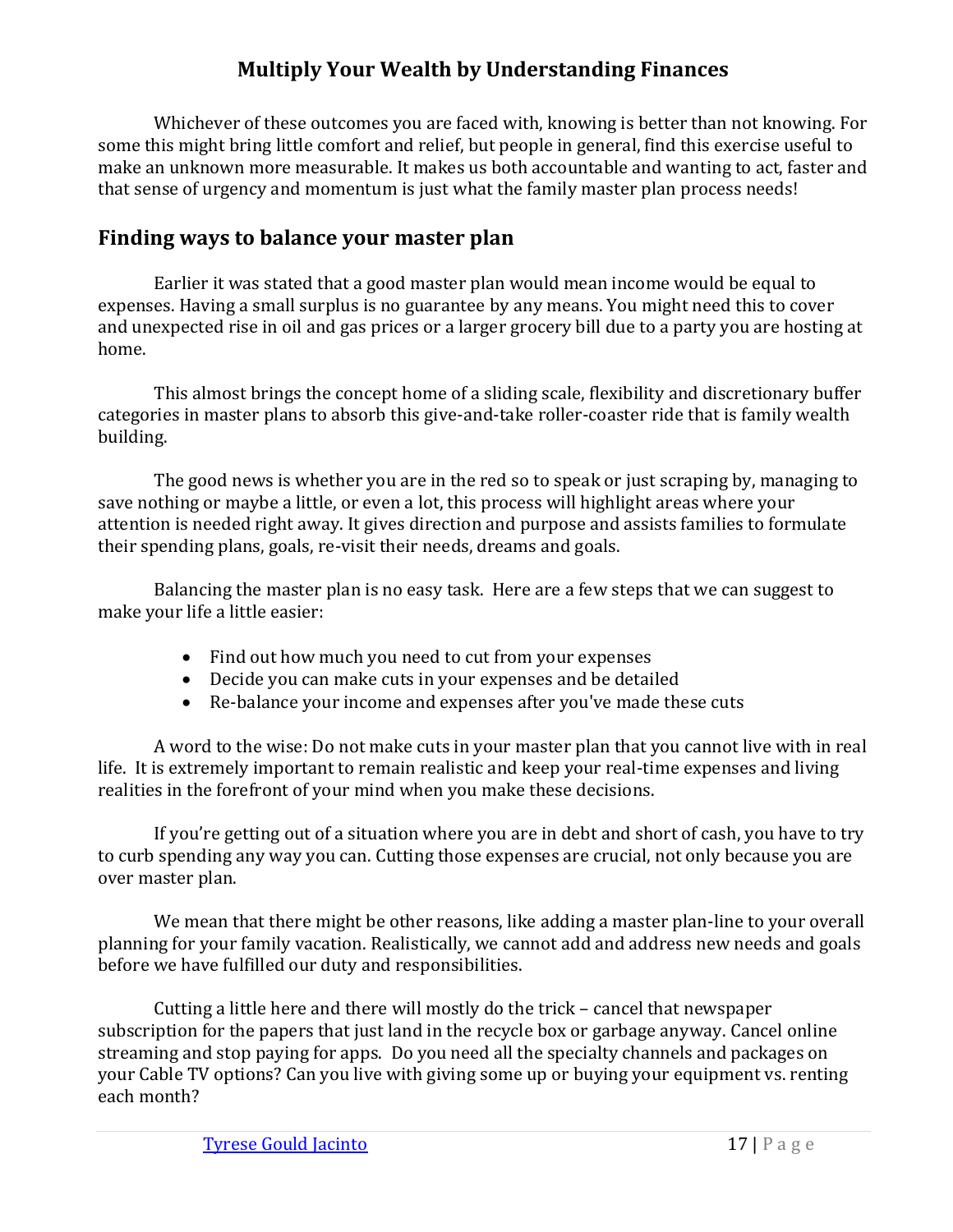Whichever of these outcomes you are faced with, knowing is better than not knowing. For some this might bring little comfort and relief, but people in general, find this exercise useful to make an unknown more measurable. It makes us both accountable and wanting to act, faster and that sense of urgency and momentum is just what the family master plan process needs!

## <span id="page-19-0"></span>**Finding ways to balance your master plan**

Earlier it was stated that a good master plan would mean income would be equal to expenses. Having a small surplus is no guarantee by any means. You might need this to cover and unexpected rise in oil and gas prices or a larger grocery bill due to a party you are hosting at home.

This almost brings the concept home of a sliding scale, flexibility and discretionary buffer categories in master plans to absorb this give-and-take roller-coaster ride that is family wealth building.

The good news is whether you are in the red so to speak or just scraping by, managing to save nothing or maybe a little, or even a lot, this process will highlight areas where your attention is needed right away. It gives direction and purpose and assists families to formulate their spending plans, goals, re-visit their needs, dreams and goals.

Balancing the master plan is no easy task. Here are a few steps that we can suggest to make your life a little easier:

- Find out how much you need to cut from your expenses
- Decide you can make cuts in your expenses and be detailed
- Re-balance your income and expenses after you've made these cuts

A word to the wise: Do not make cuts in your master plan that you cannot live with in real life. It is extremely important to remain realistic and keep your real-time expenses and living realities in the forefront of your mind when you make these decisions.

If you're getting out of a situation where you are in debt and short of cash, you have to try to curb spending any way you can. Cutting those expenses are crucial, not only because you are over master plan.

We mean that there might be other reasons, like adding a master plan-line to your overall planning for your family vacation. Realistically, we cannot add and address new needs and goals before we have fulfilled our duty and responsibilities.

Cutting a little here and there will mostly do the trick – cancel that newspaper subscription for the papers that just land in the recycle box or garbage anyway. Cancel online streaming and stop paying for apps. Do you need all the specialty channels and packages on your Cable TV options? Can you live with giving some up or buying your equipment vs. renting each month?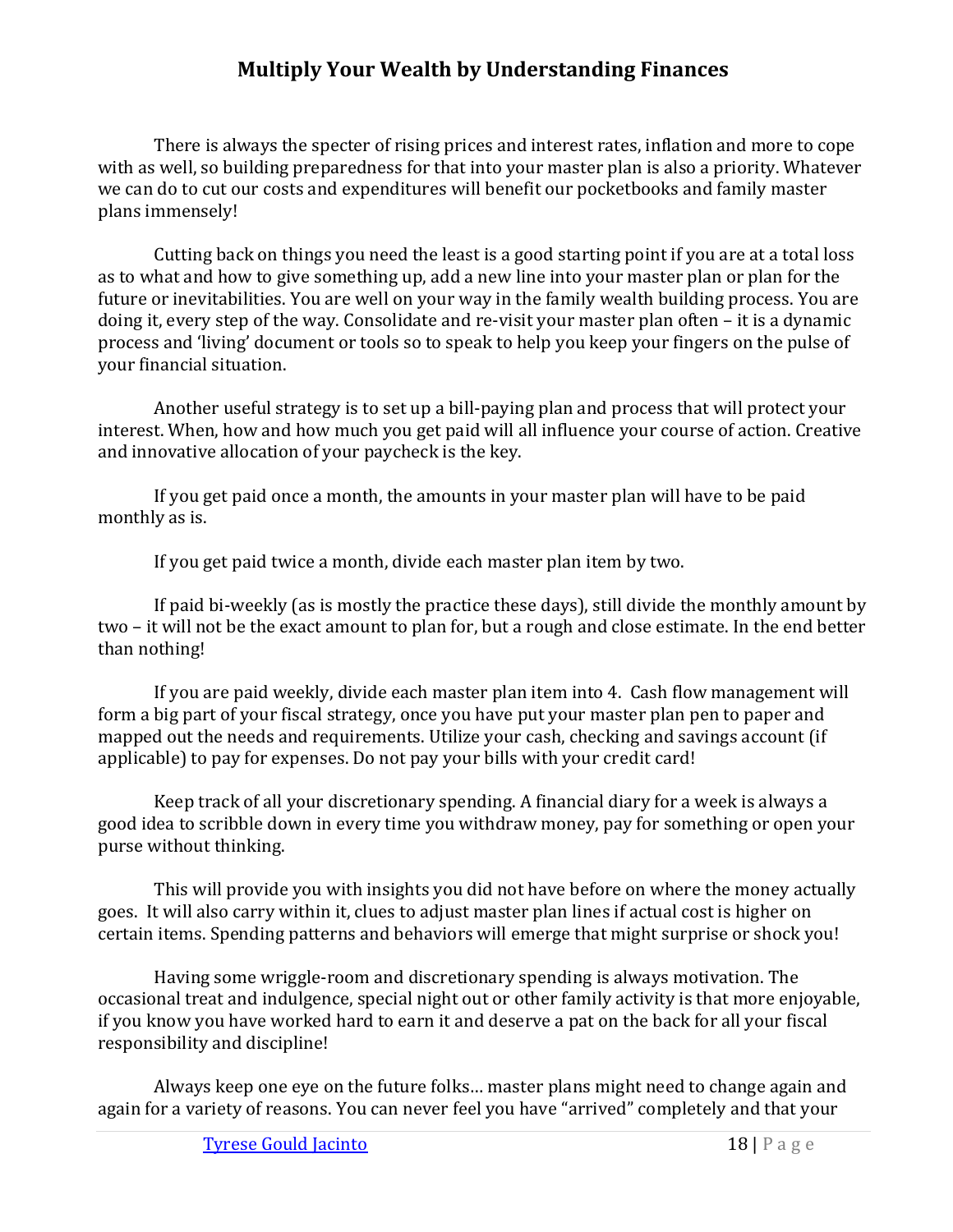There is always the specter of rising prices and interest rates, inflation and more to cope with as well, so building preparedness for that into your master plan is also a priority. Whatever we can do to cut our costs and expenditures will benefit our pocketbooks and family master plans immensely!

Cutting back on things you need the least is a good starting point if you are at a total loss as to what and how to give something up, add a new line into your master plan or plan for the future or inevitabilities. You are well on your way in the family wealth building process. You are doing it, every step of the way. Consolidate and re-visit your master plan often – it is a dynamic process and 'living' document or tools so to speak to help you keep your fingers on the pulse of your financial situation.

Another useful strategy is to set up a bill-paying plan and process that will protect your interest. When, how and how much you get paid will all influence your course of action. Creative and innovative allocation of your paycheck is the key.

If you get paid once a month, the amounts in your master plan will have to be paid monthly as is.

If you get paid twice a month, divide each master plan item by two.

If paid bi-weekly (as is mostly the practice these days), still divide the monthly amount by two – it will not be the exact amount to plan for, but a rough and close estimate. In the end better than nothing!

If you are paid weekly, divide each master plan item into 4. Cash flow management will form a big part of your fiscal strategy, once you have put your master plan pen to paper and mapped out the needs and requirements. Utilize your cash, checking and savings account (if applicable) to pay for expenses. Do not pay your bills with your credit card!

Keep track of all your discretionary spending. A financial diary for a week is always a good idea to scribble down in every time you withdraw money, pay for something or open your purse without thinking.

This will provide you with insights you did not have before on where the money actually goes. It will also carry within it, clues to adjust master plan lines if actual cost is higher on certain items. Spending patterns and behaviors will emerge that might surprise or shock you!

Having some wriggle-room and discretionary spending is always motivation. The occasional treat and indulgence, special night out or other family activity is that more enjoyable, if you know you have worked hard to earn it and deserve a pat on the back for all your fiscal responsibility and discipline!

Always keep one eye on the future folks… master plans might need to change again and again for a variety of reasons. You can never feel you have "arrived" completely and that your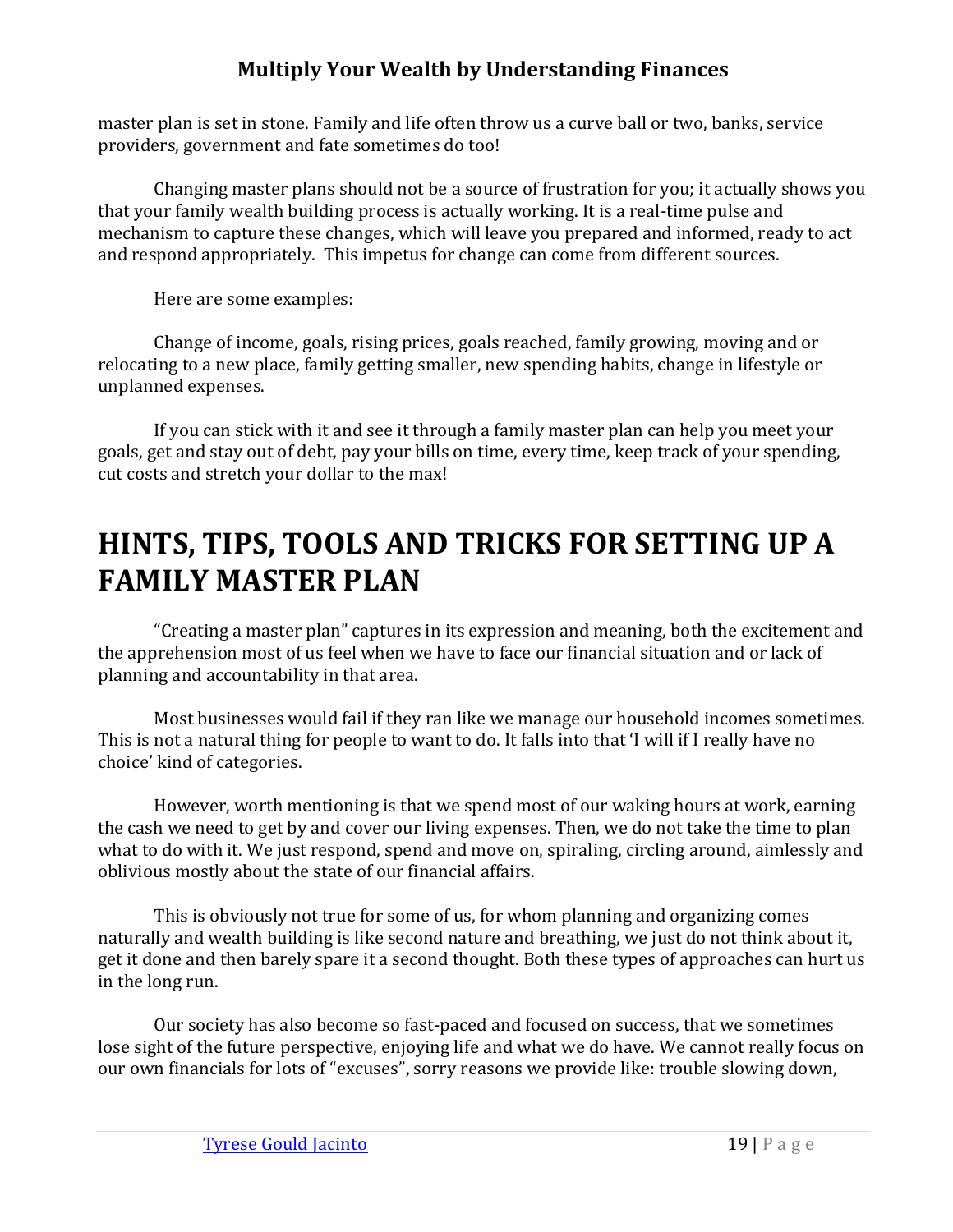master plan is set in stone. Family and life often throw us a curve ball or two, banks, service providers, government and fate sometimes do too!

Changing master plans should not be a source of frustration for you; it actually shows you that your family wealth building process is actually working. It is a real-time pulse and mechanism to capture these changes, which will leave you prepared and informed, ready to act and respond appropriately. This impetus for change can come from different sources.

Here are some examples:

Change of income, goals, rising prices, goals reached, family growing, moving and or relocating to a new place, family getting smaller, new spending habits, change in lifestyle or unplanned expenses.

If you can stick with it and see it through a family master plan can help you meet your goals, get and stay out of debt, pay your bills on time, every time, keep track of your spending, cut costs and stretch your dollar to the max!

# <span id="page-21-0"></span>**HINTS, TIPS, TOOLS AND TRICKS FOR SETTING UP A FAMILY MASTER PLAN**

"Creating a master plan" captures in its expression and meaning, both the excitement and the apprehension most of us feel when we have to face our financial situation and or lack of planning and accountability in that area.

Most businesses would fail if they ran like we manage our household incomes sometimes. This is not a natural thing for people to want to do. It falls into that 'I will if I really have no choice' kind of categories.

However, worth mentioning is that we spend most of our waking hours at work, earning the cash we need to get by and cover our living expenses. Then, we do not take the time to plan what to do with it. We just respond, spend and move on, spiraling, circling around, aimlessly and oblivious mostly about the state of our financial affairs.

This is obviously not true for some of us, for whom planning and organizing comes naturally and wealth building is like second nature and breathing, we just do not think about it, get it done and then barely spare it a second thought. Both these types of approaches can hurt us in the long run.

Our society has also become so fast-paced and focused on success, that we sometimes lose sight of the future perspective, enjoying life and what we do have. We cannot really focus on our own financials for lots of "excuses", sorry reasons we provide like: trouble slowing down,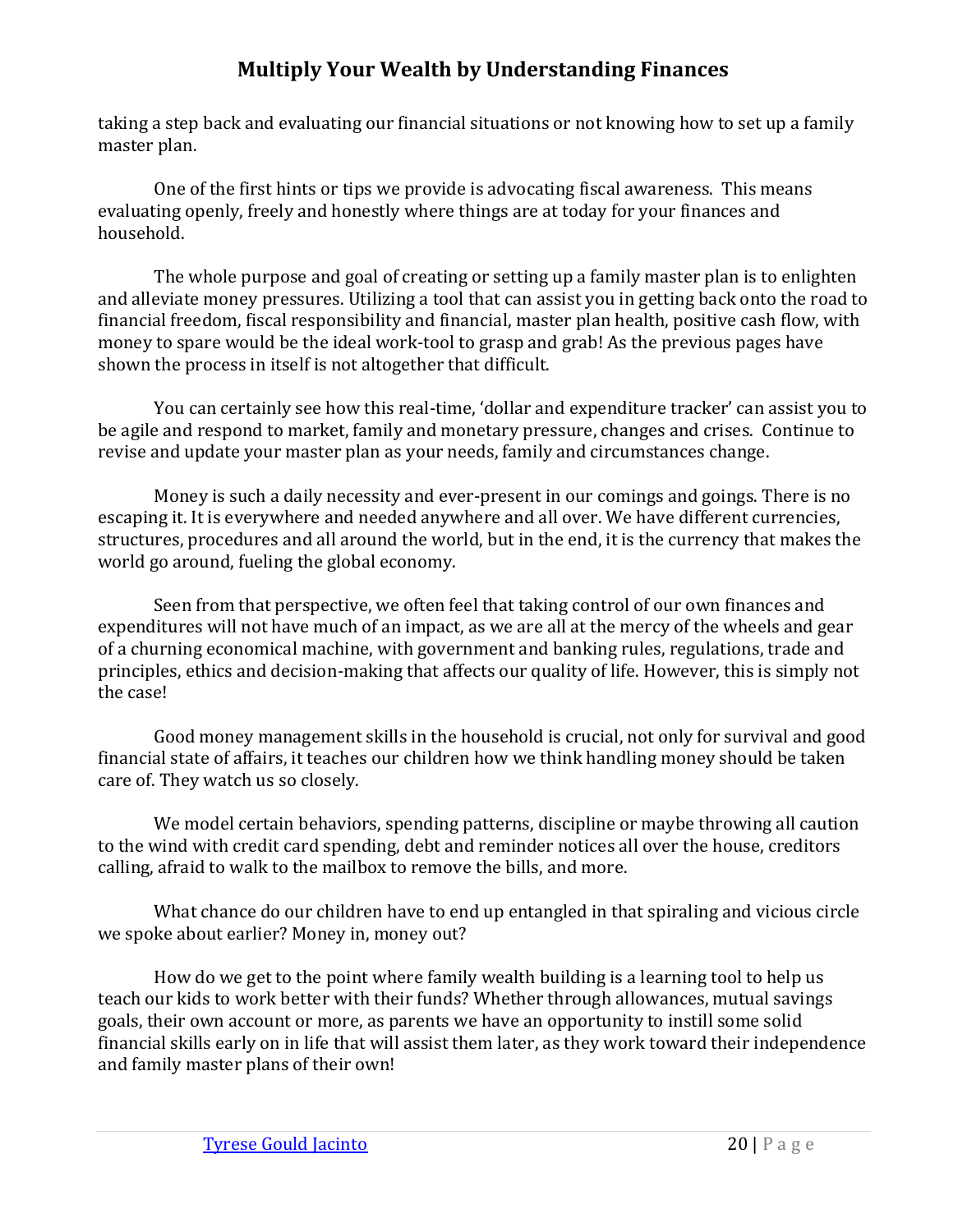taking a step back and evaluating our financial situations or not knowing how to set up a family master plan.

One of the first hints or tips we provide is advocating fiscal awareness. This means evaluating openly, freely and honestly where things are at today for your finances and household.

The whole purpose and goal of creating or setting up a family master plan is to enlighten and alleviate money pressures. Utilizing a tool that can assist you in getting back onto the road to financial freedom, fiscal responsibility and financial, master plan health, positive cash flow, with money to spare would be the ideal work-tool to grasp and grab! As the previous pages have shown the process in itself is not altogether that difficult.

You can certainly see how this real-time, 'dollar and expenditure tracker' can assist you to be agile and respond to market, family and monetary pressure, changes and crises. Continue to revise and update your master plan as your needs, family and circumstances change.

Money is such a daily necessity and ever-present in our comings and goings. There is no escaping it. It is everywhere and needed anywhere and all over. We have different currencies, structures, procedures and all around the world, but in the end, it is the currency that makes the world go around, fueling the global economy.

Seen from that perspective, we often feel that taking control of our own finances and expenditures will not have much of an impact, as we are all at the mercy of the wheels and gear of a churning economical machine, with government and banking rules, regulations, trade and principles, ethics and decision-making that affects our quality of life. However, this is simply not the case!

Good money management skills in the household is crucial, not only for survival and good financial state of affairs, it teaches our children how we think handling money should be taken care of. They watch us so closely.

We model certain behaviors, spending patterns, discipline or maybe throwing all caution to the wind with credit card spending, debt and reminder notices all over the house, creditors calling, afraid to walk to the mailbox to remove the bills, and more.

What chance do our children have to end up entangled in that spiraling and vicious circle we spoke about earlier? Money in, money out?

How do we get to the point where family wealth building is a learning tool to help us teach our kids to work better with their funds? Whether through allowances, mutual savings goals, their own account or more, as parents we have an opportunity to instill some solid financial skills early on in life that will assist them later, as they work toward their independence and family master plans of their own!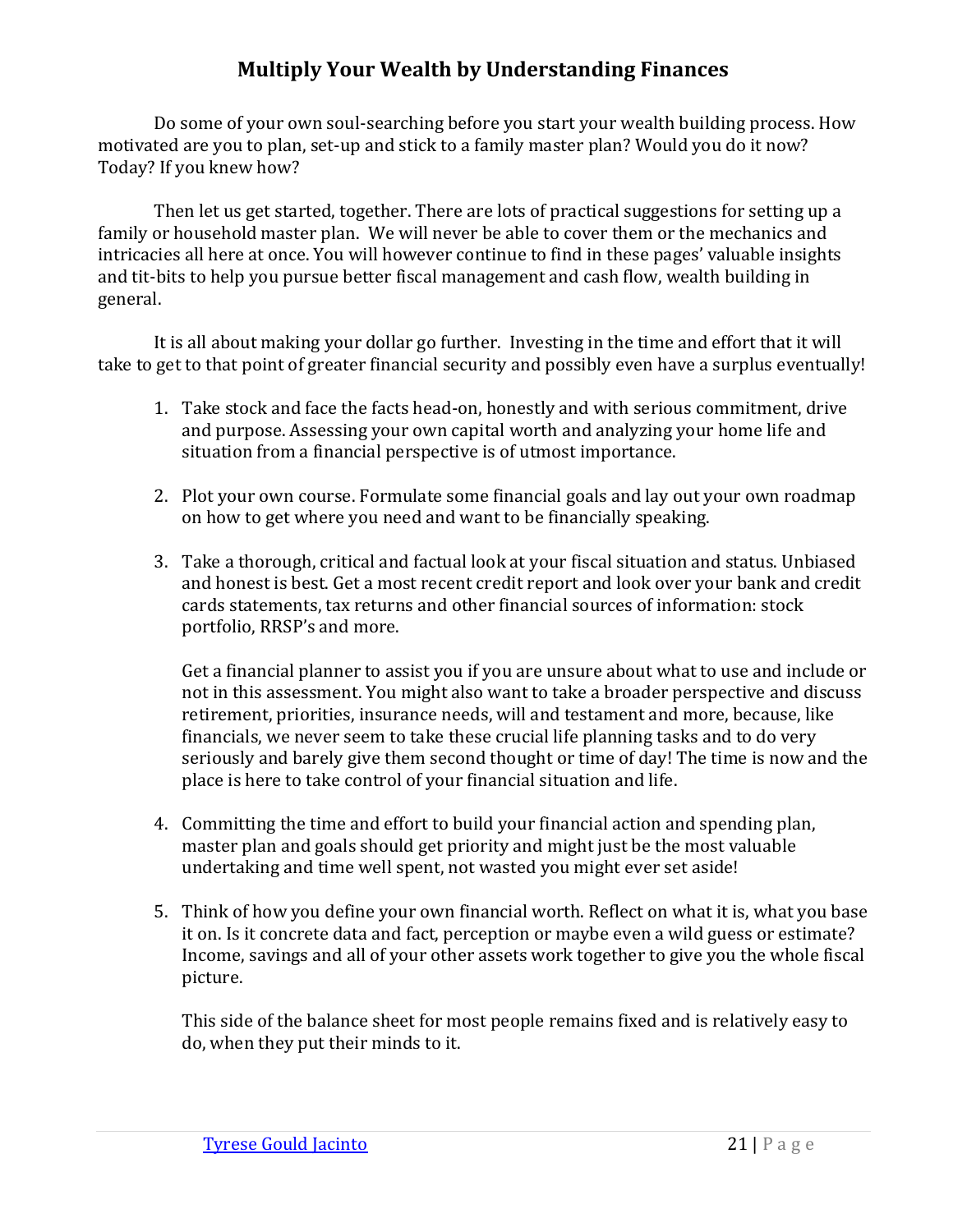Do some of your own soul-searching before you start your wealth building process. How motivated are you to plan, set-up and stick to a family master plan? Would you do it now? Today? If you knew how?

Then let us get started, together. There are lots of practical suggestions for setting up a family or household master plan. We will never be able to cover them or the mechanics and intricacies all here at once. You will however continue to find in these pages' valuable insights and tit-bits to help you pursue better fiscal management and cash flow, wealth building in general.

It is all about making your dollar go further. Investing in the time and effort that it will take to get to that point of greater financial security and possibly even have a surplus eventually!

- 1. Take stock and face the facts head-on, honestly and with serious commitment, drive and purpose. Assessing your own capital worth and analyzing your home life and situation from a financial perspective is of utmost importance.
- 2. Plot your own course. Formulate some financial goals and lay out your own roadmap on how to get where you need and want to be financially speaking.
- 3. Take a thorough, critical and factual look at your fiscal situation and status. Unbiased and honest is best. Get a most recent credit report and look over your bank and credit cards statements, tax returns and other financial sources of information: stock portfolio, RRSP's and more.

Get a financial planner to assist you if you are unsure about what to use and include or not in this assessment. You might also want to take a broader perspective and discuss retirement, priorities, insurance needs, will and testament and more, because, like financials, we never seem to take these crucial life planning tasks and to do very seriously and barely give them second thought or time of day! The time is now and the place is here to take control of your financial situation and life.

- 4. Committing the time and effort to build your financial action and spending plan, master plan and goals should get priority and might just be the most valuable undertaking and time well spent, not wasted you might ever set aside!
- 5. Think of how you define your own financial worth. Reflect on what it is, what you base it on. Is it concrete data and fact, perception or maybe even a wild guess or estimate? Income, savings and all of your other assets work together to give you the whole fiscal picture.

This side of the balance sheet for most people remains fixed and is relatively easy to do, when they put their minds to it.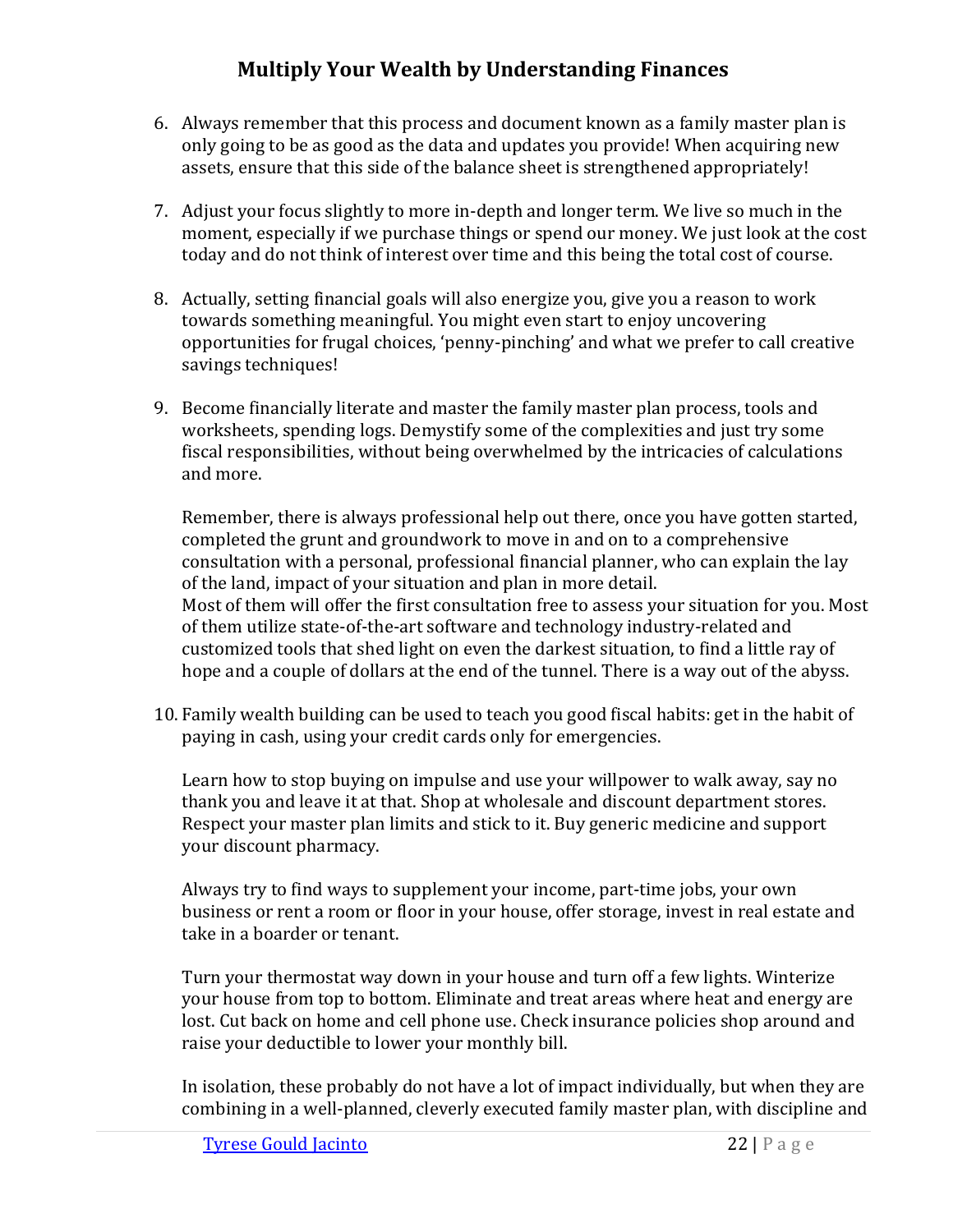- 6. Always remember that this process and document known as a family master plan is only going to be as good as the data and updates you provide! When acquiring new assets, ensure that this side of the balance sheet is strengthened appropriately!
- 7. Adjust your focus slightly to more in-depth and longer term. We live so much in the moment, especially if we purchase things or spend our money. We just look at the cost today and do not think of interest over time and this being the total cost of course.
- 8. Actually, setting financial goals will also energize you, give you a reason to work towards something meaningful. You might even start to enjoy uncovering opportunities for frugal choices, 'penny-pinching' and what we prefer to call creative savings techniques!
- 9. Become financially literate and master the family master plan process, tools and worksheets, spending logs. Demystify some of the complexities and just try some fiscal responsibilities, without being overwhelmed by the intricacies of calculations and more.

Remember, there is always professional help out there, once you have gotten started, completed the grunt and groundwork to move in and on to a comprehensive consultation with a personal, professional financial planner, who can explain the lay of the land, impact of your situation and plan in more detail. Most of them will offer the first consultation free to assess your situation for you. Most of them utilize state-of-the-art software and technology industry-related and customized tools that shed light on even the darkest situation, to find a little ray of hope and a couple of dollars at the end of the tunnel. There is a way out of the abyss.

10. Family wealth building can be used to teach you good fiscal habits: get in the habit of paying in cash, using your credit cards only for emergencies.

Learn how to stop buying on impulse and use your willpower to walk away, say no thank you and leave it at that. Shop at wholesale and discount department stores. Respect your master plan limits and stick to it. Buy generic medicine and support your discount pharmacy.

Always try to find ways to supplement your income, part-time jobs, your own business or rent a room or floor in your house, offer storage, invest in real estate and take in a boarder or tenant.

Turn your thermostat way down in your house and turn off a few lights. Winterize your house from top to bottom. Eliminate and treat areas where heat and energy are lost. Cut back on home and cell phone use. Check insurance policies shop around and raise your deductible to lower your monthly bill.

In isolation, these probably do not have a lot of impact individually, but when they are combining in a well-planned, cleverly executed family master plan, with discipline and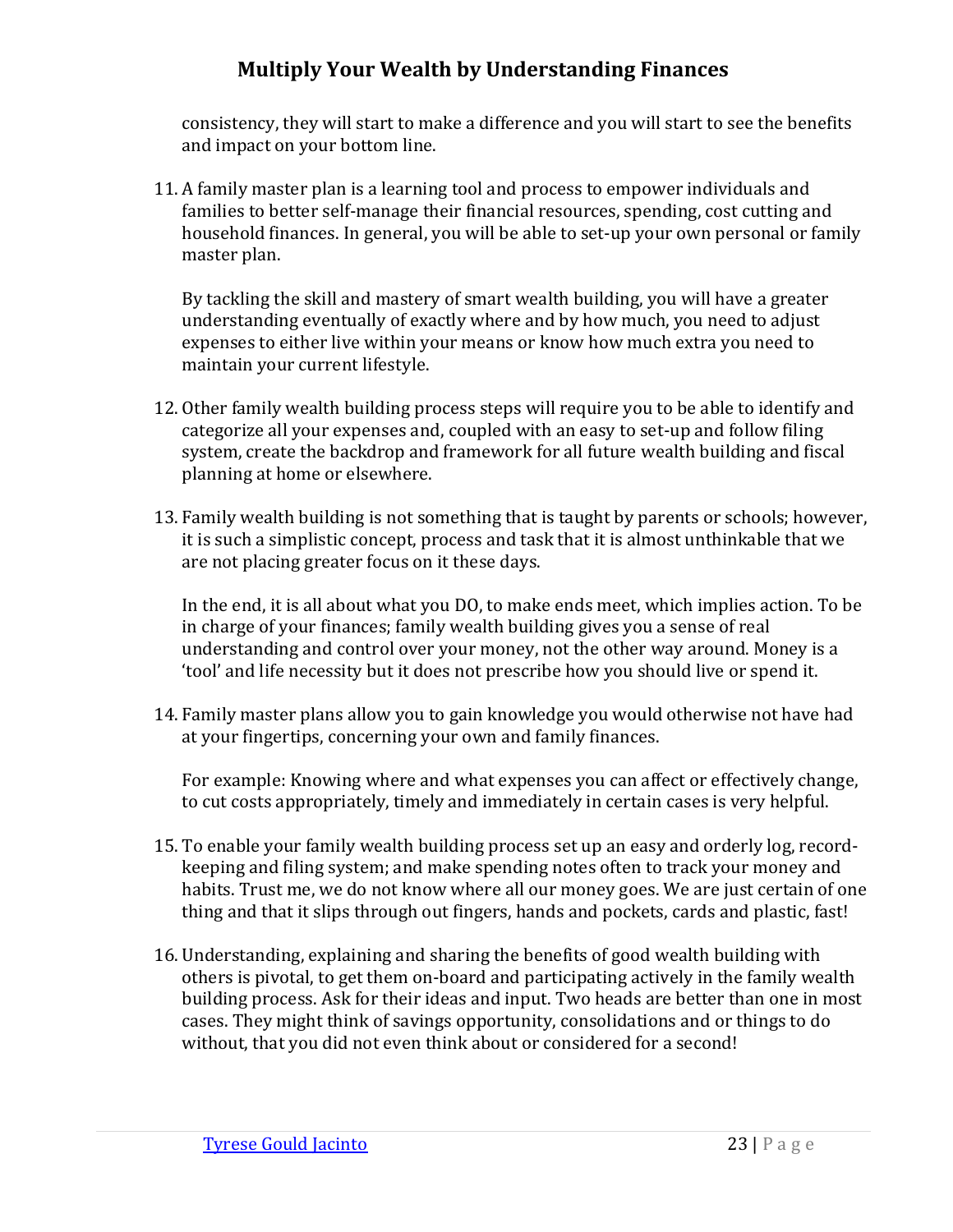consistency, they will start to make a difference and you will start to see the benefits and impact on your bottom line.

11. A family master plan is a learning tool and process to empower individuals and families to better self-manage their financial resources, spending, cost cutting and household finances. In general, you will be able to set-up your own personal or family master plan.

By tackling the skill and mastery of smart wealth building, you will have a greater understanding eventually of exactly where and by how much, you need to adjust expenses to either live within your means or know how much extra you need to maintain your current lifestyle.

- 12. Other family wealth building process steps will require you to be able to identify and categorize all your expenses and, coupled with an easy to set-up and follow filing system, create the backdrop and framework for all future wealth building and fiscal planning at home or elsewhere.
- 13. Family wealth building is not something that is taught by parents or schools; however, it is such a simplistic concept, process and task that it is almost unthinkable that we are not placing greater focus on it these days.

In the end, it is all about what you DO, to make ends meet, which implies action. To be in charge of your finances; family wealth building gives you a sense of real understanding and control over your money, not the other way around. Money is a 'tool' and life necessity but it does not prescribe how you should live or spend it.

14. Family master plans allow you to gain knowledge you would otherwise not have had at your fingertips, concerning your own and family finances.

For example: Knowing where and what expenses you can affect or effectively change, to cut costs appropriately, timely and immediately in certain cases is very helpful.

- 15. To enable your family wealth building process set up an easy and orderly log, recordkeeping and filing system; and make spending notes often to track your money and habits. Trust me, we do not know where all our money goes. We are just certain of one thing and that it slips through out fingers, hands and pockets, cards and plastic, fast!
- 16. Understanding, explaining and sharing the benefits of good wealth building with others is pivotal, to get them on-board and participating actively in the family wealth building process. Ask for their ideas and input. Two heads are better than one in most cases. They might think of savings opportunity, consolidations and or things to do without, that you did not even think about or considered for a second!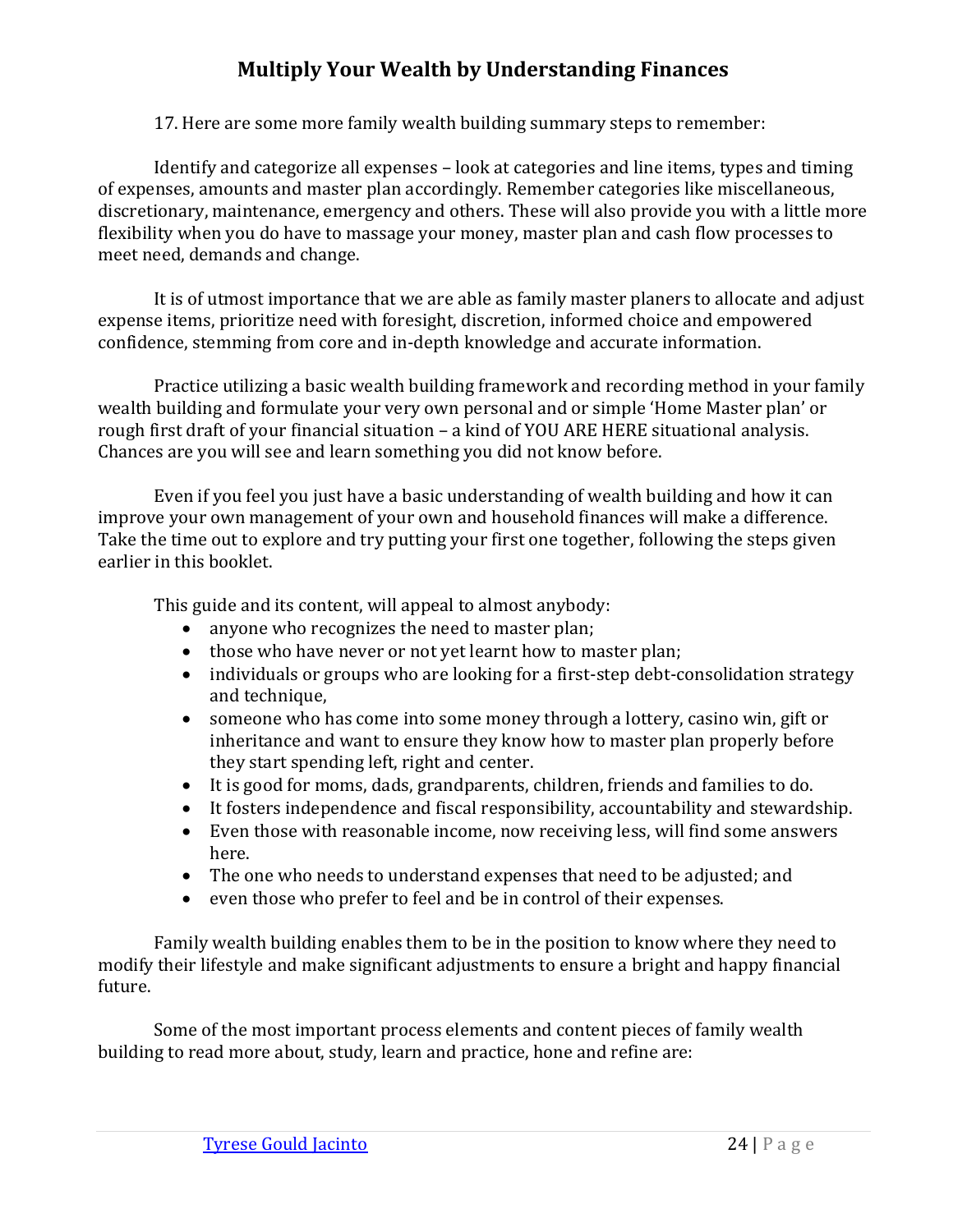17. Here are some more family wealth building summary steps to remember:

Identify and categorize all expenses – look at categories and line items, types and timing of expenses, amounts and master plan accordingly. Remember categories like miscellaneous, discretionary, maintenance, emergency and others. These will also provide you with a little more flexibility when you do have to massage your money, master plan and cash flow processes to meet need, demands and change.

It is of utmost importance that we are able as family master planers to allocate and adjust expense items, prioritize need with foresight, discretion, informed choice and empowered confidence, stemming from core and in-depth knowledge and accurate information.

Practice utilizing a basic wealth building framework and recording method in your family wealth building and formulate your very own personal and or simple 'Home Master plan' or rough first draft of your financial situation – a kind of YOU ARE HERE situational analysis. Chances are you will see and learn something you did not know before.

Even if you feel you just have a basic understanding of wealth building and how it can improve your own management of your own and household finances will make a difference. Take the time out to explore and try putting your first one together, following the steps given earlier in this booklet.

This guide and its content, will appeal to almost anybody:

- anyone who recognizes the need to master plan;
- those who have never or not yet learnt how to master plan;
- individuals or groups who are looking for a first-step debt-consolidation strategy and technique,
- someone who has come into some money through a lottery, casino win, gift or inheritance and want to ensure they know how to master plan properly before they start spending left, right and center.
- It is good for moms, dads, grandparents, children, friends and families to do.
- It fosters independence and fiscal responsibility, accountability and stewardship.
- Even those with reasonable income, now receiving less, will find some answers here.
- The one who needs to understand expenses that need to be adjusted; and
- even those who prefer to feel and be in control of their expenses.

Family wealth building enables them to be in the position to know where they need to modify their lifestyle and make significant adjustments to ensure a bright and happy financial future.

Some of the most important process elements and content pieces of family wealth building to read more about, study, learn and practice, hone and refine are: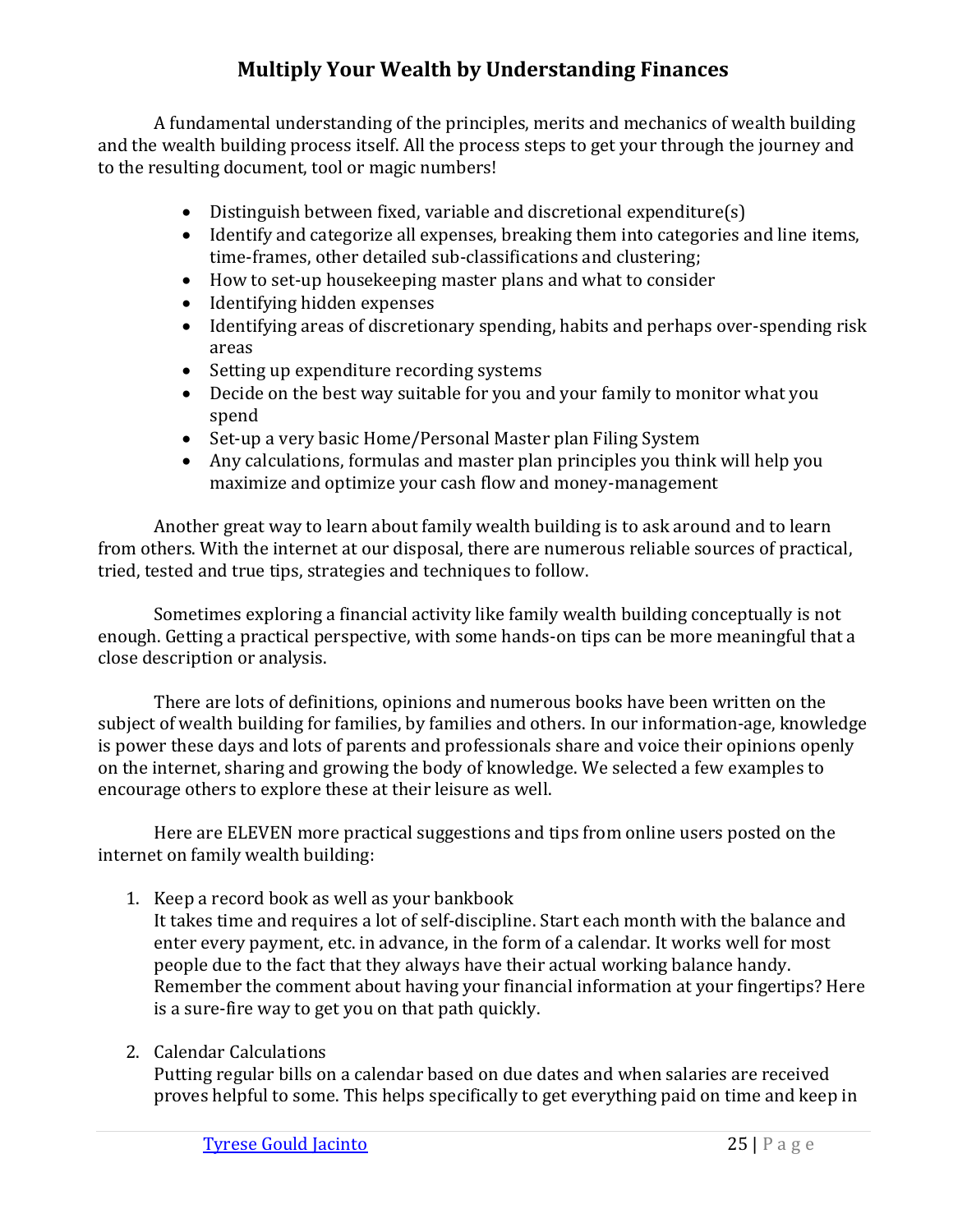A fundamental understanding of the principles, merits and mechanics of wealth building and the wealth building process itself. All the process steps to get your through the journey and to the resulting document, tool or magic numbers!

- Distinguish between fixed, variable and discretional expenditure(s)
- Identify and categorize all expenses, breaking them into categories and line items, time-frames, other detailed sub-classifications and clustering;
- How to set-up housekeeping master plans and what to consider
- Identifying hidden expenses
- Identifying areas of discretionary spending, habits and perhaps over-spending risk areas
- Setting up expenditure recording systems
- Decide on the best way suitable for you and your family to monitor what you spend
- Set-up a very basic Home/Personal Master plan Filing System
- Any calculations, formulas and master plan principles you think will help you maximize and optimize your cash flow and money-management

Another great way to learn about family wealth building is to ask around and to learn from others. With the internet at our disposal, there are numerous reliable sources of practical, tried, tested and true tips, strategies and techniques to follow.

Sometimes exploring a financial activity like family wealth building conceptually is not enough. Getting a practical perspective, with some hands-on tips can be more meaningful that a close description or analysis.

There are lots of definitions, opinions and numerous books have been written on the subject of wealth building for families, by families and others. In our information-age, knowledge is power these days and lots of parents and professionals share and voice their opinions openly on the internet, sharing and growing the body of knowledge. We selected a few examples to encourage others to explore these at their leisure as well.

Here are ELEVEN more practical suggestions and tips from online users posted on the internet on family wealth building:

1. Keep a record book as well as your bankbook

It takes time and requires a lot of self-discipline. Start each month with the balance and enter every payment, etc. in advance, in the form of a calendar. It works well for most people due to the fact that they always have their actual working balance handy. Remember the comment about having your financial information at your fingertips? Here is a sure-fire way to get you on that path quickly.

2. Calendar Calculations

Putting regular bills on a calendar based on due dates and when salaries are received proves helpful to some. This helps specifically to get everything paid on time and keep in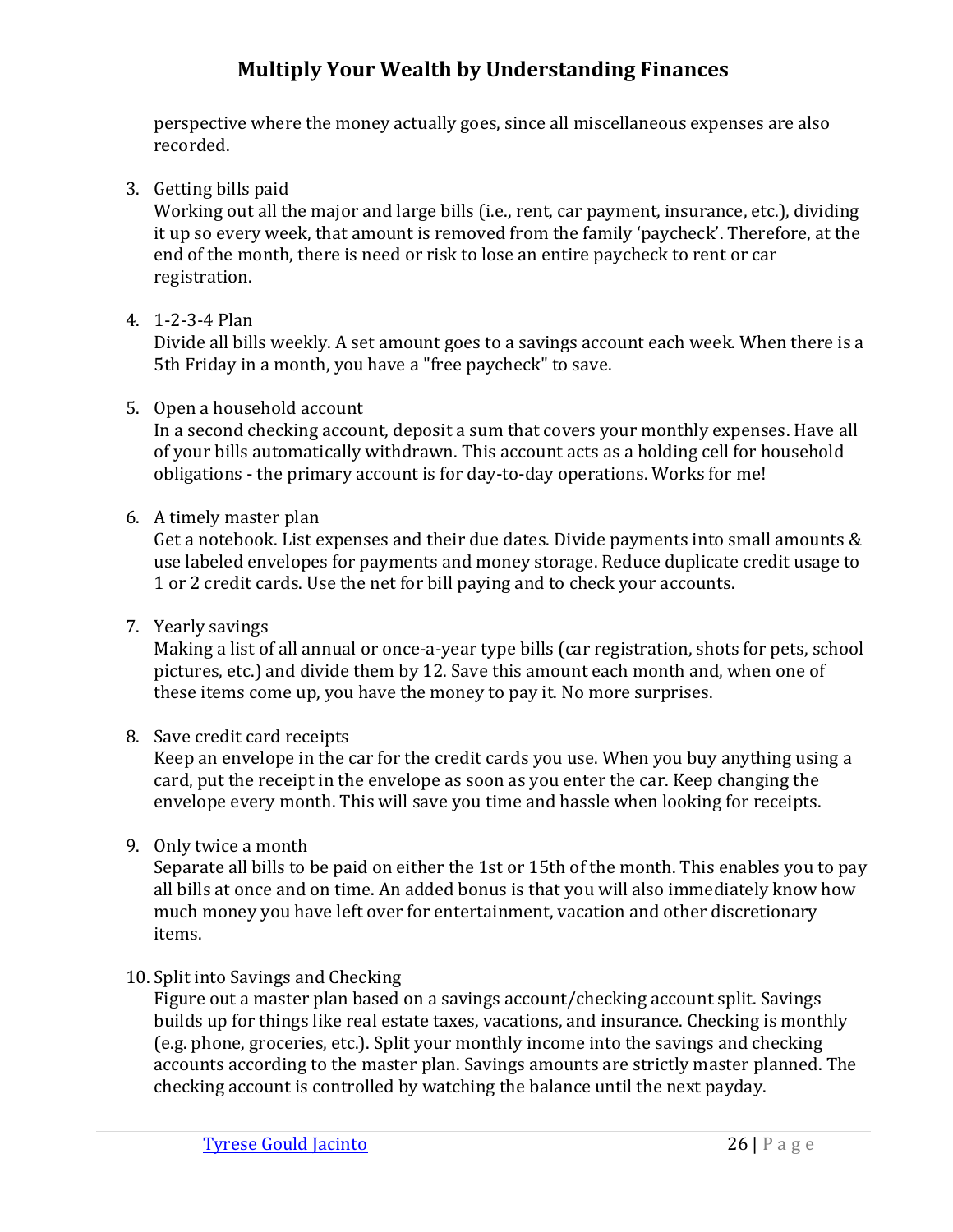perspective where the money actually goes, since all miscellaneous expenses are also recorded.

3. Getting bills paid

Working out all the major and large bills (i.e., rent, car payment, insurance, etc.), dividing it up so every week, that amount is removed from the family 'paycheck'. Therefore, at the end of the month, there is need or risk to lose an entire paycheck to rent or car registration.

4. 1-2-3-4 Plan

Divide all bills weekly. A set amount goes to a savings account each week. When there is a 5th Friday in a month, you have a "free paycheck" to save.

#### 5. Open a household account

In a second checking account, deposit a sum that covers your monthly expenses. Have all of your bills automatically withdrawn. This account acts as a holding cell for household obligations - the primary account is for day-to-day operations. Works for me!

6. A timely master plan

Get a notebook. List expenses and their due dates. Divide payments into small amounts & use labeled envelopes for payments and money storage. Reduce duplicate credit usage to 1 or 2 credit cards. Use the net for bill paying and to check your accounts.

7. Yearly savings

Making a list of all annual or once-a-year type bills (car registration, shots for pets, school pictures, etc.) and divide them by 12. Save this amount each month and, when one of these items come up, you have the money to pay it. No more surprises.

#### 8. Save credit card receipts

Keep an envelope in the car for the credit cards you use. When you buy anything using a card, put the receipt in the envelope as soon as you enter the car. Keep changing the envelope every month. This will save you time and hassle when looking for receipts.

9. Only twice a month

Separate all bills to be paid on either the 1st or 15th of the month. This enables you to pay all bills at once and on time. An added bonus is that you will also immediately know how much money you have left over for entertainment, vacation and other discretionary items.

10. Split into Savings and Checking

Figure out a master plan based on a savings account/checking account split. Savings builds up for things like real estate taxes, vacations, and insurance. Checking is monthly (e.g. phone, groceries, etc.). Split your monthly income into the savings and checking accounts according to the master plan. Savings amounts are strictly master planned. The checking account is controlled by watching the balance until the next payday.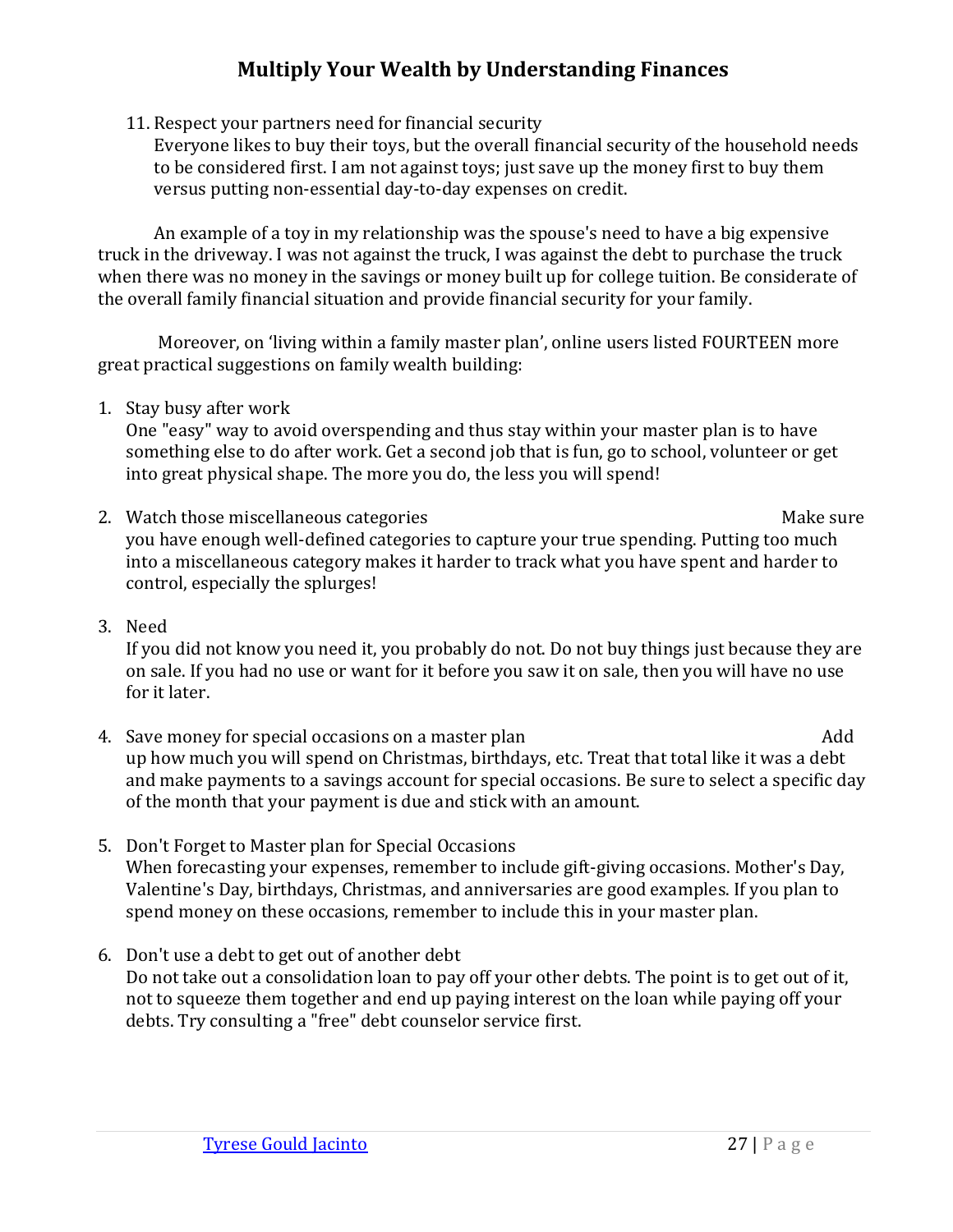11. Respect your partners need for financial security

Everyone likes to buy their toys, but the overall financial security of the household needs to be considered first. I am not against toys; just save up the money first to buy them versus putting non-essential day-to-day expenses on credit.

An example of a toy in my relationship was the spouse's need to have a big expensive truck in the driveway. I was not against the truck, I was against the debt to purchase the truck when there was no money in the savings or money built up for college tuition. Be considerate of the overall family financial situation and provide financial security for your family.

Moreover, on 'living within a family master plan', online users listed FOURTEEN more great practical suggestions on family wealth building:

1. Stay busy after work

One "easy" way to avoid overspending and thus stay within your master plan is to have something else to do after work. Get a second job that is fun, go to school, volunteer or get into great physical shape. The more you do, the less you will spend!

- 2. Watch those miscellaneous categories and the matter of the Make sure Make sure you have enough well-defined categories to capture your true spending. Putting too much into a miscellaneous category makes it harder to track what you have spent and harder to control, especially the splurges!
- 3. Need

If you did not know you need it, you probably do not. Do not buy things just because they are on sale. If you had no use or want for it before you saw it on sale, then you will have no use for it later.

- 4. Save money for special occasions on a master plan quality and a master plan up how much you will spend on Christmas, birthdays, etc. Treat that total like it was a debt and make payments to a savings account for special occasions. Be sure to select a specific day of the month that your payment is due and stick with an amount.
- 5. Don't Forget to Master plan for Special Occasions When forecasting your expenses, remember to include gift-giving occasions. Mother's Day, Valentine's Day, birthdays, Christmas, and anniversaries are good examples. If you plan to spend money on these occasions, remember to include this in your master plan.
- 6. Don't use a debt to get out of another debt Do not take out a consolidation loan to pay off your other debts. The point is to get out of it, not to squeeze them together and end up paying interest on the loan while paying off your debts. Try consulting a "free" debt counselor service first.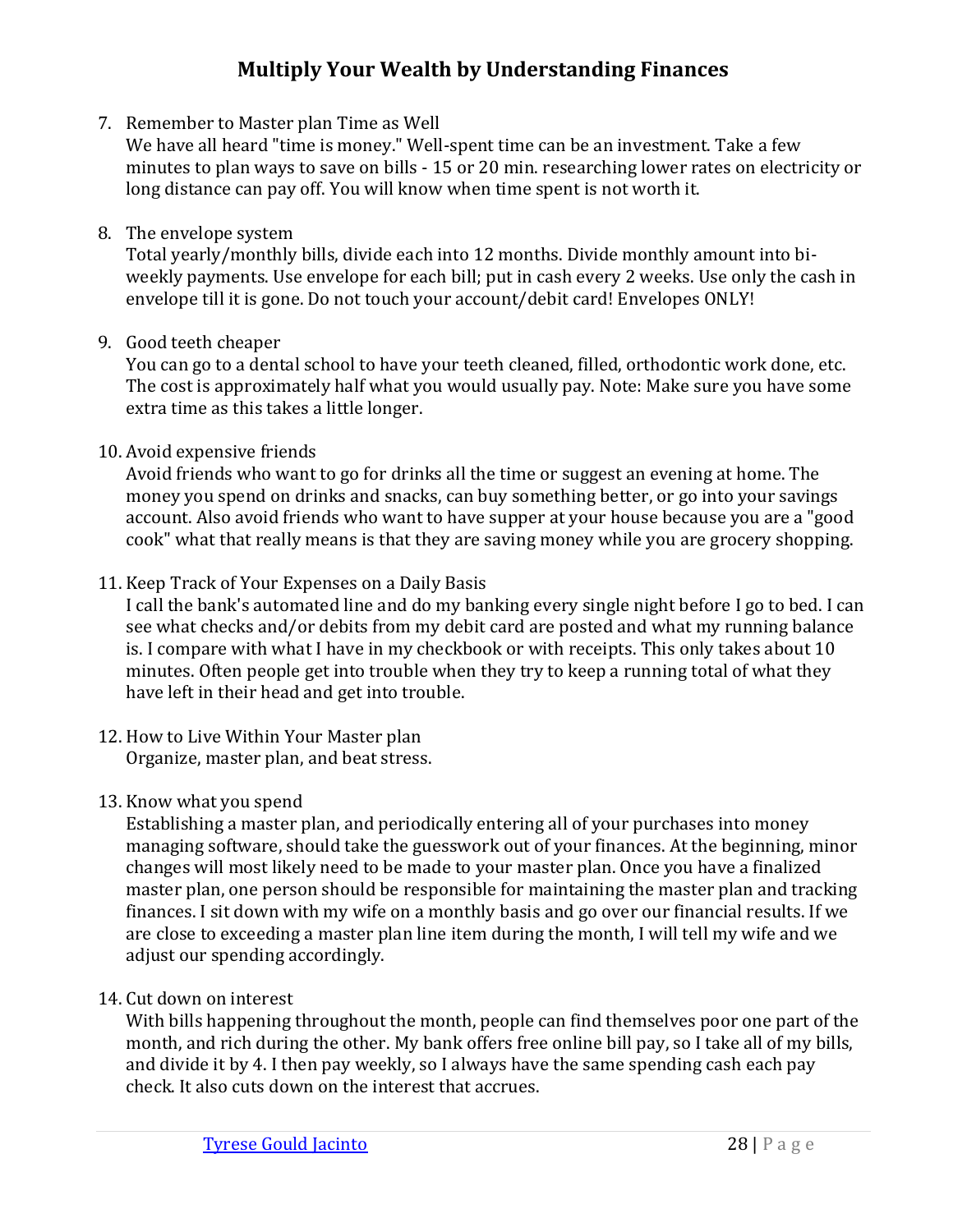7. Remember to Master plan Time as Well

We have all heard "time is money." Well-spent time can be an investment. Take a few minutes to plan ways to save on bills - 15 or 20 min. researching lower rates on electricity or long distance can pay off. You will know when time spent is not worth it.

8. The envelope system

Total yearly/monthly bills, divide each into 12 months. Divide monthly amount into biweekly payments. Use envelope for each bill; put in cash every 2 weeks. Use only the cash in envelope till it is gone. Do not touch your account/debit card! Envelopes ONLY!

9. Good teeth cheaper

You can go to a dental school to have your teeth cleaned, filled, orthodontic work done, etc. The cost is approximately half what you would usually pay. Note: Make sure you have some extra time as this takes a little longer.

#### 10. Avoid expensive friends

Avoid friends who want to go for drinks all the time or suggest an evening at home. The money you spend on drinks and snacks, can buy something better, or go into your savings account. Also avoid friends who want to have supper at your house because you are a "good cook" what that really means is that they are saving money while you are grocery shopping.

11. Keep Track of Your Expenses on a Daily Basis

I call the bank's automated line and do my banking every single night before I go to bed. I can see what checks and/or debits from my debit card are posted and what my running balance is. I compare with what I have in my checkbook or with receipts. This only takes about 10 minutes. Often people get into trouble when they try to keep a running total of what they have left in their head and get into trouble.

12. How to Live Within Your Master plan Organize, master plan, and beat stress.

#### 13. Know what you spend

Establishing a master plan, and periodically entering all of your purchases into money managing software, should take the guesswork out of your finances. At the beginning, minor changes will most likely need to be made to your master plan. Once you have a finalized master plan, one person should be responsible for maintaining the master plan and tracking finances. I sit down with my wife on a monthly basis and go over our financial results. If we are close to exceeding a master plan line item during the month, I will tell my wife and we adjust our spending accordingly.

14. Cut down on interest

With bills happening throughout the month, people can find themselves poor one part of the month, and rich during the other. My bank offers free online bill pay, so I take all of my bills, and divide it by 4. I then pay weekly, so I always have the same spending cash each pay check. It also cuts down on the interest that accrues.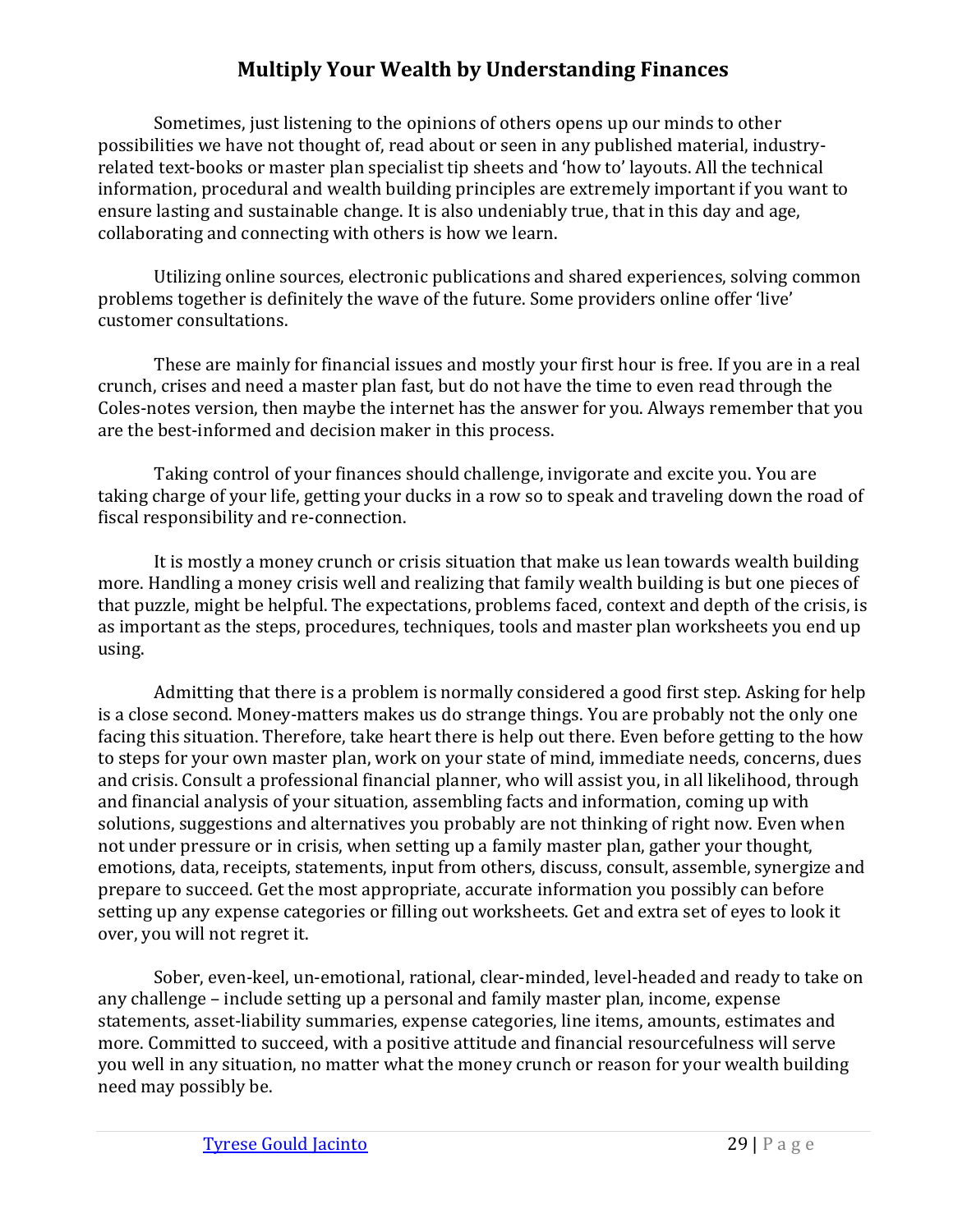Sometimes, just listening to the opinions of others opens up our minds to other possibilities we have not thought of, read about or seen in any published material, industryrelated text-books or master plan specialist tip sheets and 'how to' layouts. All the technical information, procedural and wealth building principles are extremely important if you want to ensure lasting and sustainable change. It is also undeniably true, that in this day and age, collaborating and connecting with others is how we learn.

Utilizing online sources, electronic publications and shared experiences, solving common problems together is definitely the wave of the future. Some providers online offer 'live' customer consultations.

These are mainly for financial issues and mostly your first hour is free. If you are in a real crunch, crises and need a master plan fast, but do not have the time to even read through the Coles-notes version, then maybe the internet has the answer for you. Always remember that you are the best-informed and decision maker in this process.

Taking control of your finances should challenge, invigorate and excite you. You are taking charge of your life, getting your ducks in a row so to speak and traveling down the road of fiscal responsibility and re-connection.

It is mostly a money crunch or crisis situation that make us lean towards wealth building more. Handling a money crisis well and realizing that family wealth building is but one pieces of that puzzle, might be helpful. The expectations, problems faced, context and depth of the crisis, is as important as the steps, procedures, techniques, tools and master plan worksheets you end up using.

Admitting that there is a problem is normally considered a good first step. Asking for help is a close second. Money-matters makes us do strange things. You are probably not the only one facing this situation. Therefore, take heart there is help out there. Even before getting to the how to steps for your own master plan, work on your state of mind, immediate needs, concerns, dues and crisis. Consult a professional financial planner, who will assist you, in all likelihood, through and financial analysis of your situation, assembling facts and information, coming up with solutions, suggestions and alternatives you probably are not thinking of right now. Even when not under pressure or in crisis, when setting up a family master plan, gather your thought, emotions, data, receipts, statements, input from others, discuss, consult, assemble, synergize and prepare to succeed. Get the most appropriate, accurate information you possibly can before setting up any expense categories or filling out worksheets. Get and extra set of eyes to look it over, you will not regret it.

Sober, even-keel, un-emotional, rational, clear-minded, level-headed and ready to take on any challenge – include setting up a personal and family master plan, income, expense statements, asset-liability summaries, expense categories, line items, amounts, estimates and more. Committed to succeed, with a positive attitude and financial resourcefulness will serve you well in any situation, no matter what the money crunch or reason for your wealth building need may possibly be.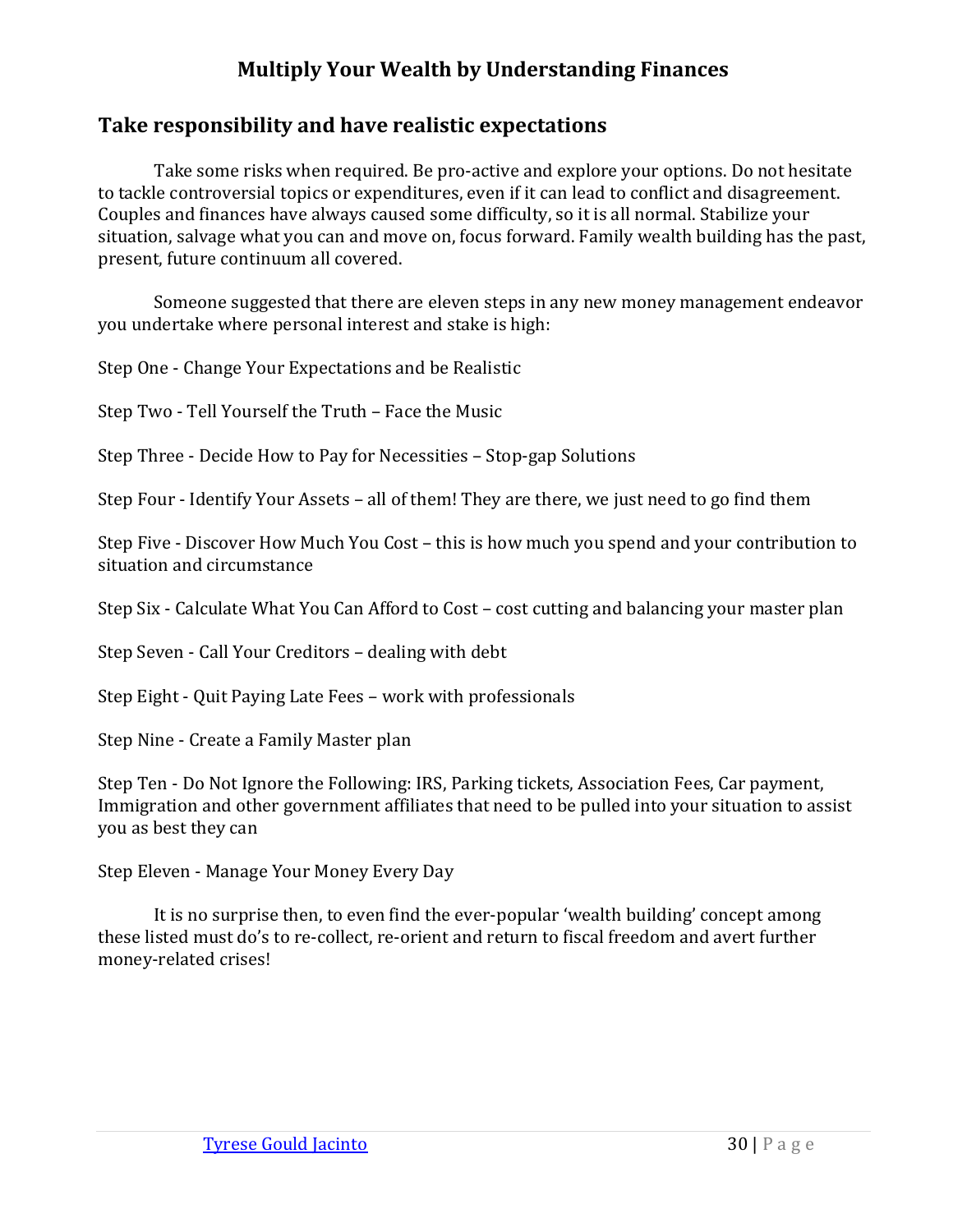# <span id="page-32-0"></span>**Take responsibility and have realistic expectations**

Take some risks when required. Be pro-active and explore your options. Do not hesitate to tackle controversial topics or expenditures, even if it can lead to conflict and disagreement. Couples and finances have always caused some difficulty, so it is all normal. Stabilize your situation, salvage what you can and move on, focus forward. Family wealth building has the past, present, future continuum all covered.

Someone suggested that there are eleven steps in any new money management endeavor you undertake where personal interest and stake is high:

Step One - Change Your Expectations and be Realistic

Step Two - Tell Yourself the Truth – Face the Music

Step Three - Decide How to Pay for Necessities – Stop-gap Solutions

Step Four - Identify Your Assets – all of them! They are there, we just need to go find them

Step Five - Discover How Much You Cost – this is how much you spend and your contribution to situation and circumstance

Step Six - Calculate What You Can Afford to Cost – cost cutting and balancing your master plan

Step Seven - Call Your Creditors – dealing with debt

Step Eight - Quit Paying Late Fees – work with professionals

Step Nine - Create a Family Master plan

Step Ten - Do Not Ignore the Following: IRS, Parking tickets, Association Fees, Car payment, Immigration and other government affiliates that need to be pulled into your situation to assist you as best they can

Step Eleven - Manage Your Money Every Day

It is no surprise then, to even find the ever-popular 'wealth building' concept among these listed must do's to re-collect, re-orient and return to fiscal freedom and avert further money-related crises!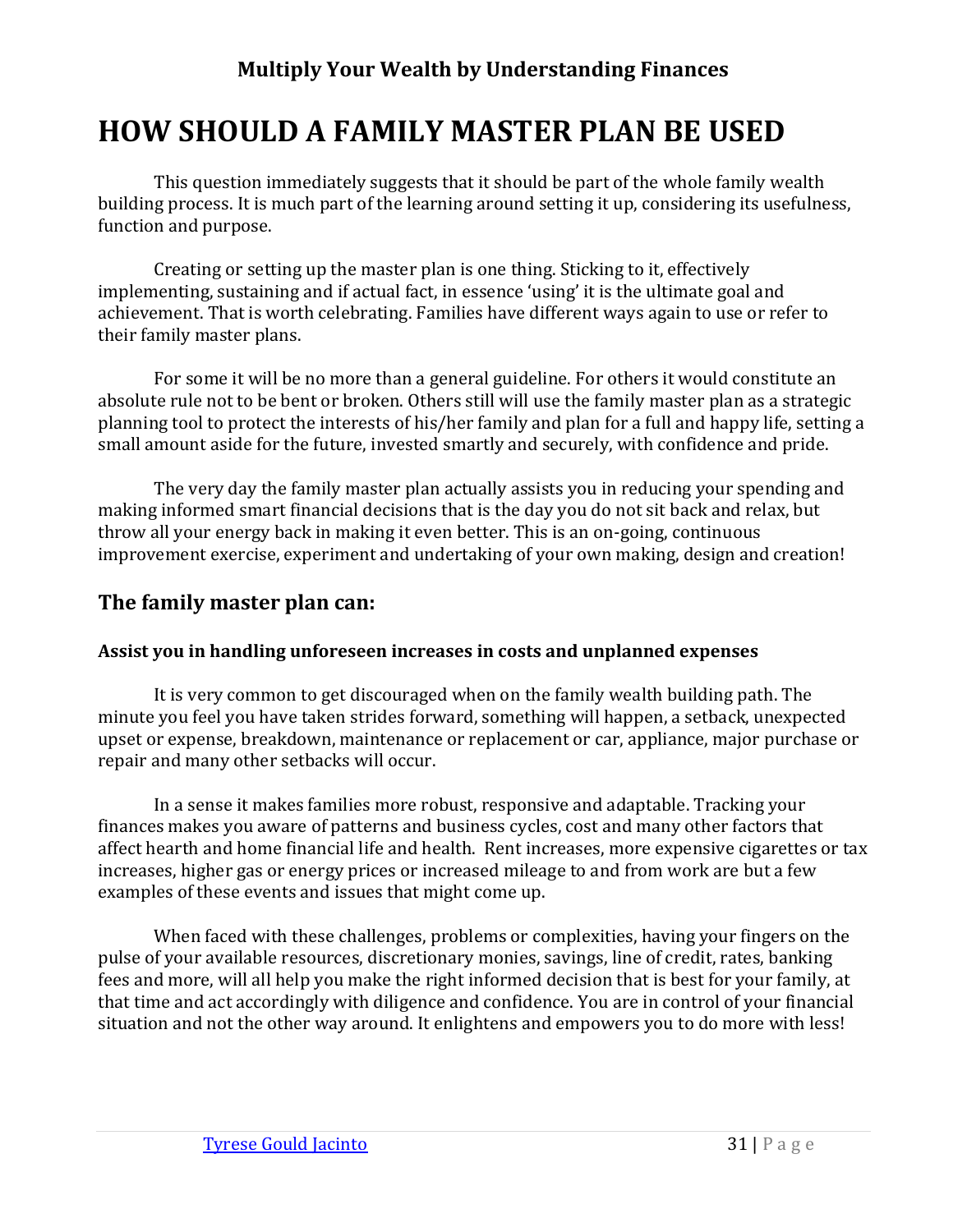# <span id="page-33-0"></span>**HOW SHOULD A FAMILY MASTER PLAN BE USED**

This question immediately suggests that it should be part of the whole family wealth building process. It is much part of the learning around setting it up, considering its usefulness, function and purpose.

Creating or setting up the master plan is one thing. Sticking to it, effectively implementing, sustaining and if actual fact, in essence 'using' it is the ultimate goal and achievement. That is worth celebrating. Families have different ways again to use or refer to their family master plans.

For some it will be no more than a general guideline. For others it would constitute an absolute rule not to be bent or broken. Others still will use the family master plan as a strategic planning tool to protect the interests of his/her family and plan for a full and happy life, setting a small amount aside for the future, invested smartly and securely, with confidence and pride.

The very day the family master plan actually assists you in reducing your spending and making informed smart financial decisions that is the day you do not sit back and relax, but throw all your energy back in making it even better. This is an on-going, continuous improvement exercise, experiment and undertaking of your own making, design and creation!

## <span id="page-33-1"></span>**The family master plan can:**

#### <span id="page-33-2"></span>**Assist you in handling unforeseen increases in costs and unplanned expenses**

It is very common to get discouraged when on the family wealth building path. The minute you feel you have taken strides forward, something will happen, a setback, unexpected upset or expense, breakdown, maintenance or replacement or car, appliance, major purchase or repair and many other setbacks will occur.

In a sense it makes families more robust, responsive and adaptable. Tracking your finances makes you aware of patterns and business cycles, cost and many other factors that affect hearth and home financial life and health. Rent increases, more expensive cigarettes or tax increases, higher gas or energy prices or increased mileage to and from work are but a few examples of these events and issues that might come up.

When faced with these challenges, problems or complexities, having your fingers on the pulse of your available resources, discretionary monies, savings, line of credit, rates, banking fees and more, will all help you make the right informed decision that is best for your family, at that time and act accordingly with diligence and confidence. You are in control of your financial situation and not the other way around. It enlightens and empowers you to do more with less!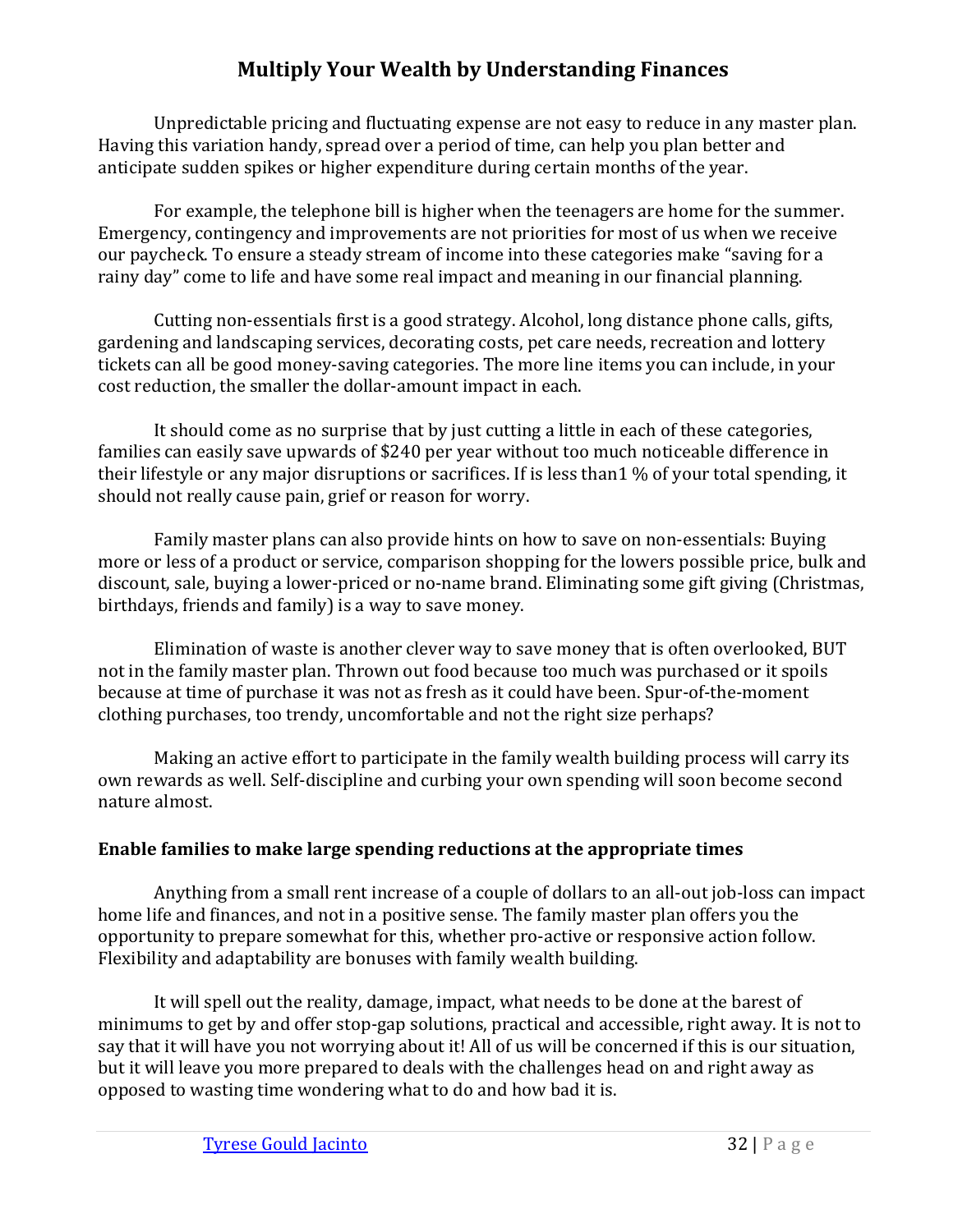Unpredictable pricing and fluctuating expense are not easy to reduce in any master plan. Having this variation handy, spread over a period of time, can help you plan better and anticipate sudden spikes or higher expenditure during certain months of the year.

For example, the telephone bill is higher when the teenagers are home for the summer. Emergency, contingency and improvements are not priorities for most of us when we receive our paycheck. To ensure a steady stream of income into these categories make "saving for a rainy day" come to life and have some real impact and meaning in our financial planning.

Cutting non-essentials first is a good strategy. Alcohol, long distance phone calls, gifts, gardening and landscaping services, decorating costs, pet care needs, recreation and lottery tickets can all be good money-saving categories. The more line items you can include, in your cost reduction, the smaller the dollar-amount impact in each.

It should come as no surprise that by just cutting a little in each of these categories, families can easily save upwards of \$240 per year without too much noticeable difference in their lifestyle or any major disruptions or sacrifices. If is less than1 % of your total spending, it should not really cause pain, grief or reason for worry.

Family master plans can also provide hints on how to save on non-essentials: Buying more or less of a product or service, comparison shopping for the lowers possible price, bulk and discount, sale, buying a lower-priced or no-name brand. Eliminating some gift giving (Christmas, birthdays, friends and family) is a way to save money.

Elimination of waste is another clever way to save money that is often overlooked, BUT not in the family master plan. Thrown out food because too much was purchased or it spoils because at time of purchase it was not as fresh as it could have been. Spur-of-the-moment clothing purchases, too trendy, uncomfortable and not the right size perhaps?

Making an active effort to participate in the family wealth building process will carry its own rewards as well. Self-discipline and curbing your own spending will soon become second nature almost.

#### <span id="page-34-0"></span>**Enable families to make large spending reductions at the appropriate times**

Anything from a small rent increase of a couple of dollars to an all-out job-loss can impact home life and finances, and not in a positive sense. The family master plan offers you the opportunity to prepare somewhat for this, whether pro-active or responsive action follow. Flexibility and adaptability are bonuses with family wealth building.

It will spell out the reality, damage, impact, what needs to be done at the barest of minimums to get by and offer stop-gap solutions, practical and accessible, right away. It is not to say that it will have you not worrying about it! All of us will be concerned if this is our situation, but it will leave you more prepared to deals with the challenges head on and right away as opposed to wasting time wondering what to do and how bad it is.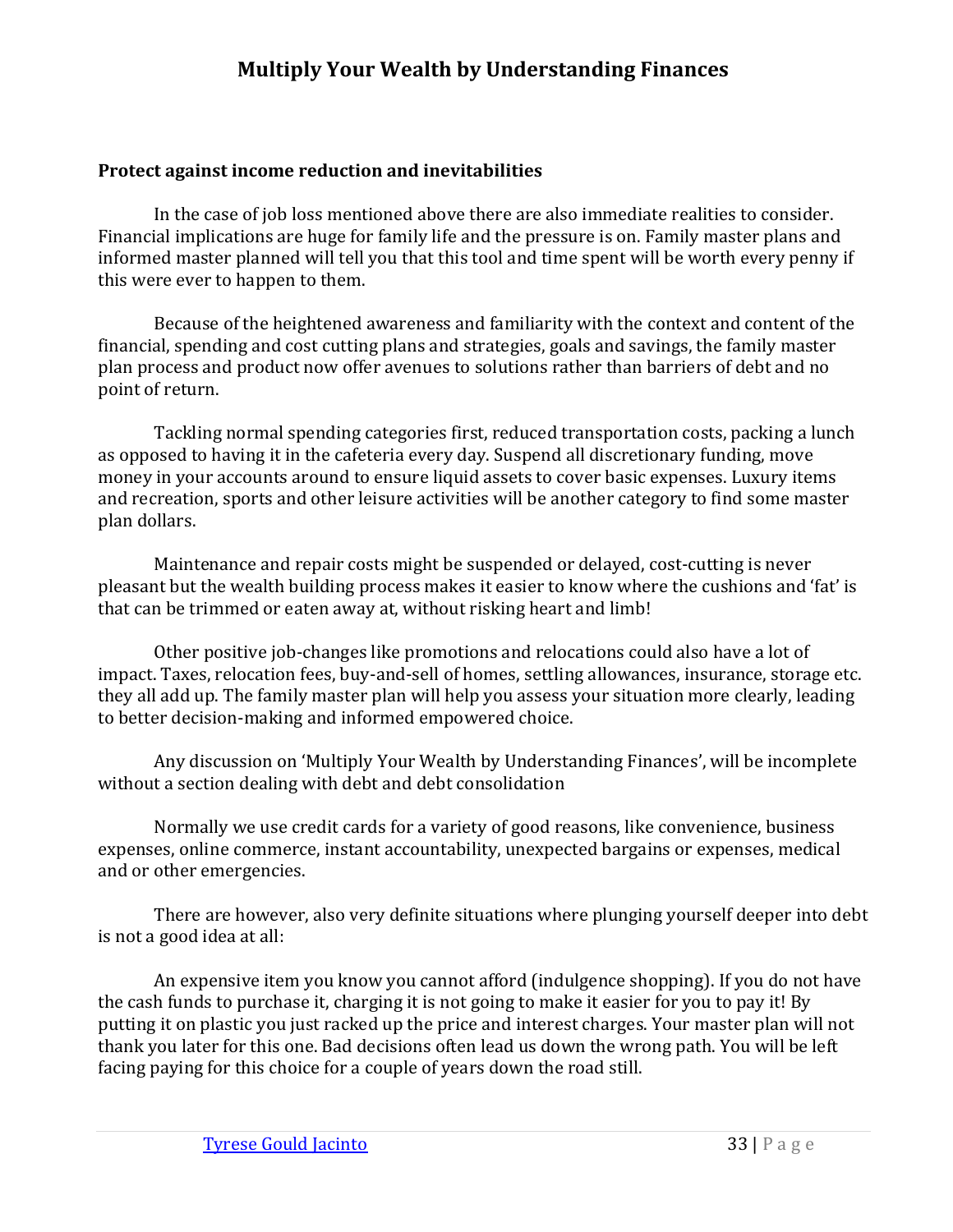#### <span id="page-35-0"></span>**Protect against income reduction and inevitabilities**

In the case of job loss mentioned above there are also immediate realities to consider. Financial implications are huge for family life and the pressure is on. Family master plans and informed master planned will tell you that this tool and time spent will be worth every penny if this were ever to happen to them.

Because of the heightened awareness and familiarity with the context and content of the financial, spending and cost cutting plans and strategies, goals and savings, the family master plan process and product now offer avenues to solutions rather than barriers of debt and no point of return.

Tackling normal spending categories first, reduced transportation costs, packing a lunch as opposed to having it in the cafeteria every day. Suspend all discretionary funding, move money in your accounts around to ensure liquid assets to cover basic expenses. Luxury items and recreation, sports and other leisure activities will be another category to find some master plan dollars.

Maintenance and repair costs might be suspended or delayed, cost-cutting is never pleasant but the wealth building process makes it easier to know where the cushions and 'fat' is that can be trimmed or eaten away at, without risking heart and limb!

Other positive job-changes like promotions and relocations could also have a lot of impact. Taxes, relocation fees, buy-and-sell of homes, settling allowances, insurance, storage etc. they all add up. The family master plan will help you assess your situation more clearly, leading to better decision-making and informed empowered choice.

Any discussion on 'Multiply Your Wealth by Understanding Finances', will be incomplete without a section dealing with debt and debt consolidation

Normally we use credit cards for a variety of good reasons, like convenience, business expenses, online commerce, instant accountability, unexpected bargains or expenses, medical and or other emergencies.

There are however, also very definite situations where plunging yourself deeper into debt is not a good idea at all:

An expensive item you know you cannot afford (indulgence shopping). If you do not have the cash funds to purchase it, charging it is not going to make it easier for you to pay it! By putting it on plastic you just racked up the price and interest charges. Your master plan will not thank you later for this one. Bad decisions often lead us down the wrong path. You will be left facing paying for this choice for a couple of years down the road still.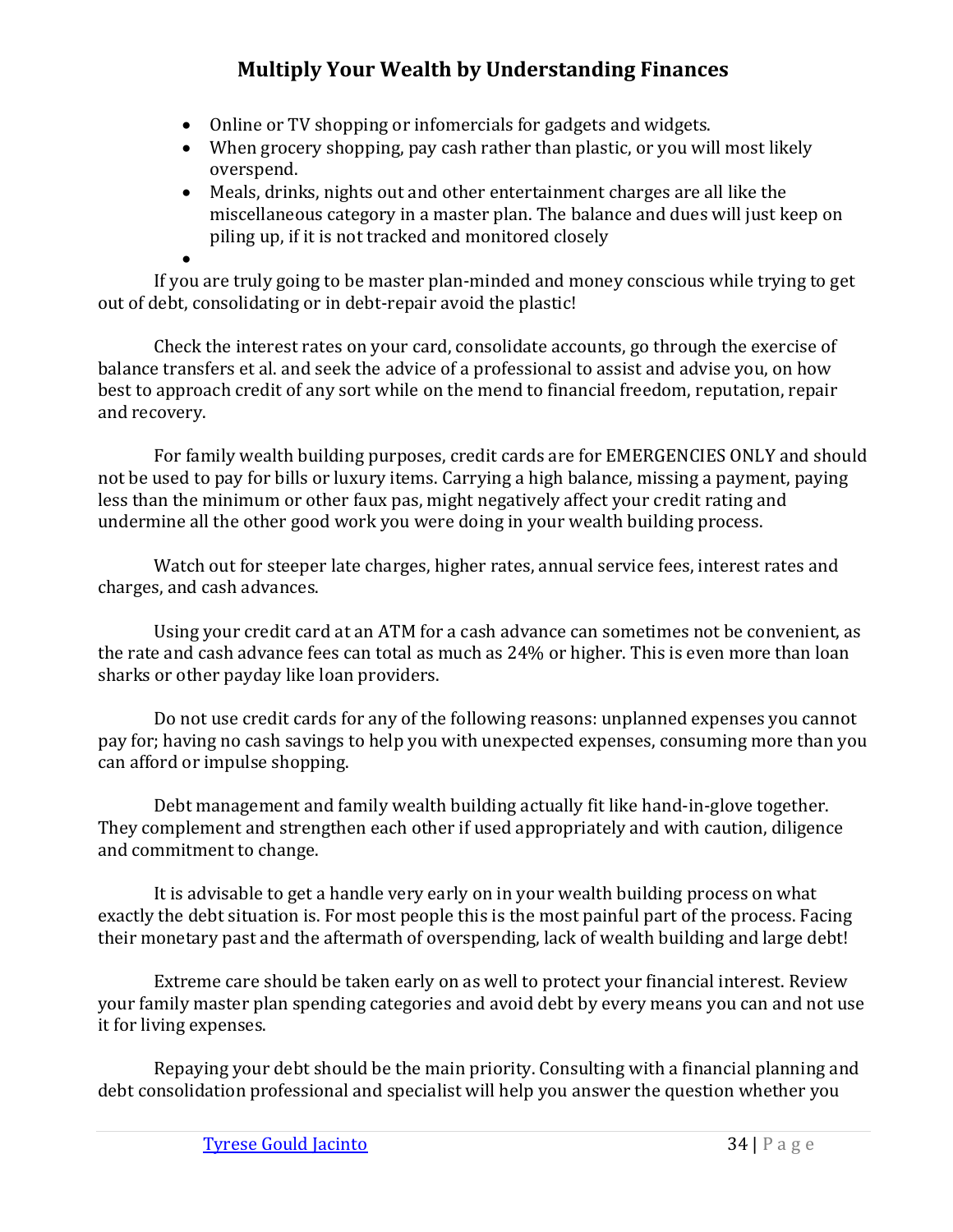- Online or TV shopping or infomercials for gadgets and widgets.
- When grocery shopping, pay cash rather than plastic, or you will most likely overspend.
- Meals, drinks, nights out and other entertainment charges are all like the miscellaneous category in a master plan. The balance and dues will just keep on piling up, if it is not tracked and monitored closely

• If you are truly going to be master plan-minded and money conscious while trying to get out of debt, consolidating or in debt-repair avoid the plastic!

Check the interest rates on your card, consolidate accounts, go through the exercise of balance transfers et al. and seek the advice of a professional to assist and advise you, on how best to approach credit of any sort while on the mend to financial freedom, reputation, repair and recovery.

For family wealth building purposes, credit cards are for EMERGENCIES ONLY and should not be used to pay for bills or luxury items. Carrying a high balance, missing a payment, paying less than the minimum or other faux pas, might negatively affect your credit rating and undermine all the other good work you were doing in your wealth building process.

Watch out for steeper late charges, higher rates, annual service fees, interest rates and charges, and cash advances.

Using your credit card at an ATM for a cash advance can sometimes not be convenient, as the rate and cash advance fees can total as much as 24% or higher. This is even more than loan sharks or other payday like loan providers.

Do not use credit cards for any of the following reasons: unplanned expenses you cannot pay for; having no cash savings to help you with unexpected expenses, consuming more than you can afford or impulse shopping.

Debt management and family wealth building actually fit like hand-in-glove together. They complement and strengthen each other if used appropriately and with caution, diligence and commitment to change.

It is advisable to get a handle very early on in your wealth building process on what exactly the debt situation is. For most people this is the most painful part of the process. Facing their monetary past and the aftermath of overspending, lack of wealth building and large debt!

Extreme care should be taken early on as well to protect your financial interest. Review your family master plan spending categories and avoid debt by every means you can and not use it for living expenses.

Repaying your debt should be the main priority. Consulting with a financial planning and debt consolidation professional and specialist will help you answer the question whether you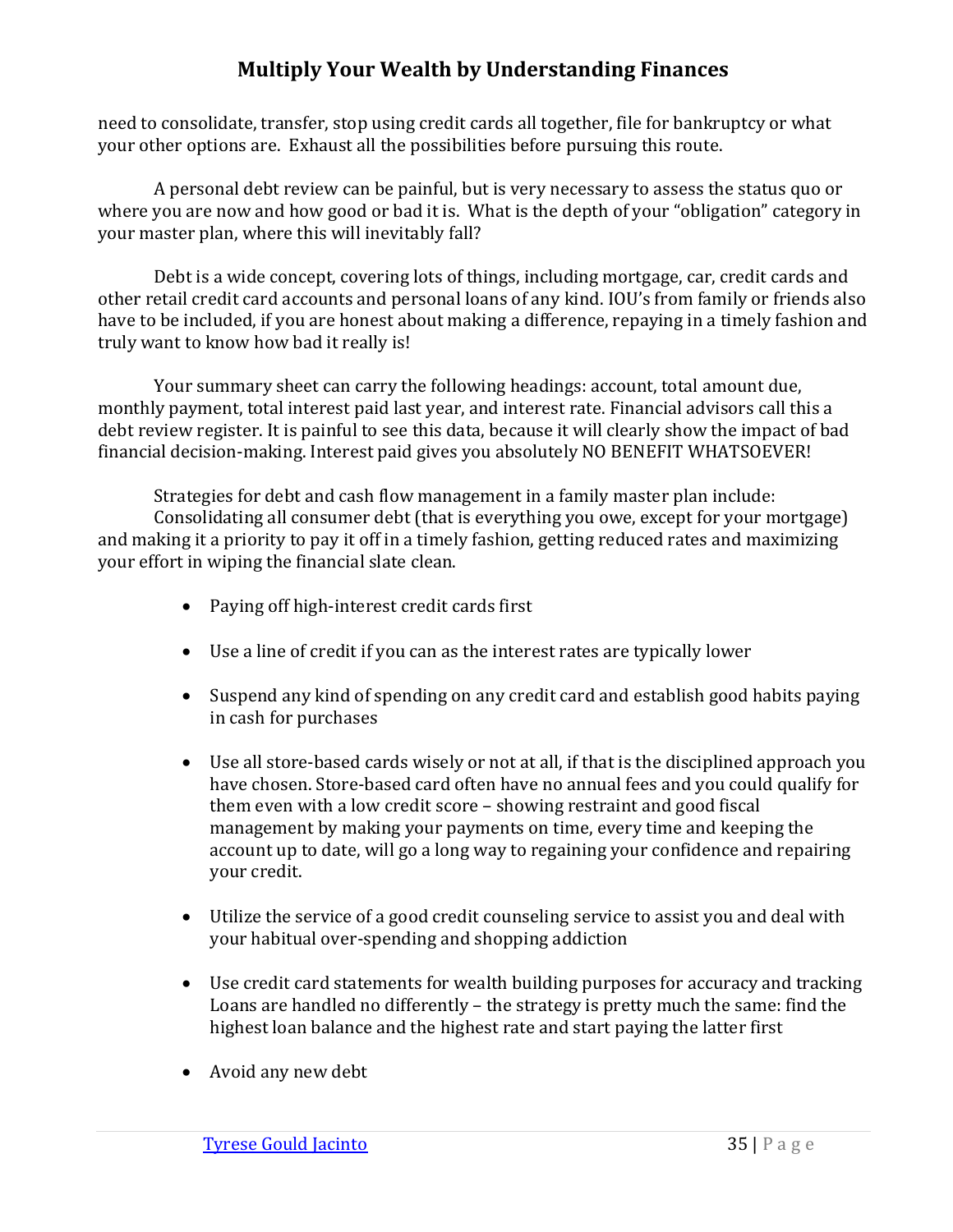need to consolidate, transfer, stop using credit cards all together, file for bankruptcy or what your other options are. Exhaust all the possibilities before pursuing this route.

A personal debt review can be painful, but is very necessary to assess the status quo or where you are now and how good or bad it is. What is the depth of your "obligation" category in your master plan, where this will inevitably fall?

Debt is a wide concept, covering lots of things, including mortgage, car, credit cards and other retail credit card accounts and personal loans of any kind. IOU's from family or friends also have to be included, if you are honest about making a difference, repaying in a timely fashion and truly want to know how bad it really is!

Your summary sheet can carry the following headings: account, total amount due, monthly payment, total interest paid last year, and interest rate. Financial advisors call this a debt review register. It is painful to see this data, because it will clearly show the impact of bad financial decision-making. Interest paid gives you absolutely NO BENEFIT WHATSOEVER!

Strategies for debt and cash flow management in a family master plan include: Consolidating all consumer debt (that is everything you owe, except for your mortgage) and making it a priority to pay it off in a timely fashion, getting reduced rates and maximizing your effort in wiping the financial slate clean.

- Paying off high-interest credit cards first
- Use a line of credit if you can as the interest rates are typically lower
- Suspend any kind of spending on any credit card and establish good habits paying in cash for purchases
- Use all store-based cards wisely or not at all, if that is the disciplined approach you have chosen. Store-based card often have no annual fees and you could qualify for them even with a low credit score – showing restraint and good fiscal management by making your payments on time, every time and keeping the account up to date, will go a long way to regaining your confidence and repairing your credit.
- Utilize the service of a good credit counseling service to assist you and deal with your habitual over-spending and shopping addiction
- Use credit card statements for wealth building purposes for accuracy and tracking Loans are handled no differently – the strategy is pretty much the same: find the highest loan balance and the highest rate and start paying the latter first
- Avoid any new debt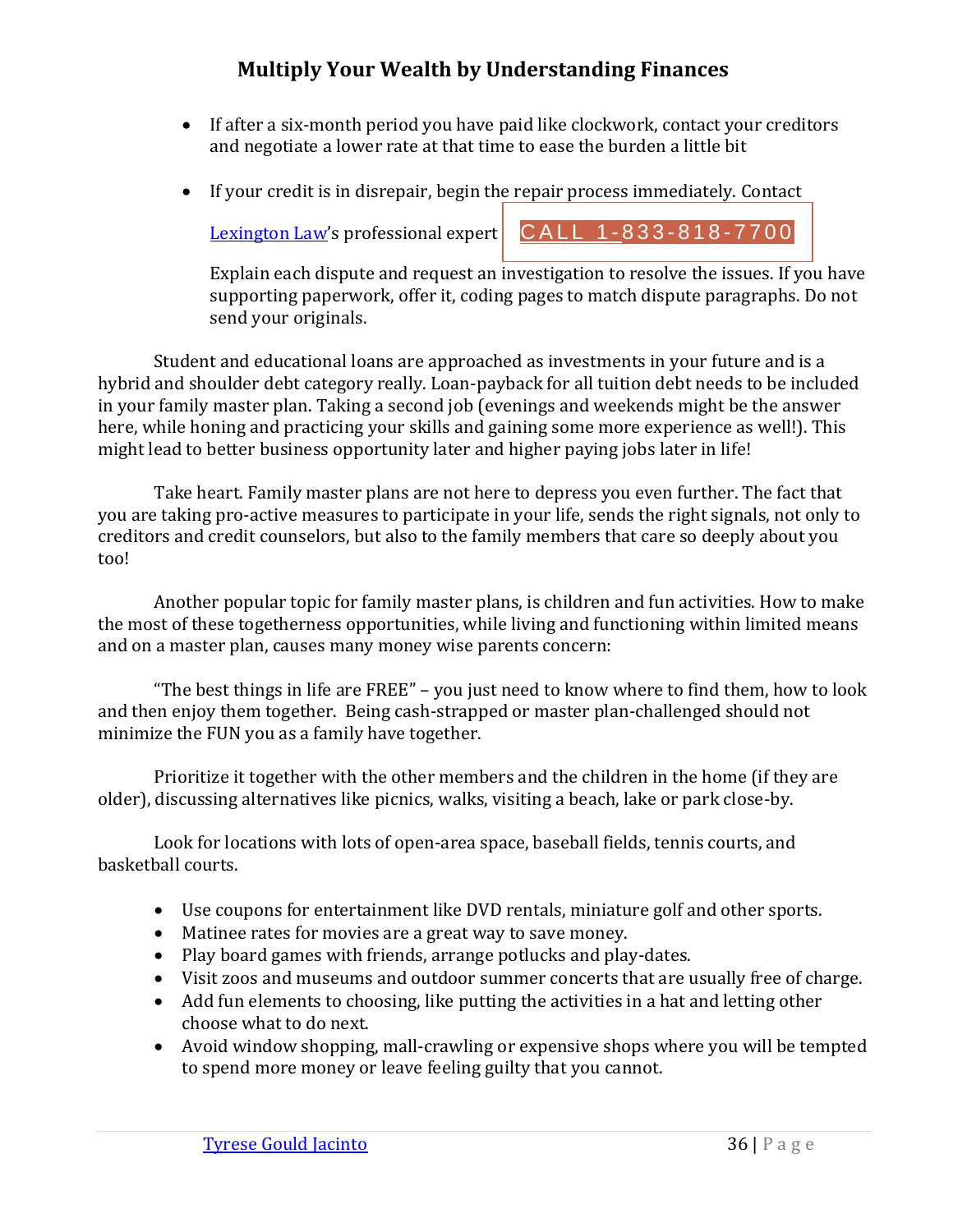- If after a six-month period you have paid like clockwork, contact your creditors and negotiate a lower rate at that time to ease the burden a little bit
- If your credit is in disrepair, begin the repair process immediately. Contact

[Lexington Law](https://www.lexingtonlaw.com/?tid=662.0.9618)'s professional expert  $\begin{bmatrix} CALL & 1-833-818-7700 \end{bmatrix}$ 

Explain each dispute and request an investigation to resolve the issues. If you have supporting paperwork, offer it, coding pages to match dispute paragraphs. Do not send your originals.

Student and educational loans are approached as investments in your future and is a hybrid and shoulder debt category really. Loan-payback for all tuition debt needs to be included in your family master plan. Taking a second job (evenings and weekends might be the answer here, while honing and practicing your skills and gaining some more experience as well!). This might lead to better business opportunity later and higher paying jobs later in life!

Take heart. Family master plans are not here to depress you even further. The fact that you are taking pro-active measures to participate in your life, sends the right signals, not only to creditors and credit counselors, but also to the family members that care so deeply about you too!

Another popular topic for family master plans, is children and fun activities. How to make the most of these togetherness opportunities, while living and functioning within limited means and on a master plan, causes many money wise parents concern:

"The best things in life are FREE" – you just need to know where to find them, how to look and then enjoy them together. Being cash-strapped or master plan-challenged should not minimize the FUN you as a family have together.

Prioritize it together with the other members and the children in the home (if they are older), discussing alternatives like picnics, walks, visiting a beach, lake or park close-by.

Look for locations with lots of open-area space, baseball fields, tennis courts, and basketball courts.

- Use coupons for entertainment like DVD rentals, miniature golf and other sports.
- Matinee rates for movies are a great way to save money.
- Play board games with friends, arrange potlucks and play-dates.
- Visit zoos and museums and outdoor summer concerts that are usually free of charge.
- Add fun elements to choosing, like putting the activities in a hat and letting other choose what to do next.
- Avoid window shopping, mall-crawling or expensive shops where you will be tempted to spend more money or leave feeling guilty that you cannot.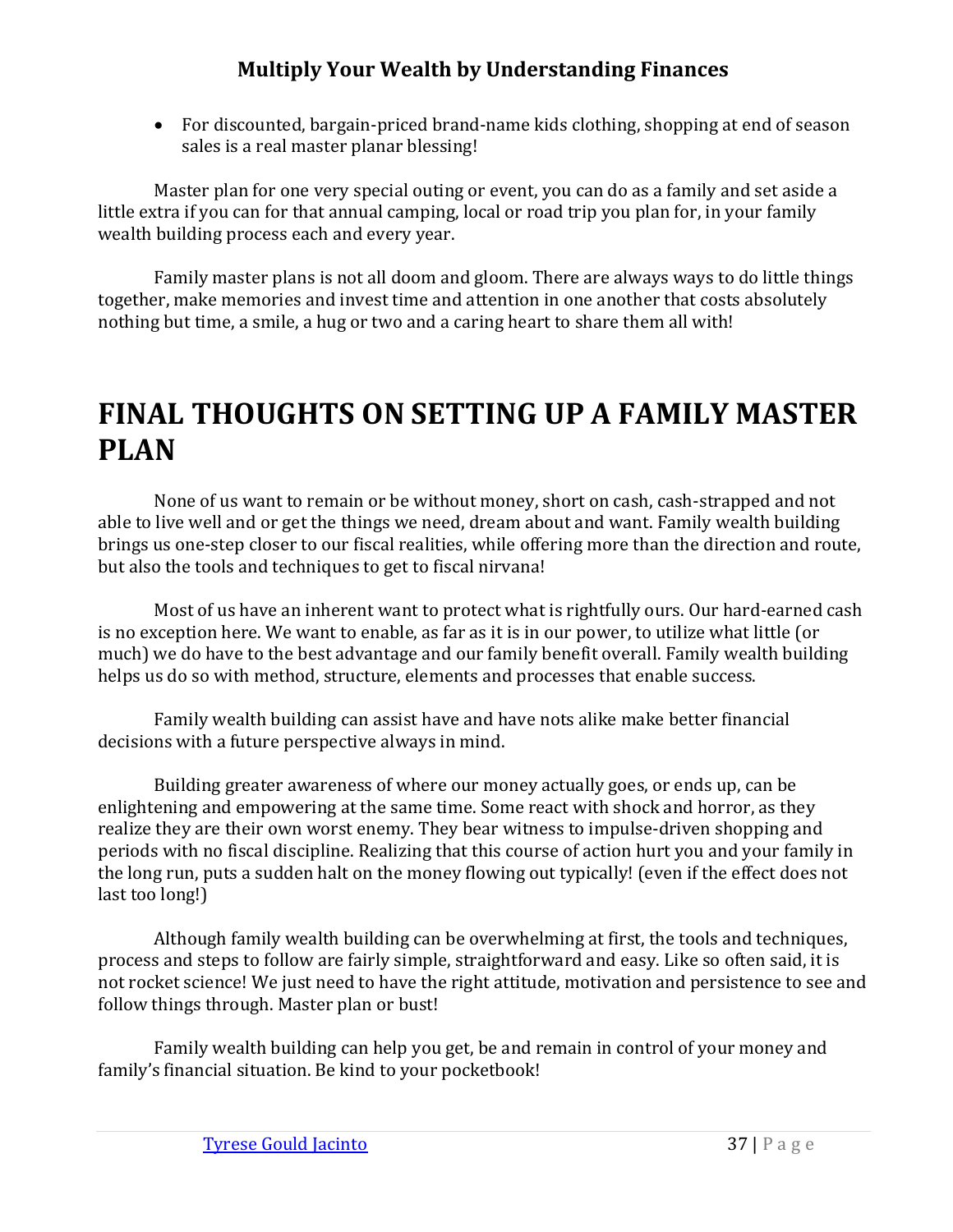• For discounted, bargain-priced brand-name kids clothing, shopping at end of season sales is a real master planar blessing!

Master plan for one very special outing or event, you can do as a family and set aside a little extra if you can for that annual camping, local or road trip you plan for, in your family wealth building process each and every year.

Family master plans is not all doom and gloom. There are always ways to do little things together, make memories and invest time and attention in one another that costs absolutely nothing but time, a smile, a hug or two and a caring heart to share them all with!

# <span id="page-39-0"></span>**FINAL THOUGHTS ON SETTING UP A FAMILY MASTER PLAN**

None of us want to remain or be without money, short on cash, cash-strapped and not able to live well and or get the things we need, dream about and want. Family wealth building brings us one-step closer to our fiscal realities, while offering more than the direction and route, but also the tools and techniques to get to fiscal nirvana!

Most of us have an inherent want to protect what is rightfully ours. Our hard-earned cash is no exception here. We want to enable, as far as it is in our power, to utilize what little (or much) we do have to the best advantage and our family benefit overall. Family wealth building helps us do so with method, structure, elements and processes that enable success.

Family wealth building can assist have and have nots alike make better financial decisions with a future perspective always in mind.

Building greater awareness of where our money actually goes, or ends up, can be enlightening and empowering at the same time. Some react with shock and horror, as they realize they are their own worst enemy. They bear witness to impulse-driven shopping and periods with no fiscal discipline. Realizing that this course of action hurt you and your family in the long run, puts a sudden halt on the money flowing out typically! (even if the effect does not last too long!)

Although family wealth building can be overwhelming at first, the tools and techniques, process and steps to follow are fairly simple, straightforward and easy. Like so often said, it is not rocket science! We just need to have the right attitude, motivation and persistence to see and follow things through. Master plan or bust!

Family wealth building can help you get, be and remain in control of your money and family's financial situation. Be kind to your pocketbook!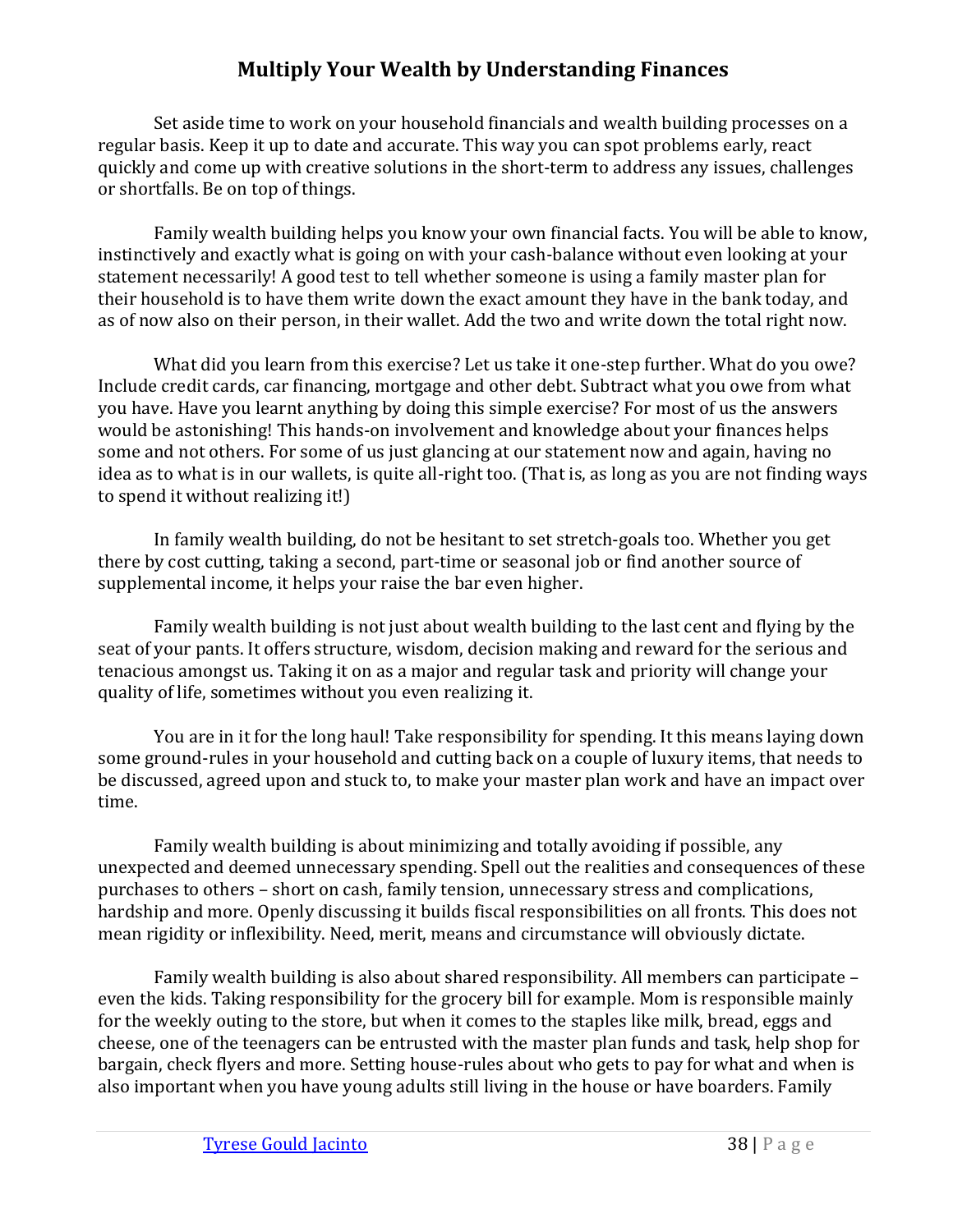Set aside time to work on your household financials and wealth building processes on a regular basis. Keep it up to date and accurate. This way you can spot problems early, react quickly and come up with creative solutions in the short-term to address any issues, challenges or shortfalls. Be on top of things.

Family wealth building helps you know your own financial facts. You will be able to know, instinctively and exactly what is going on with your cash-balance without even looking at your statement necessarily! A good test to tell whether someone is using a family master plan for their household is to have them write down the exact amount they have in the bank today, and as of now also on their person, in their wallet. Add the two and write down the total right now.

What did you learn from this exercise? Let us take it one-step further. What do you owe? Include credit cards, car financing, mortgage and other debt. Subtract what you owe from what you have. Have you learnt anything by doing this simple exercise? For most of us the answers would be astonishing! This hands-on involvement and knowledge about your finances helps some and not others. For some of us just glancing at our statement now and again, having no idea as to what is in our wallets, is quite all-right too. (That is, as long as you are not finding ways to spend it without realizing it!)

In family wealth building, do not be hesitant to set stretch-goals too. Whether you get there by cost cutting, taking a second, part-time or seasonal job or find another source of supplemental income, it helps your raise the bar even higher.

Family wealth building is not just about wealth building to the last cent and flying by the seat of your pants. It offers structure, wisdom, decision making and reward for the serious and tenacious amongst us. Taking it on as a major and regular task and priority will change your quality of life, sometimes without you even realizing it.

You are in it for the long haul! Take responsibility for spending. It this means laying down some ground-rules in your household and cutting back on a couple of luxury items, that needs to be discussed, agreed upon and stuck to, to make your master plan work and have an impact over time.

Family wealth building is about minimizing and totally avoiding if possible, any unexpected and deemed unnecessary spending. Spell out the realities and consequences of these purchases to others – short on cash, family tension, unnecessary stress and complications, hardship and more. Openly discussing it builds fiscal responsibilities on all fronts. This does not mean rigidity or inflexibility. Need, merit, means and circumstance will obviously dictate.

Family wealth building is also about shared responsibility. All members can participate – even the kids. Taking responsibility for the grocery bill for example. Mom is responsible mainly for the weekly outing to the store, but when it comes to the staples like milk, bread, eggs and cheese, one of the teenagers can be entrusted with the master plan funds and task, help shop for bargain, check flyers and more. Setting house-rules about who gets to pay for what and when is also important when you have young adults still living in the house or have boarders. Family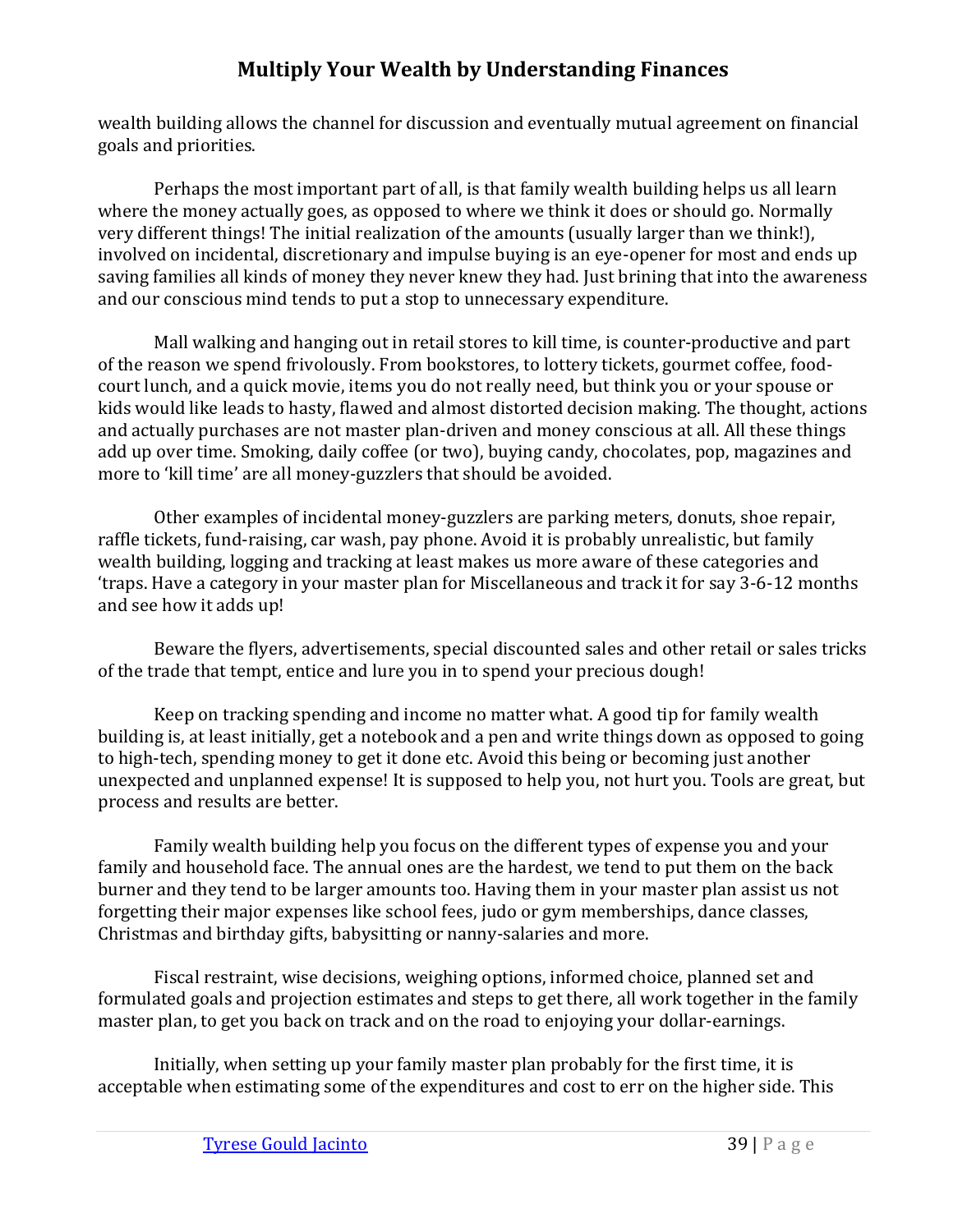wealth building allows the channel for discussion and eventually mutual agreement on financial goals and priorities.

Perhaps the most important part of all, is that family wealth building helps us all learn where the money actually goes, as opposed to where we think it does or should go. Normally very different things! The initial realization of the amounts (usually larger than we think!), involved on incidental, discretionary and impulse buying is an eye-opener for most and ends up saving families all kinds of money they never knew they had. Just brining that into the awareness and our conscious mind tends to put a stop to unnecessary expenditure.

Mall walking and hanging out in retail stores to kill time, is counter-productive and part of the reason we spend frivolously. From bookstores, to lottery tickets, gourmet coffee, foodcourt lunch, and a quick movie, items you do not really need, but think you or your spouse or kids would like leads to hasty, flawed and almost distorted decision making. The thought, actions and actually purchases are not master plan-driven and money conscious at all. All these things add up over time. Smoking, daily coffee (or two), buying candy, chocolates, pop, magazines and more to 'kill time' are all money-guzzlers that should be avoided.

Other examples of incidental money-guzzlers are parking meters, donuts, shoe repair, raffle tickets, fund-raising, car wash, pay phone. Avoid it is probably unrealistic, but family wealth building, logging and tracking at least makes us more aware of these categories and 'traps. Have a category in your master plan for Miscellaneous and track it for say 3-6-12 months and see how it adds up!

Beware the flyers, advertisements, special discounted sales and other retail or sales tricks of the trade that tempt, entice and lure you in to spend your precious dough!

Keep on tracking spending and income no matter what. A good tip for family wealth building is, at least initially, get a notebook and a pen and write things down as opposed to going to high-tech, spending money to get it done etc. Avoid this being or becoming just another unexpected and unplanned expense! It is supposed to help you, not hurt you. Tools are great, but process and results are better.

Family wealth building help you focus on the different types of expense you and your family and household face. The annual ones are the hardest, we tend to put them on the back burner and they tend to be larger amounts too. Having them in your master plan assist us not forgetting their major expenses like school fees, judo or gym memberships, dance classes, Christmas and birthday gifts, babysitting or nanny-salaries and more.

Fiscal restraint, wise decisions, weighing options, informed choice, planned set and formulated goals and projection estimates and steps to get there, all work together in the family master plan, to get you back on track and on the road to enjoying your dollar-earnings.

Initially, when setting up your family master plan probably for the first time, it is acceptable when estimating some of the expenditures and cost to err on the higher side. This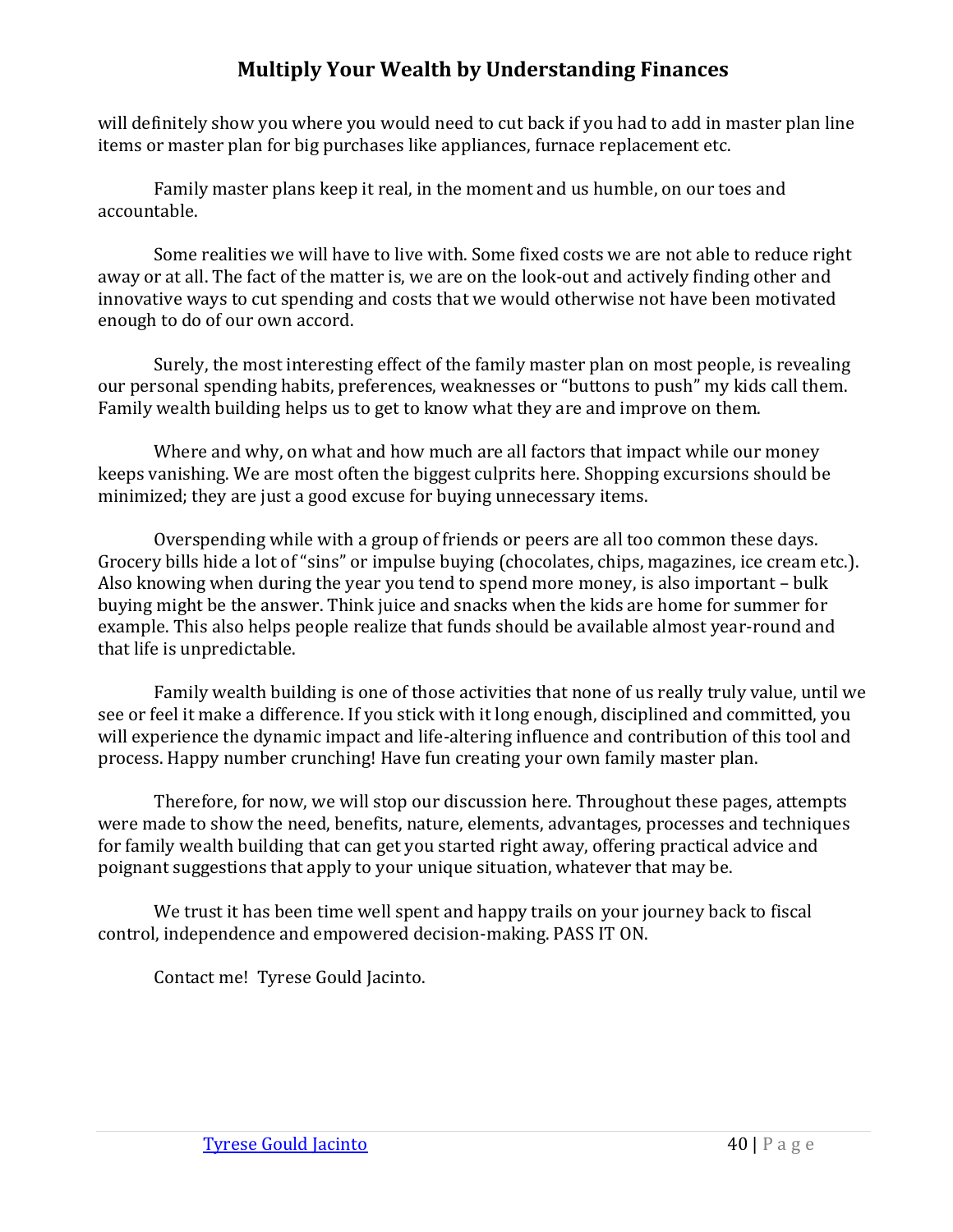will definitely show you where you would need to cut back if you had to add in master plan line items or master plan for big purchases like appliances, furnace replacement etc.

Family master plans keep it real, in the moment and us humble, on our toes and accountable.

Some realities we will have to live with. Some fixed costs we are not able to reduce right away or at all. The fact of the matter is, we are on the look-out and actively finding other and innovative ways to cut spending and costs that we would otherwise not have been motivated enough to do of our own accord.

Surely, the most interesting effect of the family master plan on most people, is revealing our personal spending habits, preferences, weaknesses or "buttons to push" my kids call them. Family wealth building helps us to get to know what they are and improve on them.

Where and why, on what and how much are all factors that impact while our money keeps vanishing. We are most often the biggest culprits here. Shopping excursions should be minimized; they are just a good excuse for buying unnecessary items.

Overspending while with a group of friends or peers are all too common these days. Grocery bills hide a lot of "sins" or impulse buying (chocolates, chips, magazines, ice cream etc.). Also knowing when during the year you tend to spend more money, is also important – bulk buying might be the answer. Think juice and snacks when the kids are home for summer for example. This also helps people realize that funds should be available almost year-round and that life is unpredictable.

Family wealth building is one of those activities that none of us really truly value, until we see or feel it make a difference. If you stick with it long enough, disciplined and committed, you will experience the dynamic impact and life-altering influence and contribution of this tool and process. Happy number crunching! Have fun creating your own family master plan.

Therefore, for now, we will stop our discussion here. Throughout these pages, attempts were made to show the need, benefits, nature, elements, advantages, processes and techniques for family wealth building that can get you started right away, offering practical advice and poignant suggestions that apply to your unique situation, whatever that may be.

We trust it has been time well spent and happy trails on your journey back to fiscal control, independence and empowered decision-making. PASS IT ON.

Contact me! Tyrese Gould Jacinto.